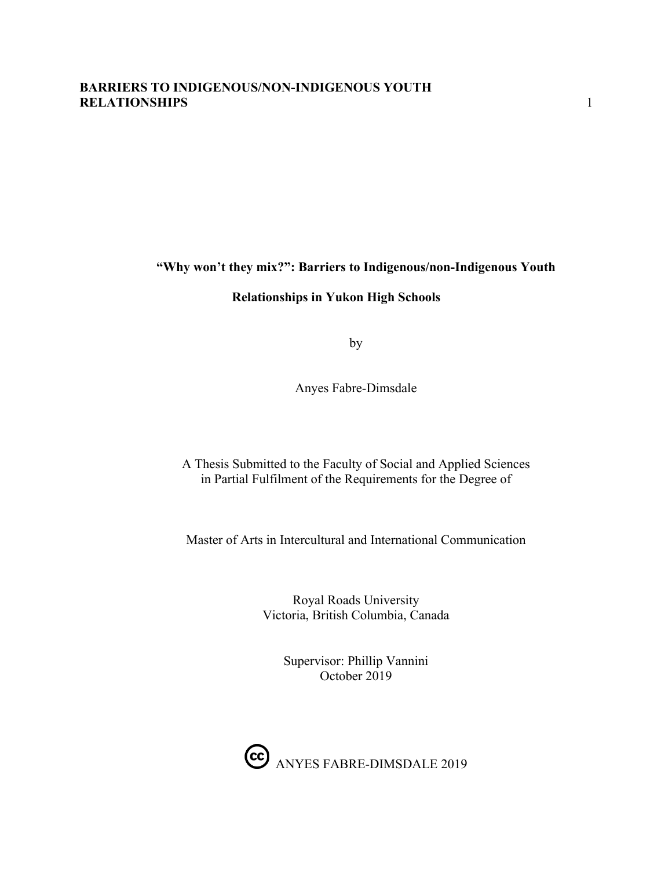## **"Why won't they mix?": Barriers to Indigenous/non-Indigenous Youth**

#### **Relationships in Yukon High Schools**

by

Anyes Fabre-Dimsdale

A Thesis Submitted to the Faculty of Social and Applied Sciences in Partial Fulfilment of the Requirements for the Degree of

Master of Arts in Intercultural and International Communication

Royal Roads University Victoria, British Columbia, Canada

> Supervisor: Phillip Vannini October 2019

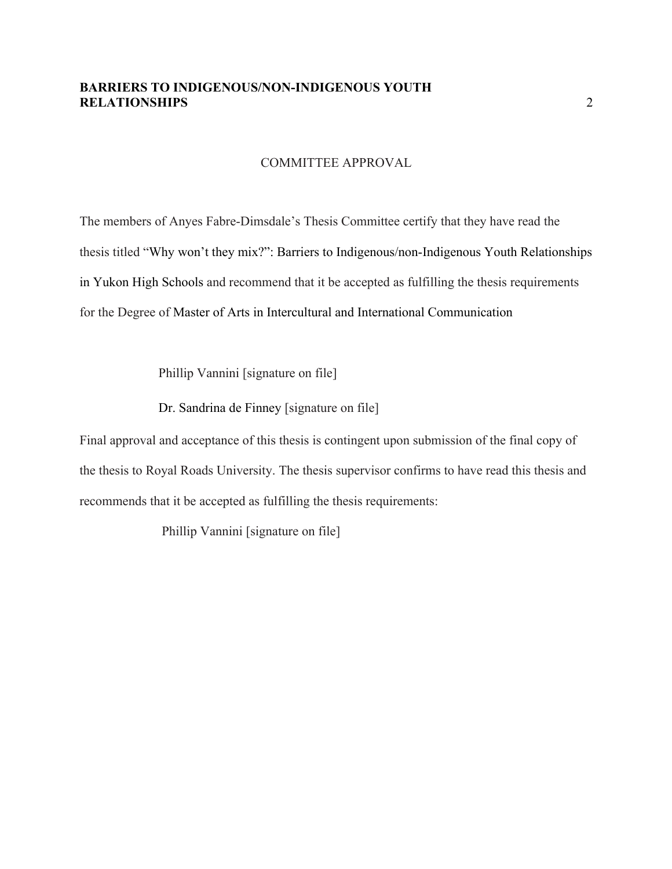#### COMMITTEE APPROVAL

The members of Anyes Fabre-Dimsdale's Thesis Committee certify that they have read the thesis titled "Why won't they mix?": Barriers to Indigenous/non-Indigenous Youth Relationships in Yukon High Schools and recommend that it be accepted as fulfilling the thesis requirements for the Degree of Master of Arts in Intercultural and International Communication

Phillip Vannini [signature on file]

Dr. Sandrina de Finney [signature on file]

Final approval and acceptance of this thesis is contingent upon submission of the final copy of the thesis to Royal Roads University. The thesis supervisor confirms to have read this thesis and recommends that it be accepted as fulfilling the thesis requirements:

Phillip Vannini [signature on file]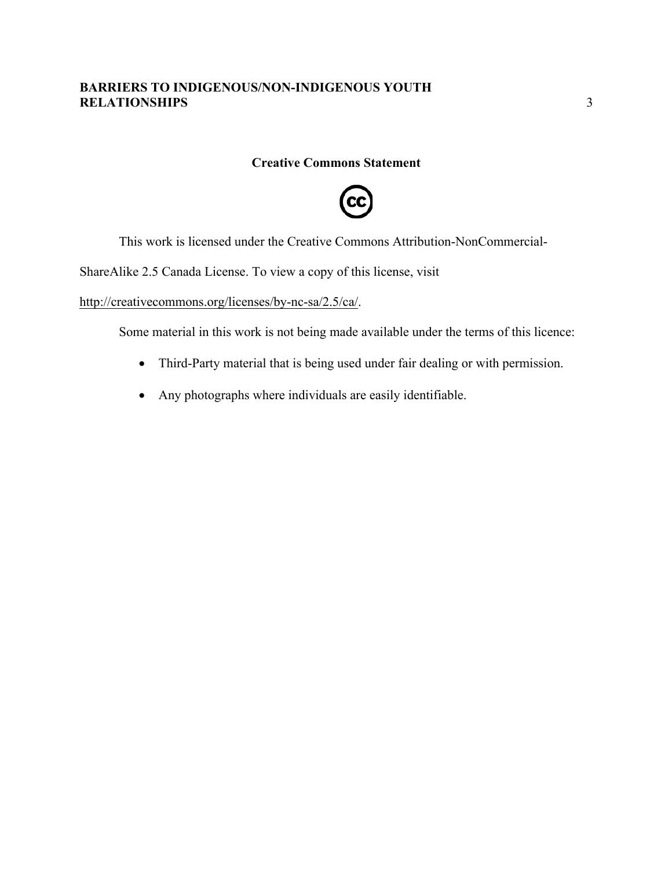#### **Creative Commons Statement**



This work is licensed under the Creative Commons Attribution-NonCommercial-

ShareAlike 2.5 Canada License. To view a copy of this license, visit

http://creativecommons.org/licenses/by-nc-sa/2.5/ca/.

Some material in this work is not being made available under the terms of this licence:

- Third-Party material that is being used under fair dealing or with permission.
- Any photographs where individuals are easily identifiable.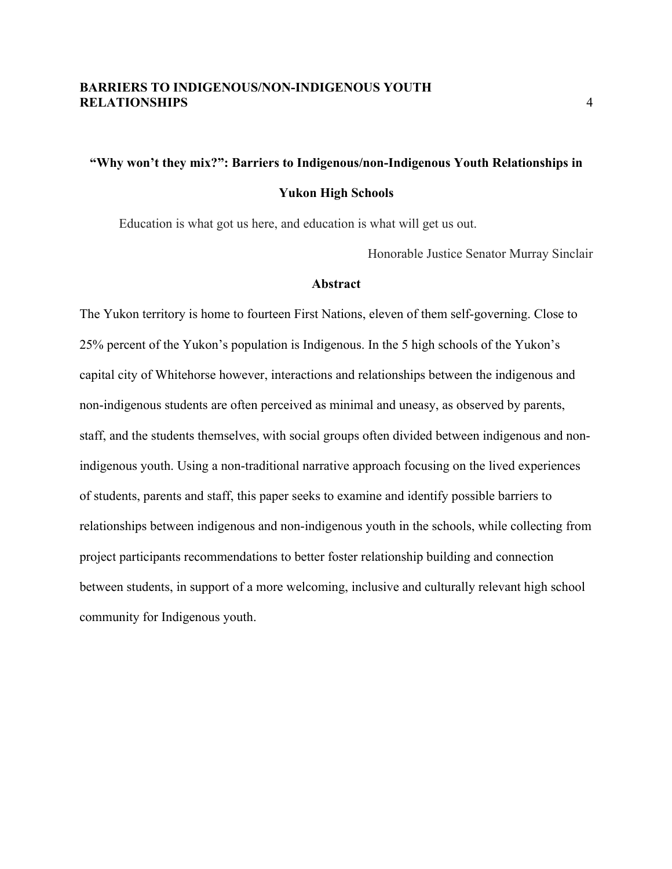## **"Why won't they mix?": Barriers to Indigenous/non-Indigenous Youth Relationships in Yukon High Schools**

Education is what got us here, and education is what will get us out.

Honorable Justice Senator Murray Sinclair

#### **Abstract**

The Yukon territory is home to fourteen First Nations, eleven of them self-governing. Close to 25% percent of the Yukon's population is Indigenous. In the 5 high schools of the Yukon's capital city of Whitehorse however, interactions and relationships between the indigenous and non-indigenous students are often perceived as minimal and uneasy, as observed by parents, staff, and the students themselves, with social groups often divided between indigenous and nonindigenous youth. Using a non-traditional narrative approach focusing on the lived experiences of students, parents and staff, this paper seeks to examine and identify possible barriers to relationships between indigenous and non-indigenous youth in the schools, while collecting from project participants recommendations to better foster relationship building and connection between students, in support of a more welcoming, inclusive and culturally relevant high school community for Indigenous youth.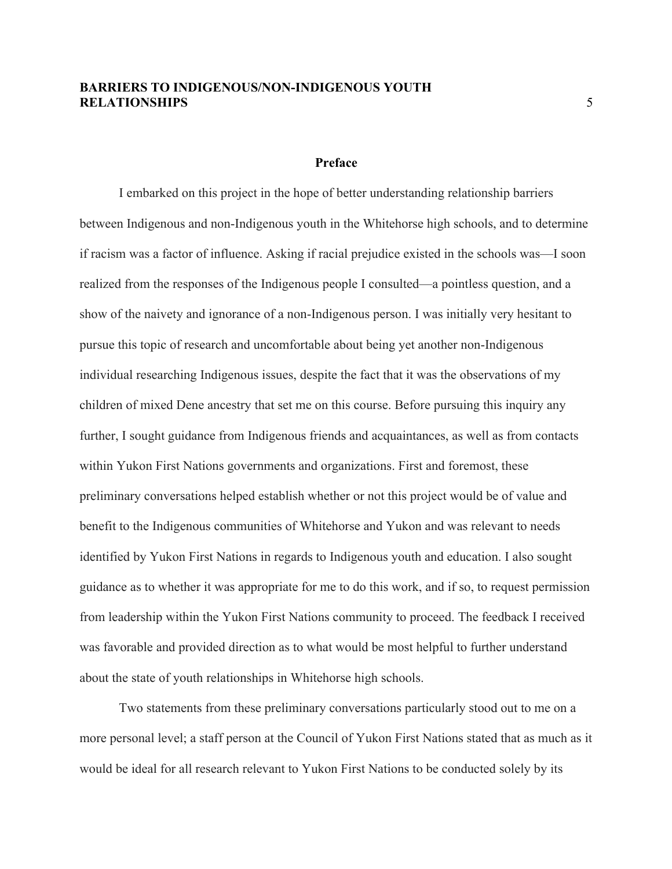#### **Preface**

I embarked on this project in the hope of better understanding relationship barriers between Indigenous and non-Indigenous youth in the Whitehorse high schools, and to determine if racism was a factor of influence. Asking if racial prejudice existed in the schools was—I soon realized from the responses of the Indigenous people I consulted—a pointless question, and a show of the naivety and ignorance of a non-Indigenous person. I was initially very hesitant to pursue this topic of research and uncomfortable about being yet another non-Indigenous individual researching Indigenous issues, despite the fact that it was the observations of my children of mixed Dene ancestry that set me on this course. Before pursuing this inquiry any further, I sought guidance from Indigenous friends and acquaintances, as well as from contacts within Yukon First Nations governments and organizations. First and foremost, these preliminary conversations helped establish whether or not this project would be of value and benefit to the Indigenous communities of Whitehorse and Yukon and was relevant to needs identified by Yukon First Nations in regards to Indigenous youth and education. I also sought guidance as to whether it was appropriate for me to do this work, and if so, to request permission from leadership within the Yukon First Nations community to proceed. The feedback I received was favorable and provided direction as to what would be most helpful to further understand about the state of youth relationships in Whitehorse high schools.

Two statements from these preliminary conversations particularly stood out to me on a more personal level; a staff person at the Council of Yukon First Nations stated that as much as it would be ideal for all research relevant to Yukon First Nations to be conducted solely by its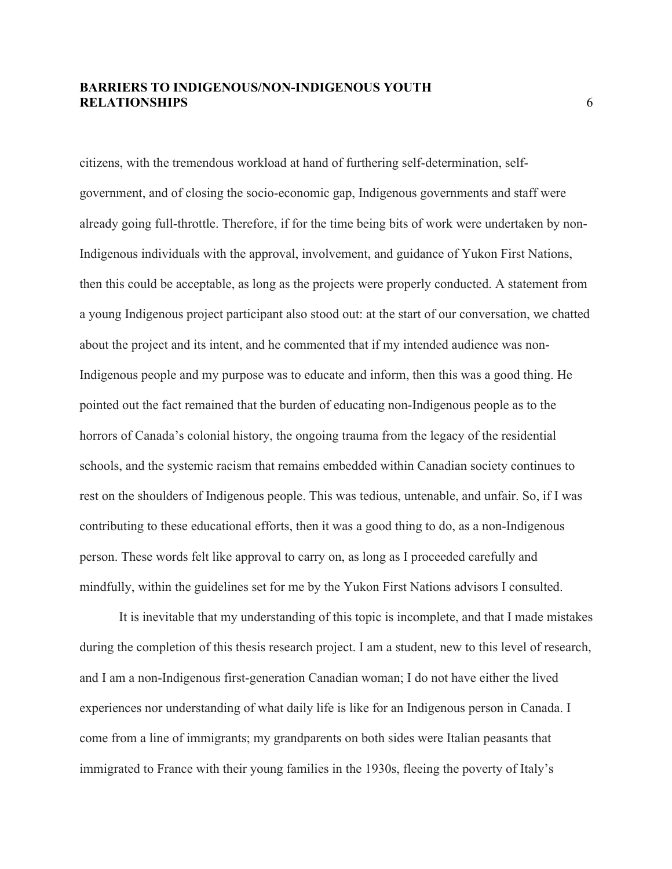citizens, with the tremendous workload at hand of furthering self-determination, selfgovernment, and of closing the socio-economic gap, Indigenous governments and staff were already going full-throttle. Therefore, if for the time being bits of work were undertaken by non-Indigenous individuals with the approval, involvement, and guidance of Yukon First Nations, then this could be acceptable, as long as the projects were properly conducted. A statement from a young Indigenous project participant also stood out: at the start of our conversation, we chatted about the project and its intent, and he commented that if my intended audience was non-Indigenous people and my purpose was to educate and inform, then this was a good thing. He pointed out the fact remained that the burden of educating non-Indigenous people as to the horrors of Canada's colonial history, the ongoing trauma from the legacy of the residential schools, and the systemic racism that remains embedded within Canadian society continues to rest on the shoulders of Indigenous people. This was tedious, untenable, and unfair. So, if I was contributing to these educational efforts, then it was a good thing to do, as a non-Indigenous person. These words felt like approval to carry on, as long as I proceeded carefully and mindfully, within the guidelines set for me by the Yukon First Nations advisors I consulted.

It is inevitable that my understanding of this topic is incomplete, and that I made mistakes during the completion of this thesis research project. I am a student, new to this level of research, and I am a non-Indigenous first-generation Canadian woman; I do not have either the lived experiences nor understanding of what daily life is like for an Indigenous person in Canada. I come from a line of immigrants; my grandparents on both sides were Italian peasants that immigrated to France with their young families in the 1930s, fleeing the poverty of Italy's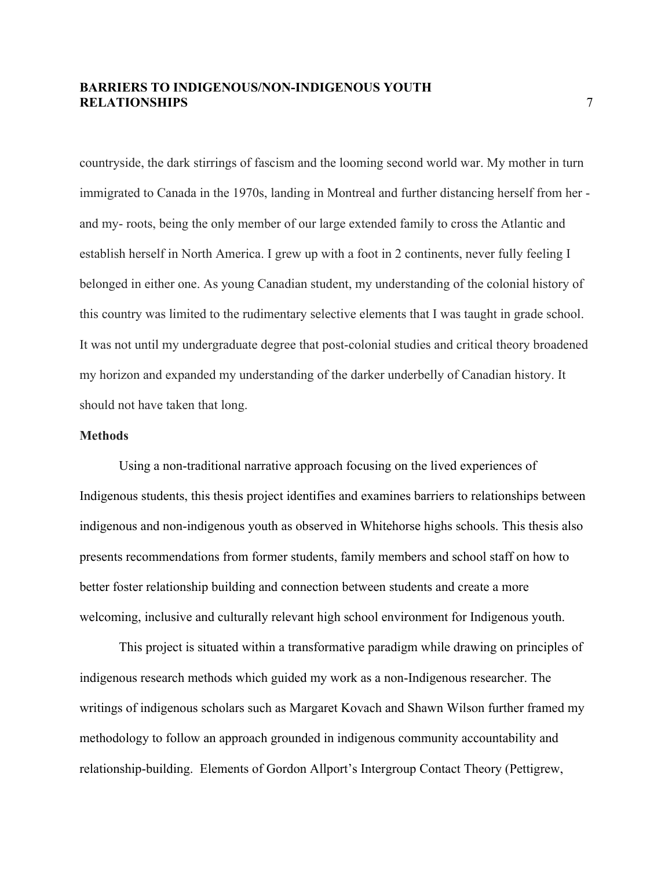countryside, the dark stirrings of fascism and the looming second world war. My mother in turn immigrated to Canada in the 1970s, landing in Montreal and further distancing herself from her and my- roots, being the only member of our large extended family to cross the Atlantic and establish herself in North America. I grew up with a foot in 2 continents, never fully feeling I belonged in either one. As young Canadian student, my understanding of the colonial history of this country was limited to the rudimentary selective elements that I was taught in grade school. It was not until my undergraduate degree that post-colonial studies and critical theory broadened my horizon and expanded my understanding of the darker underbelly of Canadian history. It should not have taken that long.

#### **Methods**

Using a non-traditional narrative approach focusing on the lived experiences of Indigenous students, this thesis project identifies and examines barriers to relationships between indigenous and non-indigenous youth as observed in Whitehorse highs schools. This thesis also presents recommendations from former students, family members and school staff on how to better foster relationship building and connection between students and create a more welcoming, inclusive and culturally relevant high school environment for Indigenous youth.

This project is situated within a transformative paradigm while drawing on principles of indigenous research methods which guided my work as a non-Indigenous researcher. The writings of indigenous scholars such as Margaret Kovach and Shawn Wilson further framed my methodology to follow an approach grounded in indigenous community accountability and relationship-building. Elements of Gordon Allport's Intergroup Contact Theory (Pettigrew,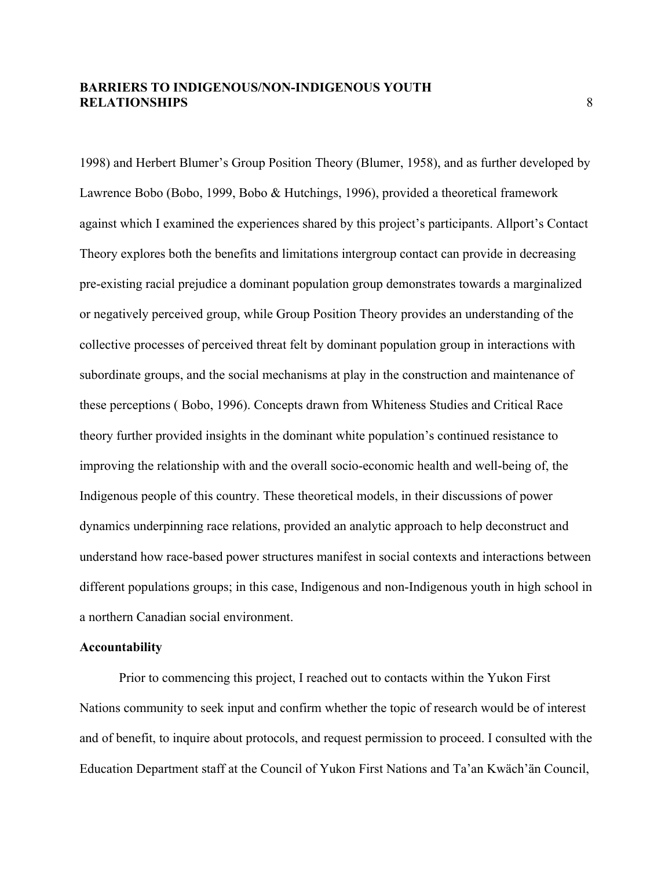1998) and Herbert Blumer's Group Position Theory (Blumer, 1958), and as further developed by Lawrence Bobo (Bobo, 1999, Bobo & Hutchings, 1996), provided a theoretical framework against which I examined the experiences shared by this project's participants. Allport's Contact Theory explores both the benefits and limitations intergroup contact can provide in decreasing pre-existing racial prejudice a dominant population group demonstrates towards a marginalized or negatively perceived group, while Group Position Theory provides an understanding of the collective processes of perceived threat felt by dominant population group in interactions with subordinate groups, and the social mechanisms at play in the construction and maintenance of these perceptions ( Bobo, 1996). Concepts drawn from Whiteness Studies and Critical Race theory further provided insights in the dominant white population's continued resistance to improving the relationship with and the overall socio-economic health and well-being of, the Indigenous people of this country. These theoretical models, in their discussions of power dynamics underpinning race relations, provided an analytic approach to help deconstruct and understand how race-based power structures manifest in social contexts and interactions between different populations groups; in this case, Indigenous and non-Indigenous youth in high school in a northern Canadian social environment.

#### **Accountability**

Prior to commencing this project, I reached out to contacts within the Yukon First Nations community to seek input and confirm whether the topic of research would be of interest and of benefit, to inquire about protocols, and request permission to proceed. I consulted with the Education Department staff at the Council of Yukon First Nations and Ta'an Kwäch'än Council,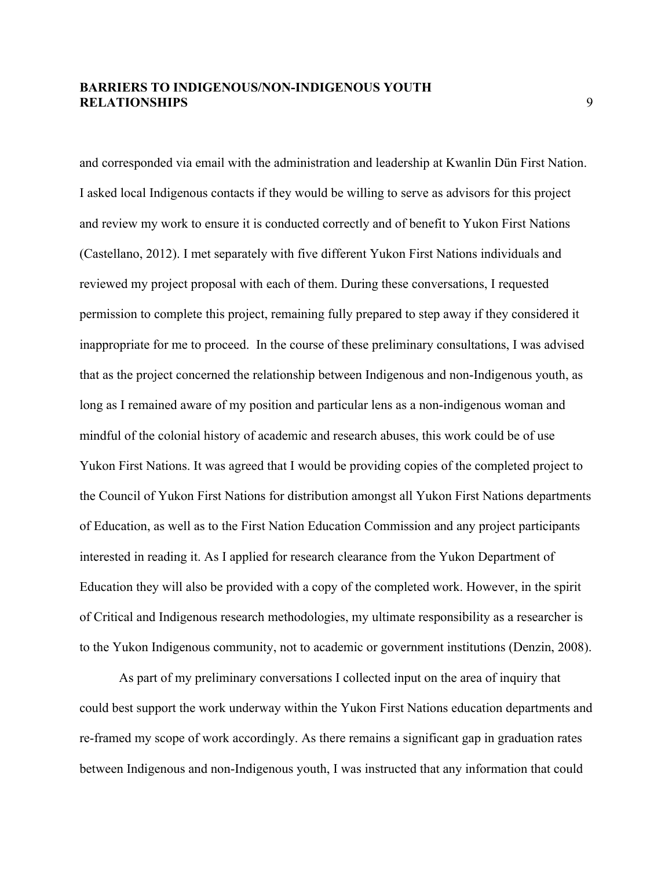and corresponded via email with the administration and leadership at Kwanlin Dün First Nation. I asked local Indigenous contacts if they would be willing to serve as advisors for this project and review my work to ensure it is conducted correctly and of benefit to Yukon First Nations (Castellano, 2012). I met separately with five different Yukon First Nations individuals and reviewed my project proposal with each of them. During these conversations, I requested permission to complete this project, remaining fully prepared to step away if they considered it inappropriate for me to proceed. In the course of these preliminary consultations, I was advised that as the project concerned the relationship between Indigenous and non-Indigenous youth, as long as I remained aware of my position and particular lens as a non-indigenous woman and mindful of the colonial history of academic and research abuses, this work could be of use Yukon First Nations. It was agreed that I would be providing copies of the completed project to the Council of Yukon First Nations for distribution amongst all Yukon First Nations departments of Education, as well as to the First Nation Education Commission and any project participants interested in reading it. As I applied for research clearance from the Yukon Department of Education they will also be provided with a copy of the completed work. However, in the spirit of Critical and Indigenous research methodologies, my ultimate responsibility as a researcher is to the Yukon Indigenous community, not to academic or government institutions (Denzin, 2008).

As part of my preliminary conversations I collected input on the area of inquiry that could best support the work underway within the Yukon First Nations education departments and re-framed my scope of work accordingly. As there remains a significant gap in graduation rates between Indigenous and non-Indigenous youth, I was instructed that any information that could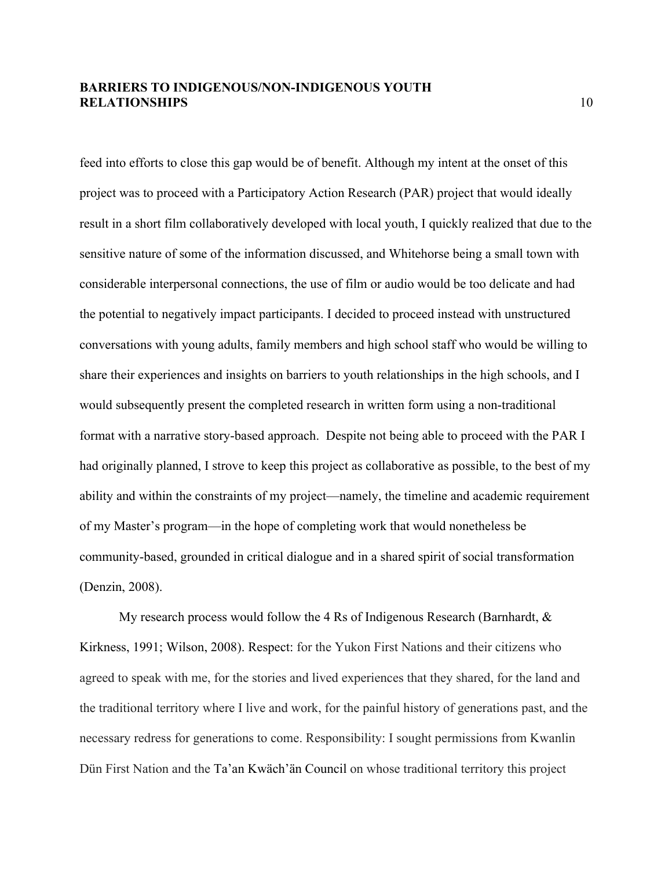feed into efforts to close this gap would be of benefit. Although my intent at the onset of this project was to proceed with a Participatory Action Research (PAR) project that would ideally result in a short film collaboratively developed with local youth, I quickly realized that due to the sensitive nature of some of the information discussed, and Whitehorse being a small town with considerable interpersonal connections, the use of film or audio would be too delicate and had the potential to negatively impact participants. I decided to proceed instead with unstructured conversations with young adults, family members and high school staff who would be willing to share their experiences and insights on barriers to youth relationships in the high schools, and I would subsequently present the completed research in written form using a non-traditional format with a narrative story-based approach. Despite not being able to proceed with the PAR I had originally planned, I strove to keep this project as collaborative as possible, to the best of my ability and within the constraints of my project—namely, the timeline and academic requirement of my Master's program—in the hope of completing work that would nonetheless be community-based, grounded in critical dialogue and in a shared spirit of social transformation (Denzin, 2008).

My research process would follow the 4 Rs of Indigenous Research (Barnhardt,  $\&$ Kirkness, 1991; Wilson, 2008). Respect: for the Yukon First Nations and their citizens who agreed to speak with me, for the stories and lived experiences that they shared, for the land and the traditional territory where I live and work, for the painful history of generations past, and the necessary redress for generations to come. Responsibility: I sought permissions from Kwanlin Dün First Nation and the Ta'an Kwäch'än Council on whose traditional territory this project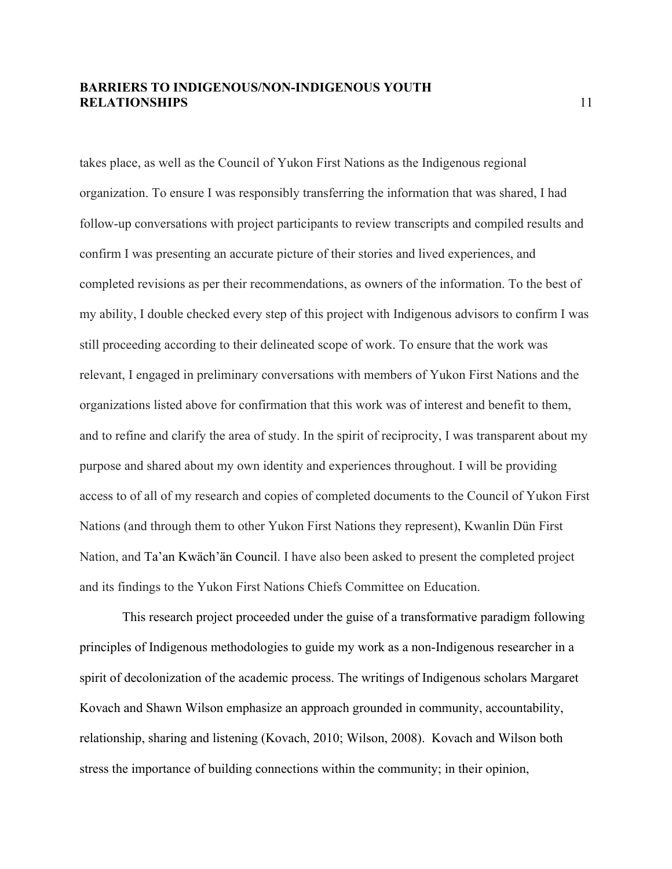takes place, as well as the Council of Yukon First Nations as the Indigenous regional organization. To ensure I was responsibly transferring the information that was shared, I had follow-up conversations with project participants to review transcripts and compiled results and confirm I was presenting an accurate picture of their stories and lived experiences, and completed revisions as per their recommendations, as owners of the information. To the best of my ability, I double checked every step of this project with Indigenous advisors to confirm I was still proceeding according to their delineated scope of work. To ensure that the work was relevant, I engaged in preliminary conversations with members of Yukon First Nations and the organizations listed above for confirmation that this work was of interest and benefit to them, and to refine and clarify the area of study. In the spirit of reciprocity, I was transparent about my purpose and shared about my own identity and experiences throughout. I will be providing access to of all of my research and copies of completed documents to the Council of Yukon First Nations (and through them to other Yukon First Nations they represent), Kwanlin Dün First Nation, and Ta'an Kwäch'än Council. I have also been asked to present the completed project and its findings to the Yukon First Nations Chiefs Committee on Education.

This research project proceeded under the guise of a transformative paradigm following principles of Indigenous methodologies to guide my work as a non-Indigenous researcher in a spirit of decolonization of the academic process. The writings of Indigenous scholars Margaret Kovach and Shawn Wilson emphasize an approach grounded in community, accountability, relationship, sharing and listening (Kovach, 2010; Wilson, 2008). Kovach and Wilson both stress the importance of building connections within the community; in their opinion,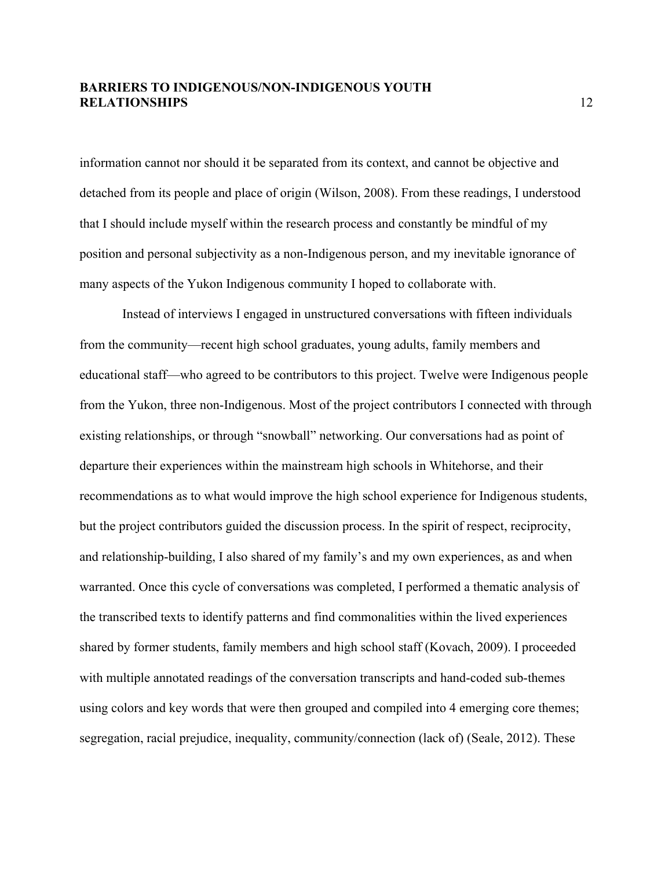information cannot nor should it be separated from its context, and cannot be objective and detached from its people and place of origin (Wilson, 2008). From these readings, I understood that I should include myself within the research process and constantly be mindful of my position and personal subjectivity as a non-Indigenous person, and my inevitable ignorance of many aspects of the Yukon Indigenous community I hoped to collaborate with.

Instead of interviews I engaged in unstructured conversations with fifteen individuals from the community—recent high school graduates, young adults, family members and educational staff—who agreed to be contributors to this project. Twelve were Indigenous people from the Yukon, three non-Indigenous. Most of the project contributors I connected with through existing relationships, or through "snowball" networking. Our conversations had as point of departure their experiences within the mainstream high schools in Whitehorse, and their recommendations as to what would improve the high school experience for Indigenous students, but the project contributors guided the discussion process. In the spirit of respect, reciprocity, and relationship-building, I also shared of my family's and my own experiences, as and when warranted. Once this cycle of conversations was completed, I performed a thematic analysis of the transcribed texts to identify patterns and find commonalities within the lived experiences shared by former students, family members and high school staff (Kovach, 2009). I proceeded with multiple annotated readings of the conversation transcripts and hand-coded sub-themes using colors and key words that were then grouped and compiled into 4 emerging core themes; segregation, racial prejudice, inequality, community/connection (lack of) (Seale, 2012). These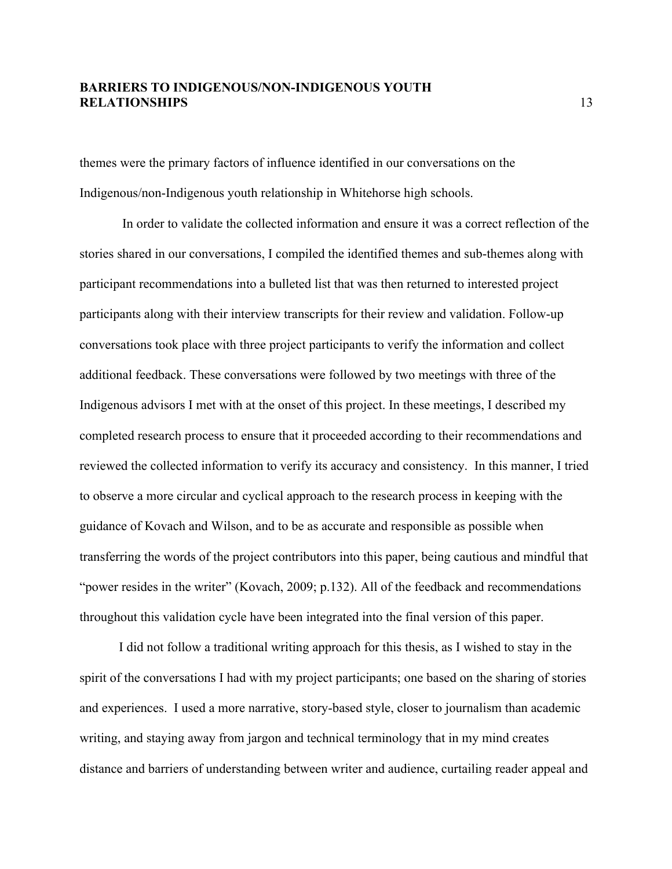themes were the primary factors of influence identified in our conversations on the Indigenous/non-Indigenous youth relationship in Whitehorse high schools.

In order to validate the collected information and ensure it was a correct reflection of the stories shared in our conversations, I compiled the identified themes and sub-themes along with participant recommendations into a bulleted list that was then returned to interested project participants along with their interview transcripts for their review and validation. Follow-up conversations took place with three project participants to verify the information and collect additional feedback. These conversations were followed by two meetings with three of the Indigenous advisors I met with at the onset of this project. In these meetings, I described my completed research process to ensure that it proceeded according to their recommendations and reviewed the collected information to verify its accuracy and consistency. In this manner, I tried to observe a more circular and cyclical approach to the research process in keeping with the guidance of Kovach and Wilson, and to be as accurate and responsible as possible when transferring the words of the project contributors into this paper, being cautious and mindful that "power resides in the writer" (Kovach, 2009; p.132). All of the feedback and recommendations throughout this validation cycle have been integrated into the final version of this paper.

I did not follow a traditional writing approach for this thesis, as I wished to stay in the spirit of the conversations I had with my project participants; one based on the sharing of stories and experiences. I used a more narrative, story-based style, closer to journalism than academic writing, and staying away from jargon and technical terminology that in my mind creates distance and barriers of understanding between writer and audience, curtailing reader appeal and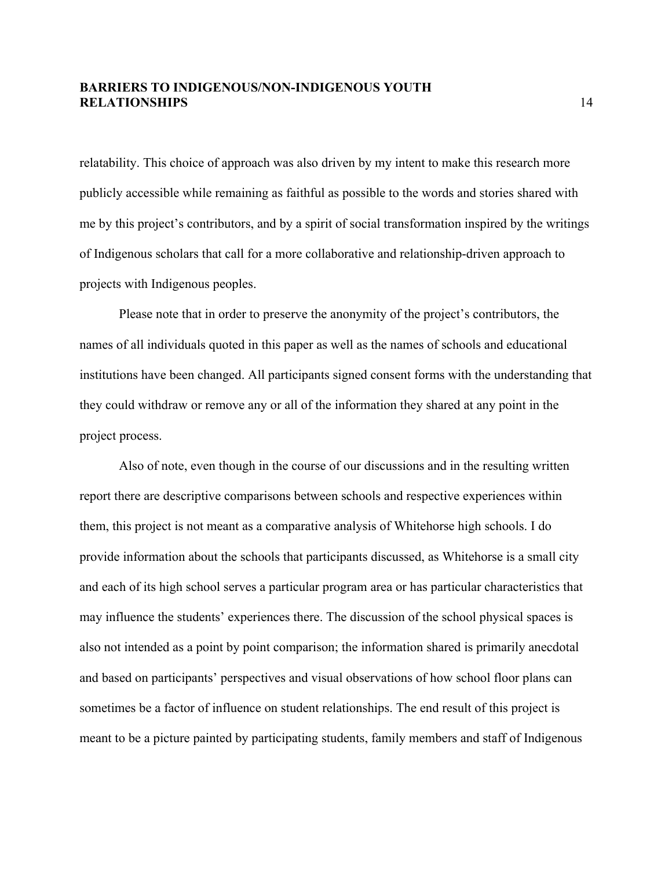relatability. This choice of approach was also driven by my intent to make this research more publicly accessible while remaining as faithful as possible to the words and stories shared with me by this project's contributors, and by a spirit of social transformation inspired by the writings of Indigenous scholars that call for a more collaborative and relationship-driven approach to projects with Indigenous peoples.

Please note that in order to preserve the anonymity of the project's contributors, the names of all individuals quoted in this paper as well as the names of schools and educational institutions have been changed. All participants signed consent forms with the understanding that they could withdraw or remove any or all of the information they shared at any point in the project process.

Also of note, even though in the course of our discussions and in the resulting written report there are descriptive comparisons between schools and respective experiences within them, this project is not meant as a comparative analysis of Whitehorse high schools. I do provide information about the schools that participants discussed, as Whitehorse is a small city and each of its high school serves a particular program area or has particular characteristics that may influence the students' experiences there. The discussion of the school physical spaces is also not intended as a point by point comparison; the information shared is primarily anecdotal and based on participants' perspectives and visual observations of how school floor plans can sometimes be a factor of influence on student relationships. The end result of this project is meant to be a picture painted by participating students, family members and staff of Indigenous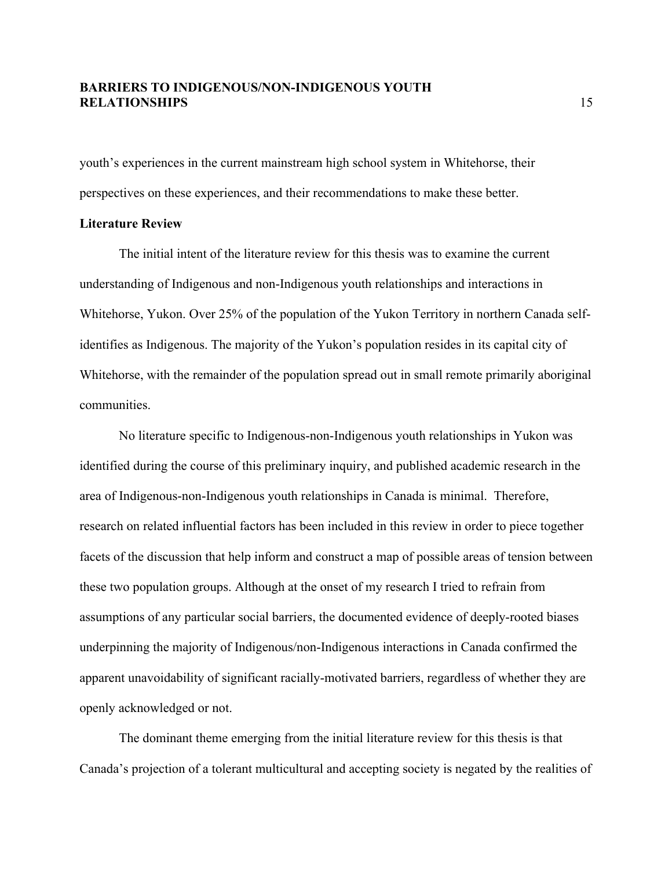youth's experiences in the current mainstream high school system in Whitehorse, their perspectives on these experiences, and their recommendations to make these better.

#### **Literature Review**

The initial intent of the literature review for this thesis was to examine the current understanding of Indigenous and non-Indigenous youth relationships and interactions in Whitehorse, Yukon. Over 25% of the population of the Yukon Territory in northern Canada selfidentifies as Indigenous. The majority of the Yukon's population resides in its capital city of Whitehorse, with the remainder of the population spread out in small remote primarily aboriginal communities.

No literature specific to Indigenous-non-Indigenous youth relationships in Yukon was identified during the course of this preliminary inquiry, and published academic research in the area of Indigenous-non-Indigenous youth relationships in Canada is minimal. Therefore, research on related influential factors has been included in this review in order to piece together facets of the discussion that help inform and construct a map of possible areas of tension between these two population groups. Although at the onset of my research I tried to refrain from assumptions of any particular social barriers, the documented evidence of deeply-rooted biases underpinning the majority of Indigenous/non-Indigenous interactions in Canada confirmed the apparent unavoidability of significant racially-motivated barriers, regardless of whether they are openly acknowledged or not.

The dominant theme emerging from the initial literature review for this thesis is that Canada's projection of a tolerant multicultural and accepting society is negated by the realities of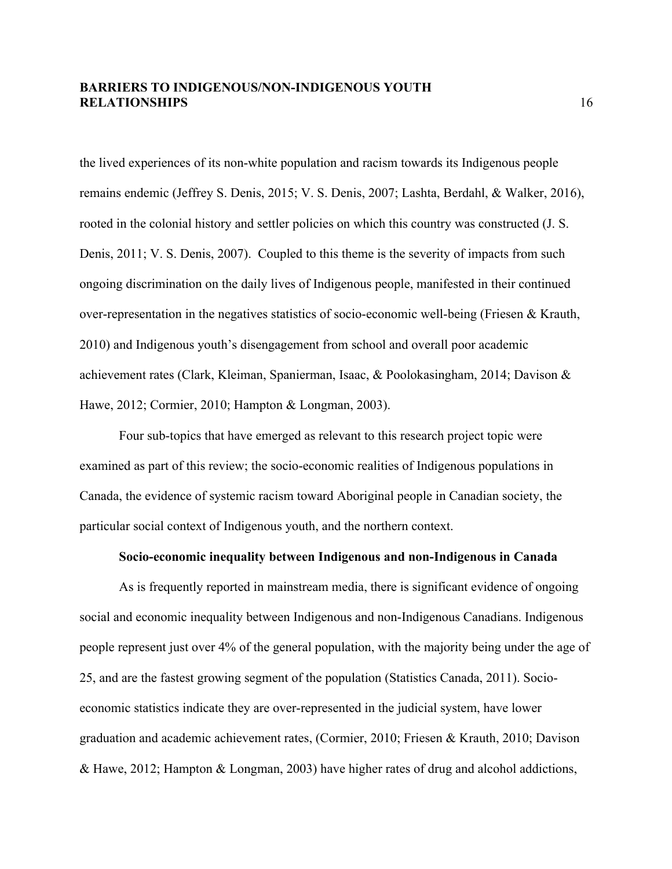the lived experiences of its non-white population and racism towards its Indigenous people remains endemic (Jeffrey S. Denis, 2015; V. S. Denis, 2007; Lashta, Berdahl, & Walker, 2016), rooted in the colonial history and settler policies on which this country was constructed (J. S. Denis, 2011; V. S. Denis, 2007). Coupled to this theme is the severity of impacts from such ongoing discrimination on the daily lives of Indigenous people, manifested in their continued over-representation in the negatives statistics of socio-economic well-being (Friesen & Krauth, 2010) and Indigenous youth's disengagement from school and overall poor academic achievement rates (Clark, Kleiman, Spanierman, Isaac, & Poolokasingham, 2014; Davison & Hawe, 2012; Cormier, 2010; Hampton & Longman, 2003).

Four sub-topics that have emerged as relevant to this research project topic were examined as part of this review; the socio-economic realities of Indigenous populations in Canada, the evidence of systemic racism toward Aboriginal people in Canadian society, the particular social context of Indigenous youth, and the northern context.

#### **Socio-economic inequality between Indigenous and non-Indigenous in Canada**

As is frequently reported in mainstream media, there is significant evidence of ongoing social and economic inequality between Indigenous and non-Indigenous Canadians. Indigenous people represent just over 4% of the general population, with the majority being under the age of 25, and are the fastest growing segment of the population (Statistics Canada, 2011). Socioeconomic statistics indicate they are over-represented in the judicial system, have lower graduation and academic achievement rates, (Cormier, 2010; Friesen & Krauth, 2010; Davison & Hawe, 2012; Hampton & Longman, 2003) have higher rates of drug and alcohol addictions,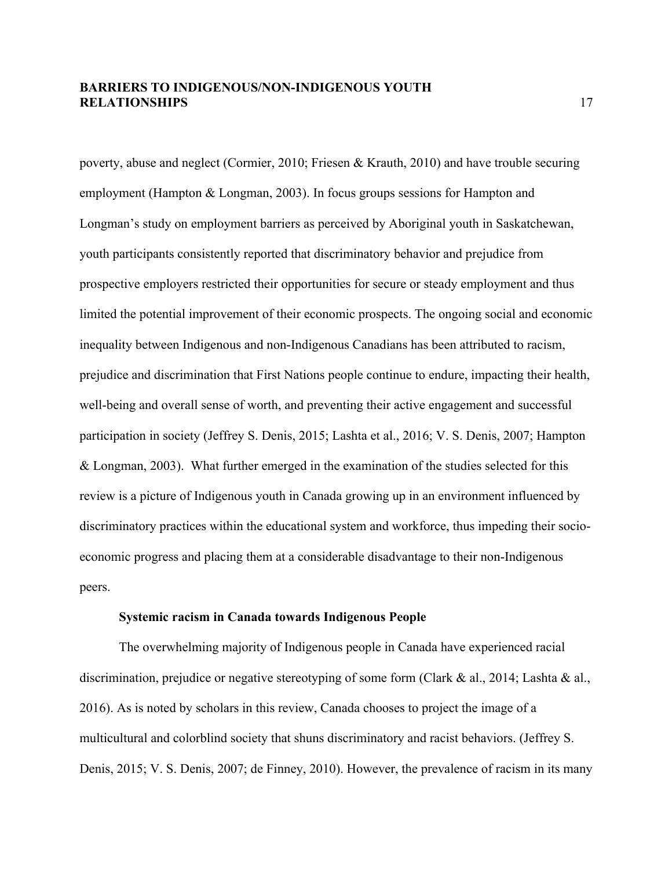poverty, abuse and neglect (Cormier, 2010; Friesen & Krauth, 2010) and have trouble securing employment (Hampton & Longman, 2003). In focus groups sessions for Hampton and Longman's study on employment barriers as perceived by Aboriginal youth in Saskatchewan, youth participants consistently reported that discriminatory behavior and prejudice from prospective employers restricted their opportunities for secure or steady employment and thus limited the potential improvement of their economic prospects. The ongoing social and economic inequality between Indigenous and non-Indigenous Canadians has been attributed to racism, prejudice and discrimination that First Nations people continue to endure, impacting their health, well-being and overall sense of worth, and preventing their active engagement and successful participation in society (Jeffrey S. Denis, 2015; Lashta et al., 2016; V. S. Denis, 2007; Hampton & Longman, 2003). What further emerged in the examination of the studies selected for this review is a picture of Indigenous youth in Canada growing up in an environment influenced by discriminatory practices within the educational system and workforce, thus impeding their socioeconomic progress and placing them at a considerable disadvantage to their non-Indigenous peers.

#### **Systemic racism in Canada towards Indigenous People**

The overwhelming majority of Indigenous people in Canada have experienced racial discrimination, prejudice or negative stereotyping of some form (Clark & al., 2014; Lashta & al., 2016). As is noted by scholars in this review, Canada chooses to project the image of a multicultural and colorblind society that shuns discriminatory and racist behaviors. (Jeffrey S. Denis, 2015; V. S. Denis, 2007; de Finney, 2010). However, the prevalence of racism in its many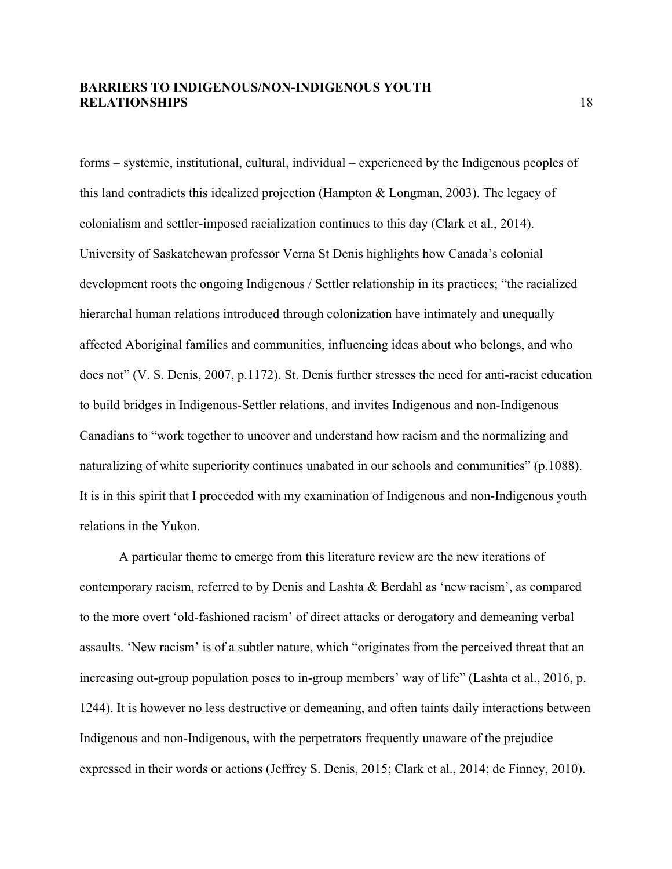forms – systemic, institutional, cultural, individual – experienced by the Indigenous peoples of this land contradicts this idealized projection (Hampton & Longman, 2003). The legacy of colonialism and settler-imposed racialization continues to this day (Clark et al., 2014). University of Saskatchewan professor Verna St Denis highlights how Canada's colonial development roots the ongoing Indigenous / Settler relationship in its practices; "the racialized hierarchal human relations introduced through colonization have intimately and unequally affected Aboriginal families and communities, influencing ideas about who belongs, and who does not" (V. S. Denis, 2007, p.1172). St. Denis further stresses the need for anti-racist education to build bridges in Indigenous-Settler relations, and invites Indigenous and non-Indigenous Canadians to "work together to uncover and understand how racism and the normalizing and naturalizing of white superiority continues unabated in our schools and communities" (p.1088). It is in this spirit that I proceeded with my examination of Indigenous and non-Indigenous youth relations in the Yukon.

A particular theme to emerge from this literature review are the new iterations of contemporary racism, referred to by Denis and Lashta & Berdahl as 'new racism', as compared to the more overt 'old-fashioned racism' of direct attacks or derogatory and demeaning verbal assaults. 'New racism' is of a subtler nature, which "originates from the perceived threat that an increasing out-group population poses to in-group members' way of life" (Lashta et al., 2016, p. 1244). It is however no less destructive or demeaning, and often taints daily interactions between Indigenous and non-Indigenous, with the perpetrators frequently unaware of the prejudice expressed in their words or actions (Jeffrey S. Denis, 2015; Clark et al., 2014; de Finney, 2010).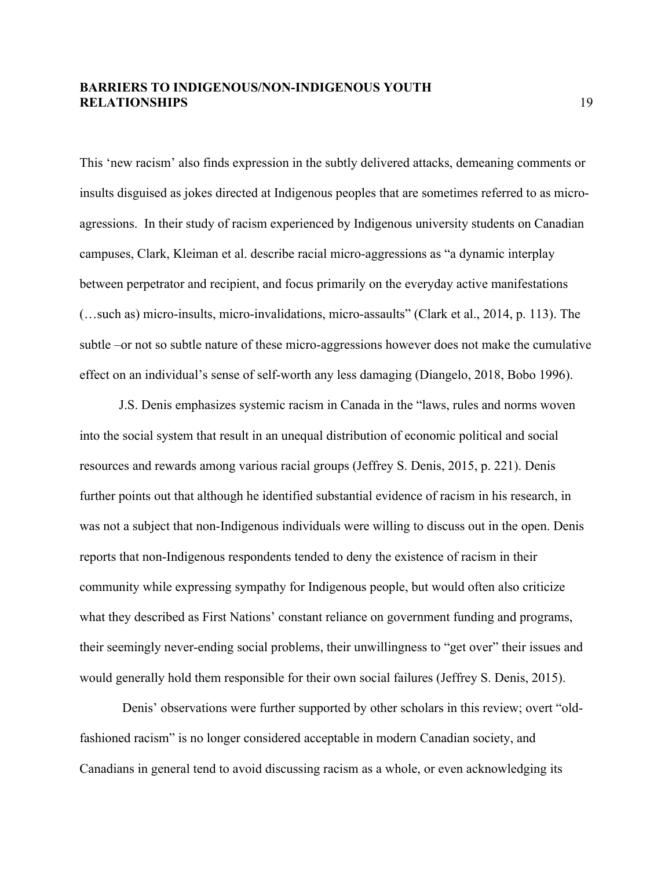This 'new racism' also finds expression in the subtly delivered attacks, demeaning comments or insults disguised as jokes directed at Indigenous peoples that are sometimes referred to as microagressions. In their study of racism experienced by Indigenous university students on Canadian campuses, Clark, Kleiman et al. describe racial micro-aggressions as "a dynamic interplay between perpetrator and recipient, and focus primarily on the everyday active manifestations (…such as) micro-insults, micro-invalidations, micro-assaults" (Clark et al., 2014, p. 113). The subtle –or not so subtle nature of these micro-aggressions however does not make the cumulative effect on an individual's sense of self-worth any less damaging (Diangelo, 2018, Bobo 1996).

J.S. Denis emphasizes systemic racism in Canada in the "laws, rules and norms woven into the social system that result in an unequal distribution of economic political and social resources and rewards among various racial groups (Jeffrey S. Denis, 2015, p. 221). Denis further points out that although he identified substantial evidence of racism in his research, in was not a subject that non-Indigenous individuals were willing to discuss out in the open. Denis reports that non-Indigenous respondents tended to deny the existence of racism in their community while expressing sympathy for Indigenous people, but would often also criticize what they described as First Nations' constant reliance on government funding and programs, their seemingly never-ending social problems, their unwillingness to "get over" their issues and would generally hold them responsible for their own social failures (Jeffrey S. Denis, 2015).

Denis' observations were further supported by other scholars in this review; overt "oldfashioned racism" is no longer considered acceptable in modern Canadian society, and Canadians in general tend to avoid discussing racism as a whole, or even acknowledging its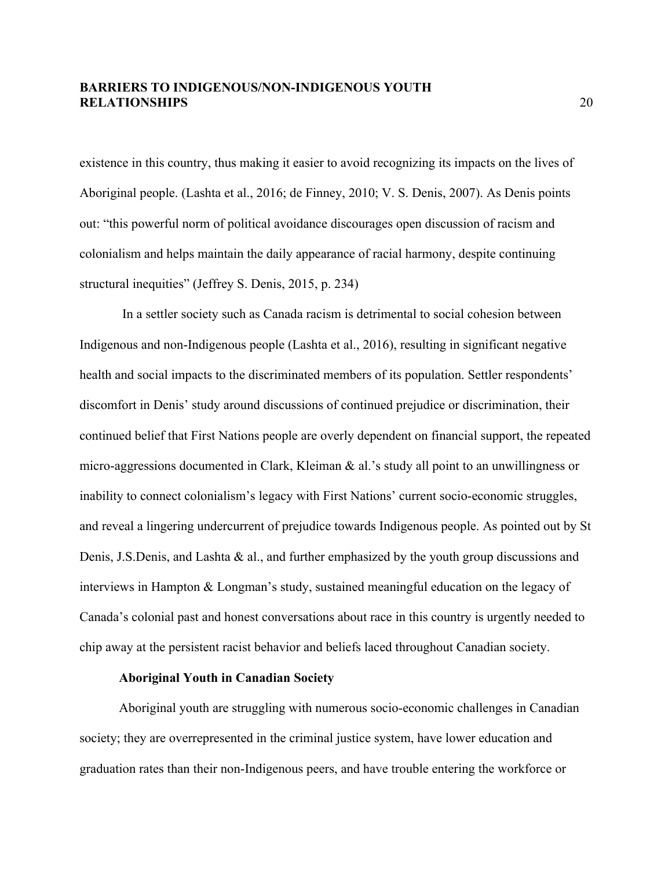existence in this country, thus making it easier to avoid recognizing its impacts on the lives of Aboriginal people. (Lashta et al., 2016; de Finney, 2010; V. S. Denis, 2007). As Denis points out: "this powerful norm of political avoidance discourages open discussion of racism and colonialism and helps maintain the daily appearance of racial harmony, despite continuing structural inequities" (Jeffrey S. Denis, 2015, p. 234)

In a settler society such as Canada racism is detrimental to social cohesion between Indigenous and non-Indigenous people (Lashta et al., 2016), resulting in significant negative health and social impacts to the discriminated members of its population. Settler respondents' discomfort in Denis' study around discussions of continued prejudice or discrimination, their continued belief that First Nations people are overly dependent on financial support, the repeated micro-aggressions documented in Clark, Kleiman & al.'s study all point to an unwillingness or inability to connect colonialism's legacy with First Nations' current socio-economic struggles, and reveal a lingering undercurrent of prejudice towards Indigenous people. As pointed out by St Denis, J.S.Denis, and Lashta & al., and further emphasized by the youth group discussions and interviews in Hampton & Longman's study, sustained meaningful education on the legacy of Canada's colonial past and honest conversations about race in this country is urgently needed to chip away at the persistent racist behavior and beliefs laced throughout Canadian society.

#### **Aboriginal Youth in Canadian Society**

Aboriginal youth are struggling with numerous socio-economic challenges in Canadian society; they are overrepresented in the criminal justice system, have lower education and graduation rates than their non-Indigenous peers, and have trouble entering the workforce or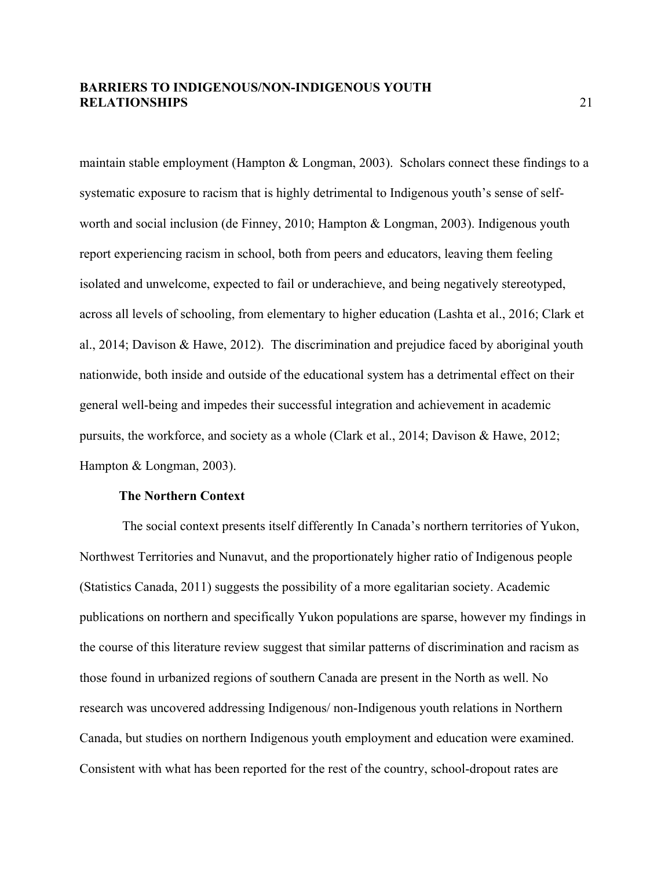maintain stable employment (Hampton & Longman, 2003). Scholars connect these findings to a systematic exposure to racism that is highly detrimental to Indigenous youth's sense of selfworth and social inclusion (de Finney, 2010; Hampton & Longman, 2003). Indigenous youth report experiencing racism in school, both from peers and educators, leaving them feeling isolated and unwelcome, expected to fail or underachieve, and being negatively stereotyped, across all levels of schooling, from elementary to higher education (Lashta et al., 2016; Clark et al., 2014; Davison & Hawe, 2012). The discrimination and prejudice faced by aboriginal youth nationwide, both inside and outside of the educational system has a detrimental effect on their general well-being and impedes their successful integration and achievement in academic pursuits, the workforce, and society as a whole (Clark et al., 2014; Davison & Hawe, 2012; Hampton & Longman, 2003).

#### **The Northern Context**

The social context presents itself differently In Canada's northern territories of Yukon, Northwest Territories and Nunavut, and the proportionately higher ratio of Indigenous people (Statistics Canada, 2011) suggests the possibility of a more egalitarian society. Academic publications on northern and specifically Yukon populations are sparse, however my findings in the course of this literature review suggest that similar patterns of discrimination and racism as those found in urbanized regions of southern Canada are present in the North as well. No research was uncovered addressing Indigenous/ non-Indigenous youth relations in Northern Canada, but studies on northern Indigenous youth employment and education were examined. Consistent with what has been reported for the rest of the country, school-dropout rates are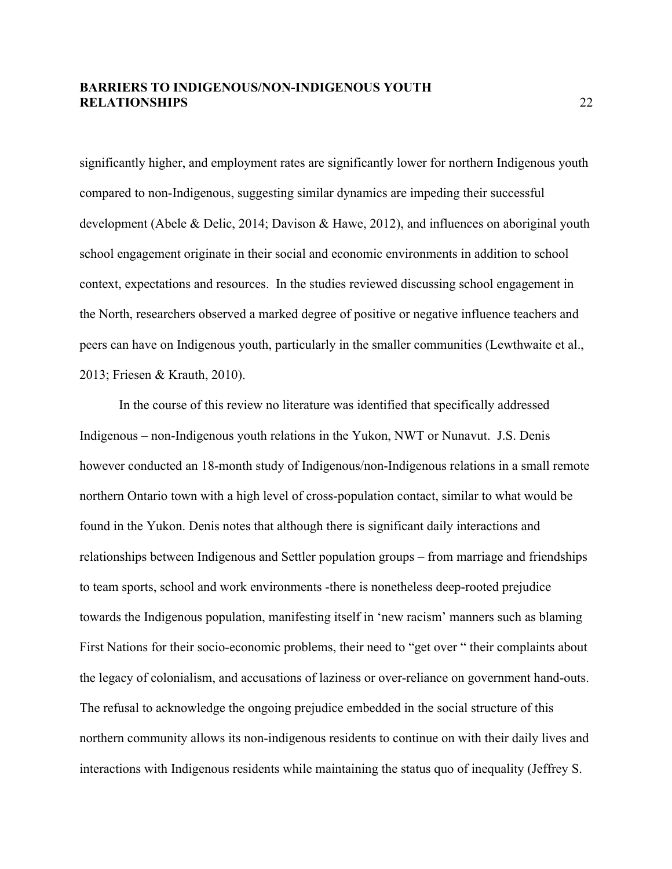significantly higher, and employment rates are significantly lower for northern Indigenous youth compared to non-Indigenous, suggesting similar dynamics are impeding their successful development (Abele & Delic, 2014; Davison & Hawe, 2012), and influences on aboriginal youth school engagement originate in their social and economic environments in addition to school context, expectations and resources. In the studies reviewed discussing school engagement in the North, researchers observed a marked degree of positive or negative influence teachers and peers can have on Indigenous youth, particularly in the smaller communities (Lewthwaite et al., 2013; Friesen & Krauth, 2010).

In the course of this review no literature was identified that specifically addressed Indigenous – non-Indigenous youth relations in the Yukon, NWT or Nunavut. J.S. Denis however conducted an 18-month study of Indigenous/non-Indigenous relations in a small remote northern Ontario town with a high level of cross-population contact, similar to what would be found in the Yukon. Denis notes that although there is significant daily interactions and relationships between Indigenous and Settler population groups – from marriage and friendships to team sports, school and work environments -there is nonetheless deep-rooted prejudice towards the Indigenous population, manifesting itself in 'new racism' manners such as blaming First Nations for their socio-economic problems, their need to "get over " their complaints about the legacy of colonialism, and accusations of laziness or over-reliance on government hand-outs. The refusal to acknowledge the ongoing prejudice embedded in the social structure of this northern community allows its non-indigenous residents to continue on with their daily lives and interactions with Indigenous residents while maintaining the status quo of inequality (Jeffrey S.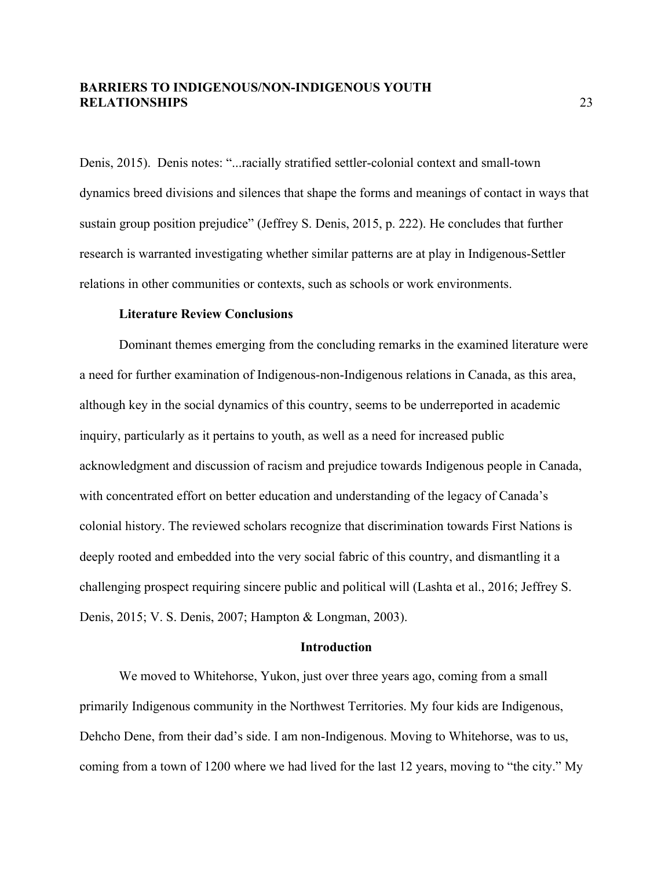Denis, 2015). Denis notes: "...racially stratified settler-colonial context and small-town dynamics breed divisions and silences that shape the forms and meanings of contact in ways that sustain group position prejudice" (Jeffrey S. Denis, 2015, p. 222). He concludes that further research is warranted investigating whether similar patterns are at play in Indigenous-Settler relations in other communities or contexts, such as schools or work environments.

#### **Literature Review Conclusions**

Dominant themes emerging from the concluding remarks in the examined literature were a need for further examination of Indigenous-non-Indigenous relations in Canada, as this area, although key in the social dynamics of this country, seems to be underreported in academic inquiry, particularly as it pertains to youth, as well as a need for increased public acknowledgment and discussion of racism and prejudice towards Indigenous people in Canada, with concentrated effort on better education and understanding of the legacy of Canada's colonial history. The reviewed scholars recognize that discrimination towards First Nations is deeply rooted and embedded into the very social fabric of this country, and dismantling it a challenging prospect requiring sincere public and political will (Lashta et al., 2016; Jeffrey S. Denis, 2015; V. S. Denis, 2007; Hampton & Longman, 2003).

#### **Introduction**

We moved to Whitehorse, Yukon, just over three years ago, coming from a small primarily Indigenous community in the Northwest Territories. My four kids are Indigenous, Dehcho Dene, from their dad's side. I am non-Indigenous. Moving to Whitehorse, was to us, coming from a town of 1200 where we had lived for the last 12 years, moving to "the city." My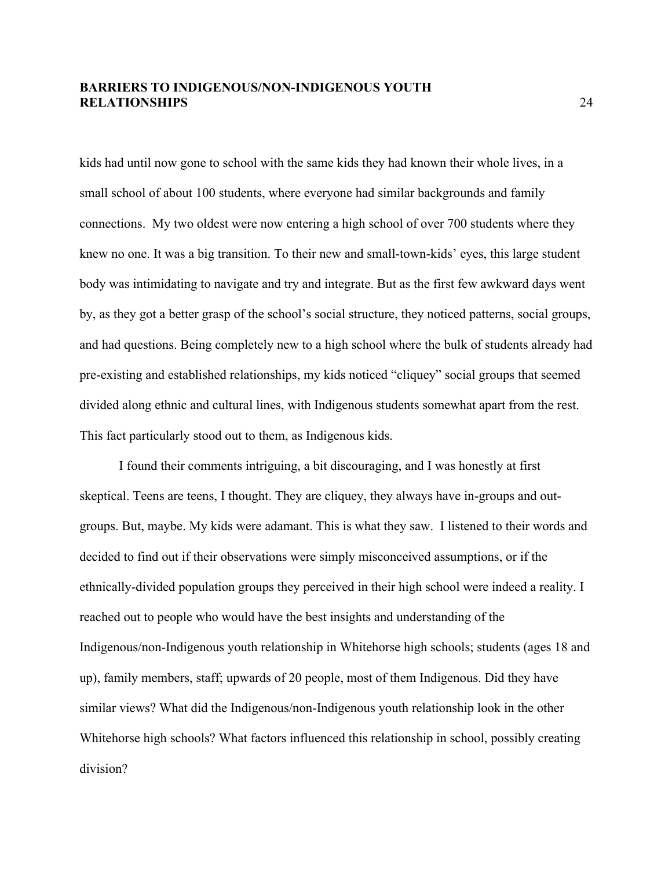kids had until now gone to school with the same kids they had known their whole lives, in a small school of about 100 students, where everyone had similar backgrounds and family connections. My two oldest were now entering a high school of over 700 students where they knew no one. It was a big transition. To their new and small-town-kids' eyes, this large student body was intimidating to navigate and try and integrate. But as the first few awkward days went by, as they got a better grasp of the school's social structure, they noticed patterns, social groups, and had questions. Being completely new to a high school where the bulk of students already had pre-existing and established relationships, my kids noticed "cliquey" social groups that seemed divided along ethnic and cultural lines, with Indigenous students somewhat apart from the rest. This fact particularly stood out to them, as Indigenous kids.

I found their comments intriguing, a bit discouraging, and I was honestly at first skeptical. Teens are teens, I thought. They are cliquey, they always have in-groups and outgroups. But, maybe. My kids were adamant. This is what they saw. I listened to their words and decided to find out if their observations were simply misconceived assumptions, or if the ethnically-divided population groups they perceived in their high school were indeed a reality. I reached out to people who would have the best insights and understanding of the Indigenous/non-Indigenous youth relationship in Whitehorse high schools; students (ages 18 and up), family members, staff; upwards of 20 people, most of them Indigenous. Did they have similar views? What did the Indigenous/non-Indigenous youth relationship look in the other Whitehorse high schools? What factors influenced this relationship in school, possibly creating division?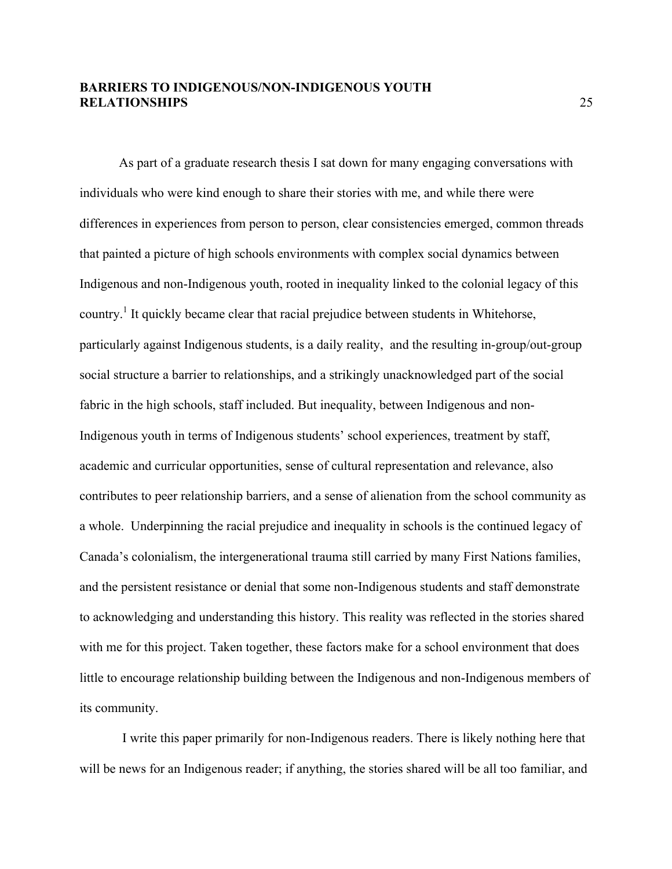As part of a graduate research thesis I sat down for many engaging conversations with individuals who were kind enough to share their stories with me, and while there were differences in experiences from person to person, clear consistencies emerged, common threads that painted a picture of high schools environments with complex social dynamics between Indigenous and non-Indigenous youth, rooted in inequality linked to the colonial legacy of this country.<sup>1</sup> It quickly became clear that racial prejudice between students in Whitehorse, particularly against Indigenous students, is a daily reality, and the resulting in-group/out-group social structure a barrier to relationships, and a strikingly unacknowledged part of the social fabric in the high schools, staff included. But inequality, between Indigenous and non-Indigenous youth in terms of Indigenous students' school experiences, treatment by staff, academic and curricular opportunities, sense of cultural representation and relevance, also contributes to peer relationship barriers, and a sense of alienation from the school community as a whole. Underpinning the racial prejudice and inequality in schools is the continued legacy of Canada's colonialism, the intergenerational trauma still carried by many First Nations families, and the persistent resistance or denial that some non-Indigenous students and staff demonstrate to acknowledging and understanding this history. This reality was reflected in the stories shared with me for this project. Taken together, these factors make for a school environment that does little to encourage relationship building between the Indigenous and non-Indigenous members of its community.

I write this paper primarily for non-Indigenous readers. There is likely nothing here that will be news for an Indigenous reader; if anything, the stories shared will be all too familiar, and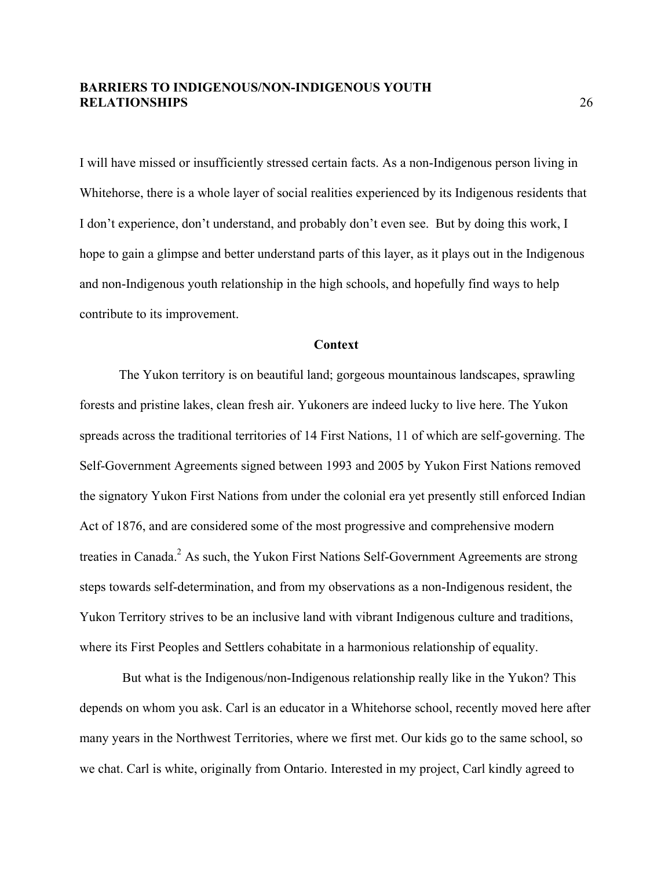I will have missed or insufficiently stressed certain facts. As a non-Indigenous person living in Whitehorse, there is a whole layer of social realities experienced by its Indigenous residents that I don't experience, don't understand, and probably don't even see. But by doing this work, I hope to gain a glimpse and better understand parts of this layer, as it plays out in the Indigenous and non-Indigenous youth relationship in the high schools, and hopefully find ways to help contribute to its improvement.

#### **Context**

The Yukon territory is on beautiful land; gorgeous mountainous landscapes, sprawling forests and pristine lakes, clean fresh air. Yukoners are indeed lucky to live here. The Yukon spreads across the traditional territories of 14 First Nations, 11 of which are self-governing. The Self-Government Agreements signed between 1993 and 2005 by Yukon First Nations removed the signatory Yukon First Nations from under the colonial era yet presently still enforced Indian Act of 1876, and are considered some of the most progressive and comprehensive modern treaties in Canada.<sup>2</sup> As such, the Yukon First Nations Self-Government Agreements are strong steps towards self-determination, and from my observations as a non-Indigenous resident, the Yukon Territory strives to be an inclusive land with vibrant Indigenous culture and traditions, where its First Peoples and Settlers cohabitate in a harmonious relationship of equality.

But what is the Indigenous/non-Indigenous relationship really like in the Yukon? This depends on whom you ask. Carl is an educator in a Whitehorse school, recently moved here after many years in the Northwest Territories, where we first met. Our kids go to the same school, so we chat. Carl is white, originally from Ontario. Interested in my project, Carl kindly agreed to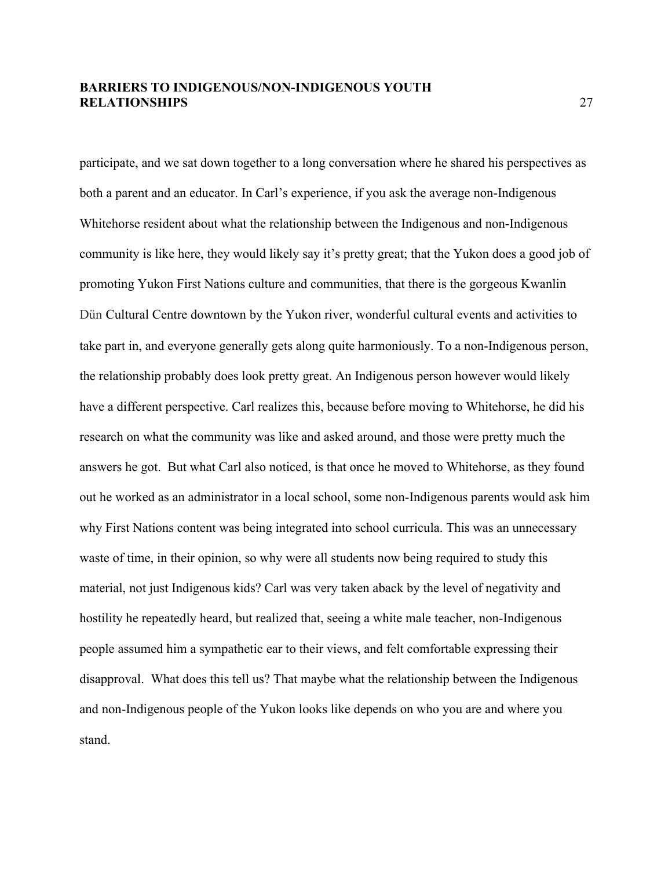participate, and we sat down together to a long conversation where he shared his perspectives as both a parent and an educator. In Carl's experience, if you ask the average non-Indigenous Whitehorse resident about what the relationship between the Indigenous and non-Indigenous community is like here, they would likely say it's pretty great; that the Yukon does a good job of promoting Yukon First Nations culture and communities, that there is the gorgeous Kwanlin Dün Cultural Centre downtown by the Yukon river, wonderful cultural events and activities to take part in, and everyone generally gets along quite harmoniously. To a non-Indigenous person, the relationship probably does look pretty great. An Indigenous person however would likely have a different perspective. Carl realizes this, because before moving to Whitehorse, he did his research on what the community was like and asked around, and those were pretty much the answers he got. But what Carl also noticed, is that once he moved to Whitehorse, as they found out he worked as an administrator in a local school, some non-Indigenous parents would ask him why First Nations content was being integrated into school curricula. This was an unnecessary waste of time, in their opinion, so why were all students now being required to study this material, not just Indigenous kids? Carl was very taken aback by the level of negativity and hostility he repeatedly heard, but realized that, seeing a white male teacher, non-Indigenous people assumed him a sympathetic ear to their views, and felt comfortable expressing their disapproval. What does this tell us? That maybe what the relationship between the Indigenous and non-Indigenous people of the Yukon looks like depends on who you are and where you stand.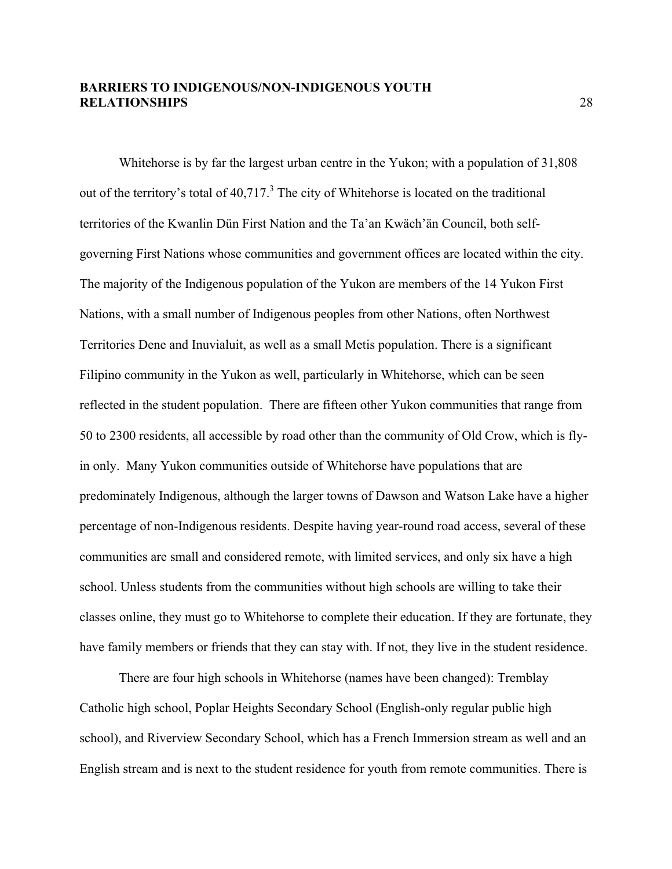Whitehorse is by far the largest urban centre in the Yukon; with a population of 31,808 out of the territory's total of  $40,717$ <sup>3</sup>. The city of Whitehorse is located on the traditional territories of the Kwanlin Dün First Nation and the Ta'an Kwäch'än Council, both selfgoverning First Nations whose communities and government offices are located within the city. The majority of the Indigenous population of the Yukon are members of the 14 Yukon First Nations, with a small number of Indigenous peoples from other Nations, often Northwest Territories Dene and Inuvialuit, as well as a small Metis population. There is a significant Filipino community in the Yukon as well, particularly in Whitehorse, which can be seen reflected in the student population. There are fifteen other Yukon communities that range from 50 to 2300 residents, all accessible by road other than the community of Old Crow, which is flyin only. Many Yukon communities outside of Whitehorse have populations that are predominately Indigenous, although the larger towns of Dawson and Watson Lake have a higher percentage of non-Indigenous residents. Despite having year-round road access, several of these communities are small and considered remote, with limited services, and only six have a high school. Unless students from the communities without high schools are willing to take their classes online, they must go to Whitehorse to complete their education. If they are fortunate, they have family members or friends that they can stay with. If not, they live in the student residence.

There are four high schools in Whitehorse (names have been changed): Tremblay Catholic high school, Poplar Heights Secondary School (English-only regular public high school), and Riverview Secondary School, which has a French Immersion stream as well and an English stream and is next to the student residence for youth from remote communities. There is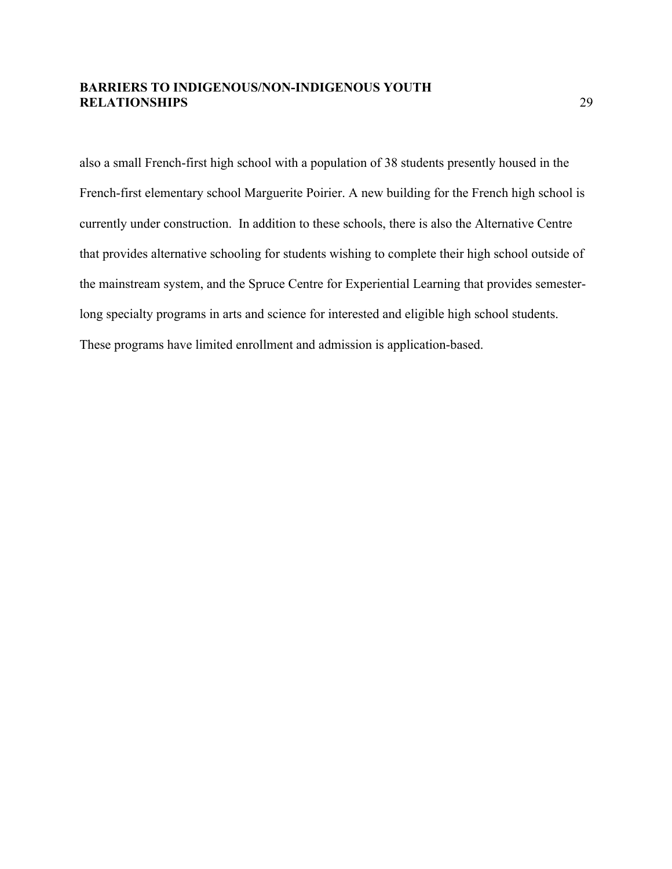also a small French-first high school with a population of 38 students presently housed in the French-first elementary school Marguerite Poirier. A new building for the French high school is currently under construction. In addition to these schools, there is also the Alternative Centre that provides alternative schooling for students wishing to complete their high school outside of the mainstream system, and the Spruce Centre for Experiential Learning that provides semesterlong specialty programs in arts and science for interested and eligible high school students. These programs have limited enrollment and admission is application-based.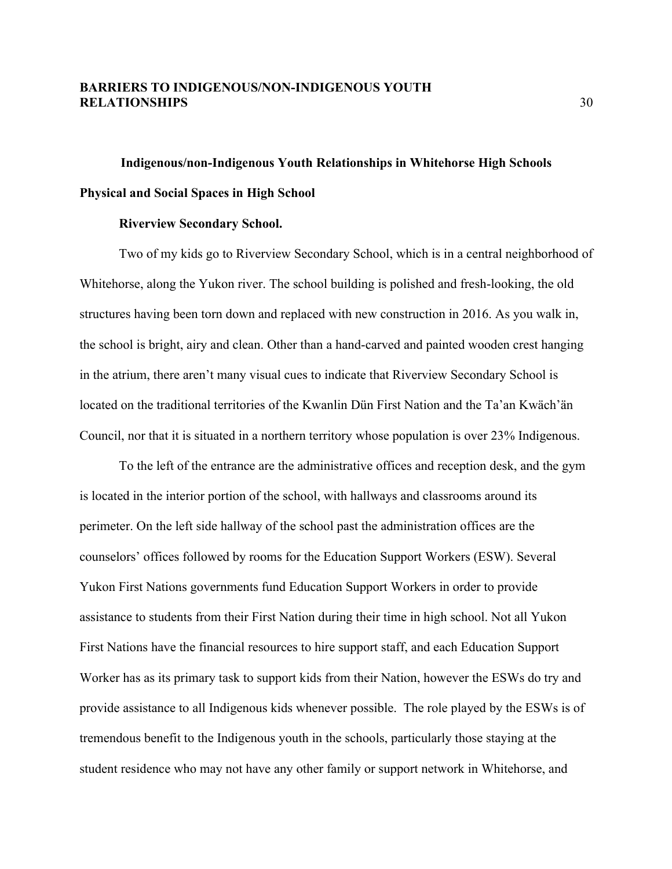# **Indigenous/non-Indigenous Youth Relationships in Whitehorse High Schools Physical and Social Spaces in High School**

#### **Riverview Secondary School.**

Two of my kids go to Riverview Secondary School, which is in a central neighborhood of Whitehorse, along the Yukon river. The school building is polished and fresh-looking, the old structures having been torn down and replaced with new construction in 2016. As you walk in, the school is bright, airy and clean. Other than a hand-carved and painted wooden crest hanging in the atrium, there aren't many visual cues to indicate that Riverview Secondary School is located on the traditional territories of the Kwanlin Dün First Nation and the Ta'an Kwäch'än Council, nor that it is situated in a northern territory whose population is over 23% Indigenous.

To the left of the entrance are the administrative offices and reception desk, and the gym is located in the interior portion of the school, with hallways and classrooms around its perimeter. On the left side hallway of the school past the administration offices are the counselors' offices followed by rooms for the Education Support Workers (ESW). Several Yukon First Nations governments fund Education Support Workers in order to provide assistance to students from their First Nation during their time in high school. Not all Yukon First Nations have the financial resources to hire support staff, and each Education Support Worker has as its primary task to support kids from their Nation, however the ESWs do try and provide assistance to all Indigenous kids whenever possible. The role played by the ESWs is of tremendous benefit to the Indigenous youth in the schools, particularly those staying at the student residence who may not have any other family or support network in Whitehorse, and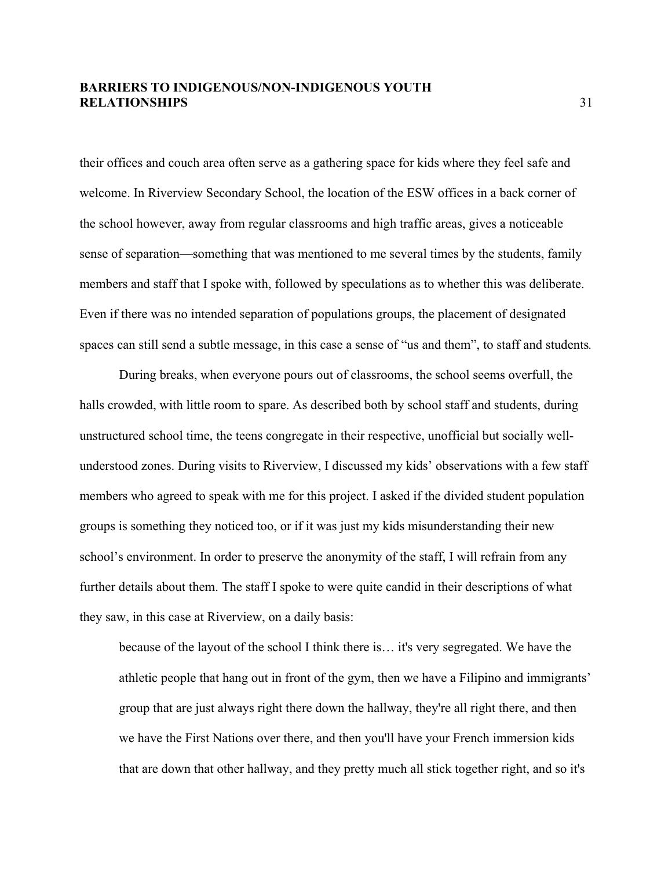their offices and couch area often serve as a gathering space for kids where they feel safe and welcome. In Riverview Secondary School, the location of the ESW offices in a back corner of the school however, away from regular classrooms and high traffic areas, gives a noticeable sense of separation—something that was mentioned to me several times by the students, family members and staff that I spoke with, followed by speculations as to whether this was deliberate. Even if there was no intended separation of populations groups, the placement of designated spaces can still send a subtle message, in this case a sense of "us and them", to staff and students*.* 

During breaks, when everyone pours out of classrooms, the school seems overfull, the halls crowded, with little room to spare. As described both by school staff and students, during unstructured school time, the teens congregate in their respective, unofficial but socially wellunderstood zones. During visits to Riverview, I discussed my kids' observations with a few staff members who agreed to speak with me for this project. I asked if the divided student population groups is something they noticed too, or if it was just my kids misunderstanding their new school's environment. In order to preserve the anonymity of the staff, I will refrain from any further details about them. The staff I spoke to were quite candid in their descriptions of what they saw, in this case at Riverview, on a daily basis:

because of the layout of the school I think there is… it's very segregated. We have the athletic people that hang out in front of the gym, then we have a Filipino and immigrants' group that are just always right there down the hallway, they're all right there, and then we have the First Nations over there, and then you'll have your French immersion kids that are down that other hallway, and they pretty much all stick together right, and so it's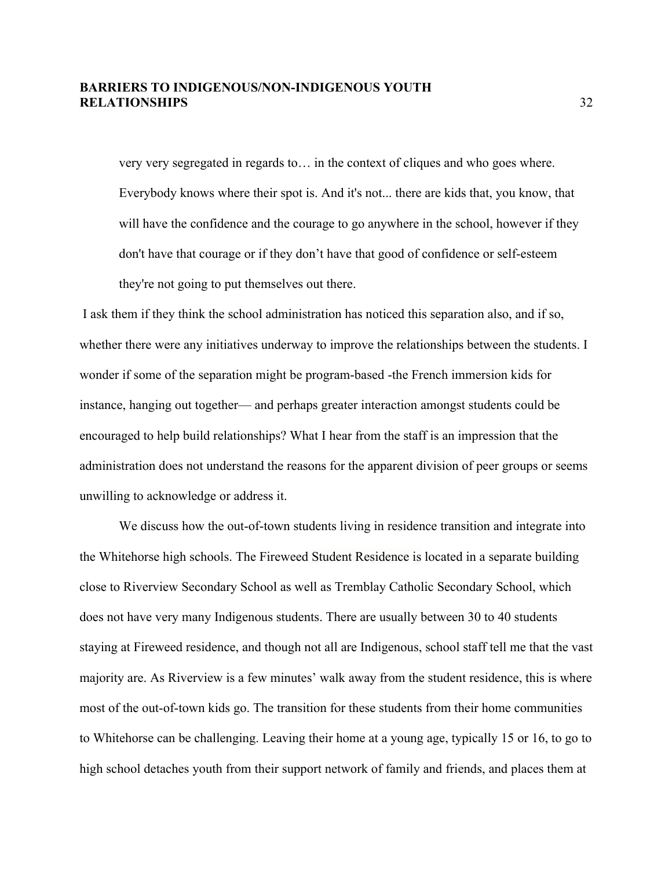very very segregated in regards to… in the context of cliques and who goes where. Everybody knows where their spot is. And it's not... there are kids that, you know, that will have the confidence and the courage to go anywhere in the school, however if they don't have that courage or if they don't have that good of confidence or self-esteem they're not going to put themselves out there.

I ask them if they think the school administration has noticed this separation also, and if so, whether there were any initiatives underway to improve the relationships between the students. I wonder if some of the separation might be program-based -the French immersion kids for instance, hanging out together— and perhaps greater interaction amongst students could be encouraged to help build relationships? What I hear from the staff is an impression that the administration does not understand the reasons for the apparent division of peer groups or seems unwilling to acknowledge or address it.

We discuss how the out-of-town students living in residence transition and integrate into the Whitehorse high schools. The Fireweed Student Residence is located in a separate building close to Riverview Secondary School as well as Tremblay Catholic Secondary School, which does not have very many Indigenous students. There are usually between 30 to 40 students staying at Fireweed residence, and though not all are Indigenous, school staff tell me that the vast majority are. As Riverview is a few minutes' walk away from the student residence, this is where most of the out-of-town kids go. The transition for these students from their home communities to Whitehorse can be challenging. Leaving their home at a young age, typically 15 or 16, to go to high school detaches youth from their support network of family and friends, and places them at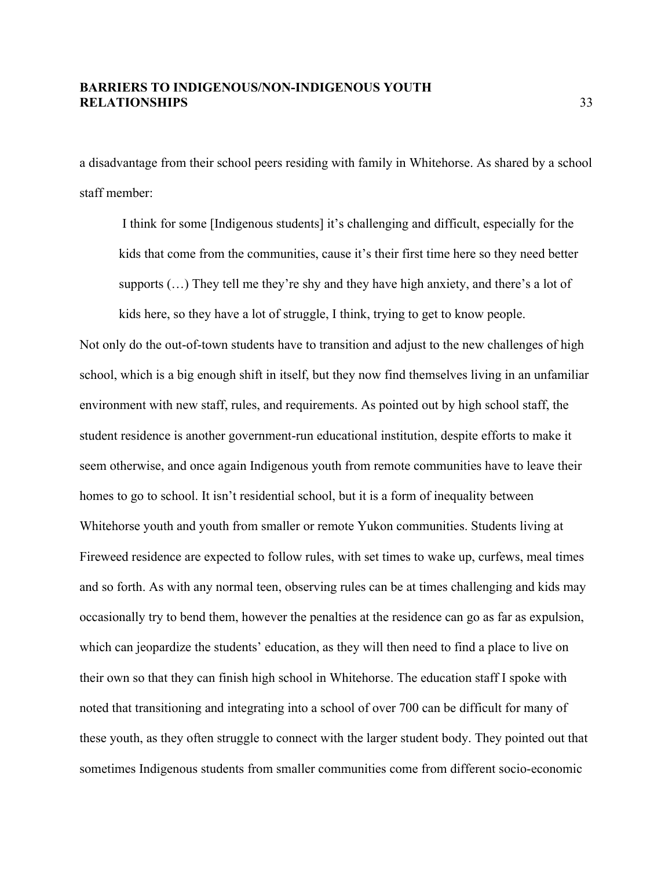a disadvantage from their school peers residing with family in Whitehorse. As shared by a school staff member:

I think for some [Indigenous students] it's challenging and difficult, especially for the kids that come from the communities, cause it's their first time here so they need better supports (…) They tell me they're shy and they have high anxiety, and there's a lot of

kids here, so they have a lot of struggle, I think, trying to get to know people.

Not only do the out-of-town students have to transition and adjust to the new challenges of high school, which is a big enough shift in itself, but they now find themselves living in an unfamiliar environment with new staff, rules, and requirements. As pointed out by high school staff, the student residence is another government-run educational institution, despite efforts to make it seem otherwise, and once again Indigenous youth from remote communities have to leave their homes to go to school. It isn't residential school, but it is a form of inequality between Whitehorse youth and youth from smaller or remote Yukon communities. Students living at Fireweed residence are expected to follow rules, with set times to wake up, curfews, meal times and so forth. As with any normal teen, observing rules can be at times challenging and kids may occasionally try to bend them, however the penalties at the residence can go as far as expulsion, which can jeopardize the students' education, as they will then need to find a place to live on their own so that they can finish high school in Whitehorse. The education staff I spoke with noted that transitioning and integrating into a school of over 700 can be difficult for many of these youth, as they often struggle to connect with the larger student body. They pointed out that sometimes Indigenous students from smaller communities come from different socio-economic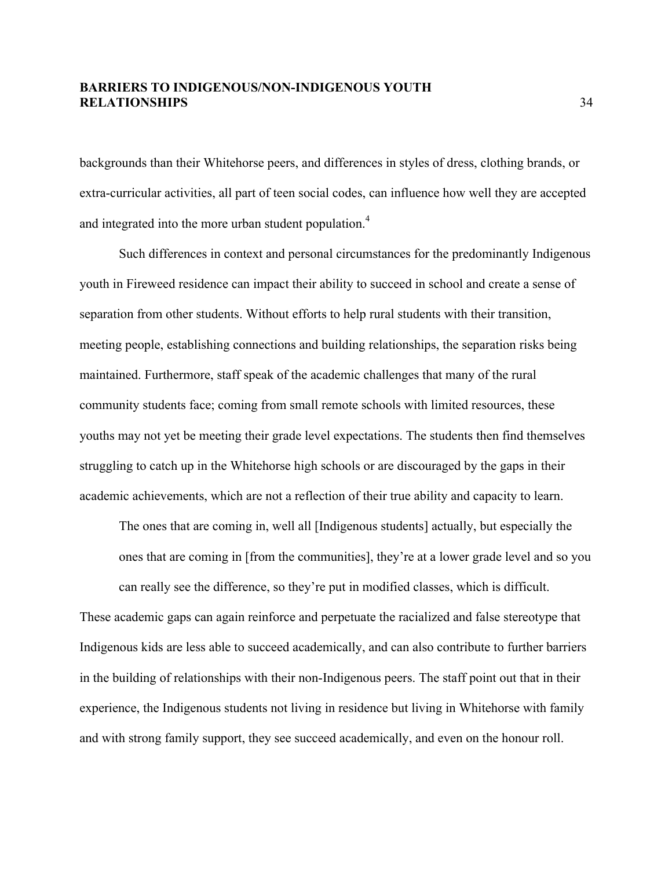backgrounds than their Whitehorse peers, and differences in styles of dress, clothing brands, or extra-curricular activities, all part of teen social codes, can influence how well they are accepted and integrated into the more urban student population.<sup>4</sup>

Such differences in context and personal circumstances for the predominantly Indigenous youth in Fireweed residence can impact their ability to succeed in school and create a sense of separation from other students. Without efforts to help rural students with their transition, meeting people, establishing connections and building relationships, the separation risks being maintained. Furthermore, staff speak of the academic challenges that many of the rural community students face; coming from small remote schools with limited resources, these youths may not yet be meeting their grade level expectations. The students then find themselves struggling to catch up in the Whitehorse high schools or are discouraged by the gaps in their academic achievements, which are not a reflection of their true ability and capacity to learn.

The ones that are coming in, well all [Indigenous students] actually, but especially the ones that are coming in [from the communities], they're at a lower grade level and so you can really see the difference, so they're put in modified classes, which is difficult.

These academic gaps can again reinforce and perpetuate the racialized and false stereotype that Indigenous kids are less able to succeed academically, and can also contribute to further barriers in the building of relationships with their non-Indigenous peers. The staff point out that in their experience, the Indigenous students not living in residence but living in Whitehorse with family and with strong family support, they see succeed academically, and even on the honour roll.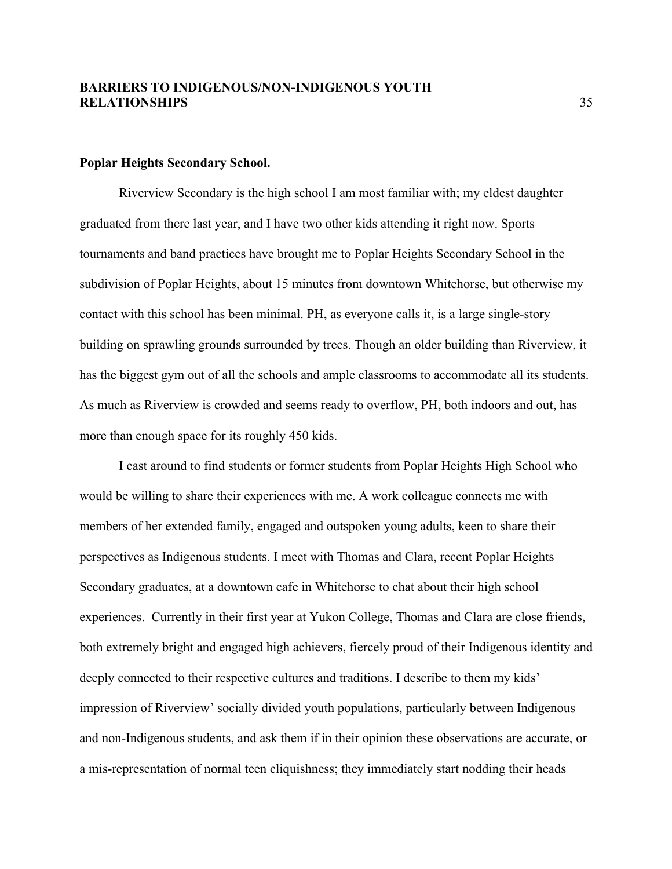#### **Poplar Heights Secondary School.**

Riverview Secondary is the high school I am most familiar with; my eldest daughter graduated from there last year, and I have two other kids attending it right now. Sports tournaments and band practices have brought me to Poplar Heights Secondary School in the subdivision of Poplar Heights, about 15 minutes from downtown Whitehorse, but otherwise my contact with this school has been minimal. PH, as everyone calls it, is a large single-story building on sprawling grounds surrounded by trees. Though an older building than Riverview, it has the biggest gym out of all the schools and ample classrooms to accommodate all its students. As much as Riverview is crowded and seems ready to overflow, PH, both indoors and out, has more than enough space for its roughly 450 kids.

I cast around to find students or former students from Poplar Heights High School who would be willing to share their experiences with me. A work colleague connects me with members of her extended family, engaged and outspoken young adults, keen to share their perspectives as Indigenous students. I meet with Thomas and Clara, recent Poplar Heights Secondary graduates, at a downtown cafe in Whitehorse to chat about their high school experiences. Currently in their first year at Yukon College, Thomas and Clara are close friends, both extremely bright and engaged high achievers, fiercely proud of their Indigenous identity and deeply connected to their respective cultures and traditions. I describe to them my kids' impression of Riverview' socially divided youth populations, particularly between Indigenous and non-Indigenous students, and ask them if in their opinion these observations are accurate, or a mis-representation of normal teen cliquishness; they immediately start nodding their heads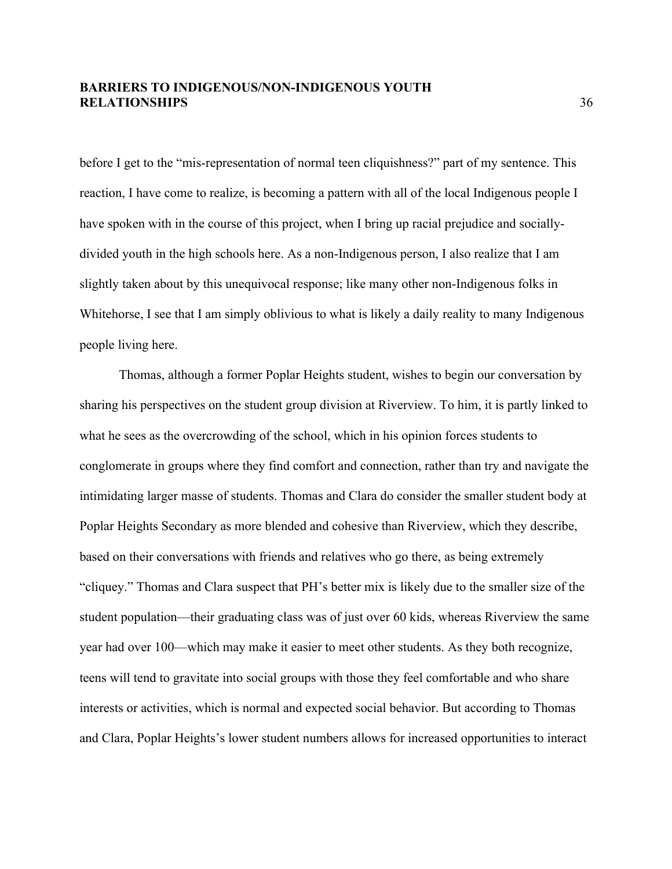before I get to the "mis-representation of normal teen cliquishness?" part of my sentence. This reaction, I have come to realize, is becoming a pattern with all of the local Indigenous people I have spoken with in the course of this project, when I bring up racial prejudice and sociallydivided youth in the high schools here. As a non-Indigenous person, I also realize that I am slightly taken about by this unequivocal response; like many other non-Indigenous folks in Whitehorse, I see that I am simply oblivious to what is likely a daily reality to many Indigenous people living here.

Thomas, although a former Poplar Heights student, wishes to begin our conversation by sharing his perspectives on the student group division at Riverview. To him, it is partly linked to what he sees as the overcrowding of the school, which in his opinion forces students to conglomerate in groups where they find comfort and connection, rather than try and navigate the intimidating larger masse of students. Thomas and Clara do consider the smaller student body at Poplar Heights Secondary as more blended and cohesive than Riverview, which they describe, based on their conversations with friends and relatives who go there, as being extremely "cliquey." Thomas and Clara suspect that PH's better mix is likely due to the smaller size of the student population—their graduating class was of just over 60 kids, whereas Riverview the same year had over 100—which may make it easier to meet other students. As they both recognize, teens will tend to gravitate into social groups with those they feel comfortable and who share interests or activities, which is normal and expected social behavior. But according to Thomas and Clara, Poplar Heights's lower student numbers allows for increased opportunities to interact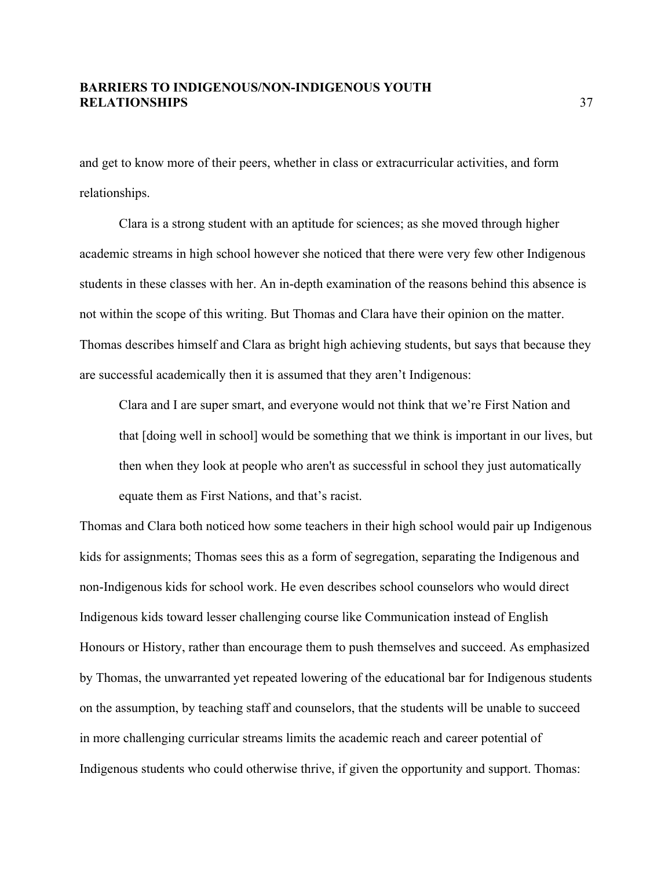and get to know more of their peers, whether in class or extracurricular activities, and form relationships.

Clara is a strong student with an aptitude for sciences; as she moved through higher academic streams in high school however she noticed that there were very few other Indigenous students in these classes with her. An in-depth examination of the reasons behind this absence is not within the scope of this writing. But Thomas and Clara have their opinion on the matter. Thomas describes himself and Clara as bright high achieving students, but says that because they are successful academically then it is assumed that they aren't Indigenous:

Clara and I are super smart, and everyone would not think that we're First Nation and that [doing well in school] would be something that we think is important in our lives, but then when they look at people who aren't as successful in school they just automatically equate them as First Nations, and that's racist.

Thomas and Clara both noticed how some teachers in their high school would pair up Indigenous kids for assignments; Thomas sees this as a form of segregation, separating the Indigenous and non-Indigenous kids for school work. He even describes school counselors who would direct Indigenous kids toward lesser challenging course like Communication instead of English Honours or History, rather than encourage them to push themselves and succeed. As emphasized by Thomas, the unwarranted yet repeated lowering of the educational bar for Indigenous students on the assumption, by teaching staff and counselors, that the students will be unable to succeed in more challenging curricular streams limits the academic reach and career potential of Indigenous students who could otherwise thrive, if given the opportunity and support. Thomas: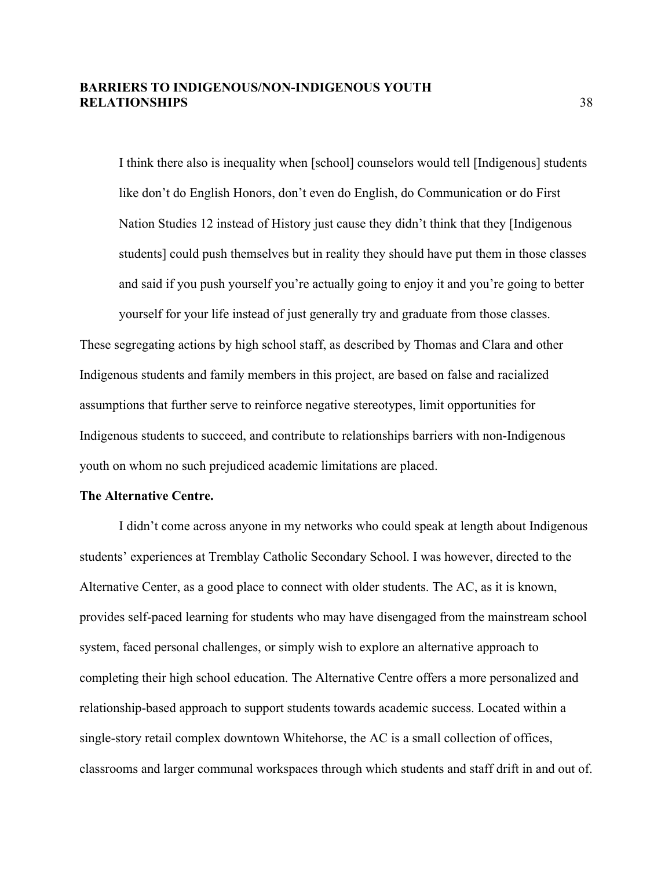I think there also is inequality when [school] counselors would tell [Indigenous] students like don't do English Honors, don't even do English, do Communication or do First Nation Studies 12 instead of History just cause they didn't think that they [Indigenous students] could push themselves but in reality they should have put them in those classes and said if you push yourself you're actually going to enjoy it and you're going to better yourself for your life instead of just generally try and graduate from those classes.

These segregating actions by high school staff, as described by Thomas and Clara and other Indigenous students and family members in this project, are based on false and racialized assumptions that further serve to reinforce negative stereotypes, limit opportunities for Indigenous students to succeed, and contribute to relationships barriers with non-Indigenous youth on whom no such prejudiced academic limitations are placed.

#### **The Alternative Centre.**

I didn't come across anyone in my networks who could speak at length about Indigenous students' experiences at Tremblay Catholic Secondary School. I was however, directed to the Alternative Center, as a good place to connect with older students. The AC, as it is known, provides self-paced learning for students who may have disengaged from the mainstream school system, faced personal challenges, or simply wish to explore an alternative approach to completing their high school education. The Alternative Centre offers a more personalized and relationship-based approach to support students towards academic success. Located within a single-story retail complex downtown Whitehorse, the AC is a small collection of offices, classrooms and larger communal workspaces through which students and staff drift in and out of.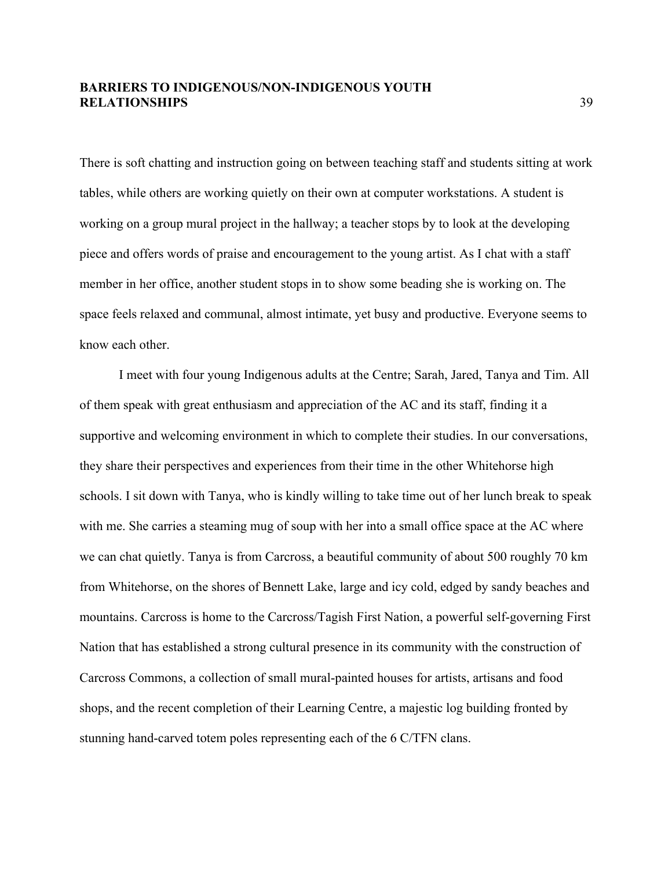There is soft chatting and instruction going on between teaching staff and students sitting at work tables, while others are working quietly on their own at computer workstations. A student is working on a group mural project in the hallway; a teacher stops by to look at the developing piece and offers words of praise and encouragement to the young artist. As I chat with a staff member in her office, another student stops in to show some beading she is working on. The space feels relaxed and communal, almost intimate, yet busy and productive. Everyone seems to know each other.

I meet with four young Indigenous adults at the Centre; Sarah, Jared, Tanya and Tim. All of them speak with great enthusiasm and appreciation of the AC and its staff, finding it a supportive and welcoming environment in which to complete their studies. In our conversations, they share their perspectives and experiences from their time in the other Whitehorse high schools. I sit down with Tanya, who is kindly willing to take time out of her lunch break to speak with me. She carries a steaming mug of soup with her into a small office space at the AC where we can chat quietly. Tanya is from Carcross, a beautiful community of about 500 roughly 70 km from Whitehorse, on the shores of Bennett Lake, large and icy cold, edged by sandy beaches and mountains. Carcross is home to the Carcross/Tagish First Nation, a powerful self-governing First Nation that has established a strong cultural presence in its community with the construction of Carcross Commons, a collection of small mural-painted houses for artists, artisans and food shops, and the recent completion of their Learning Centre, a majestic log building fronted by stunning hand-carved totem poles representing each of the 6 C/TFN clans.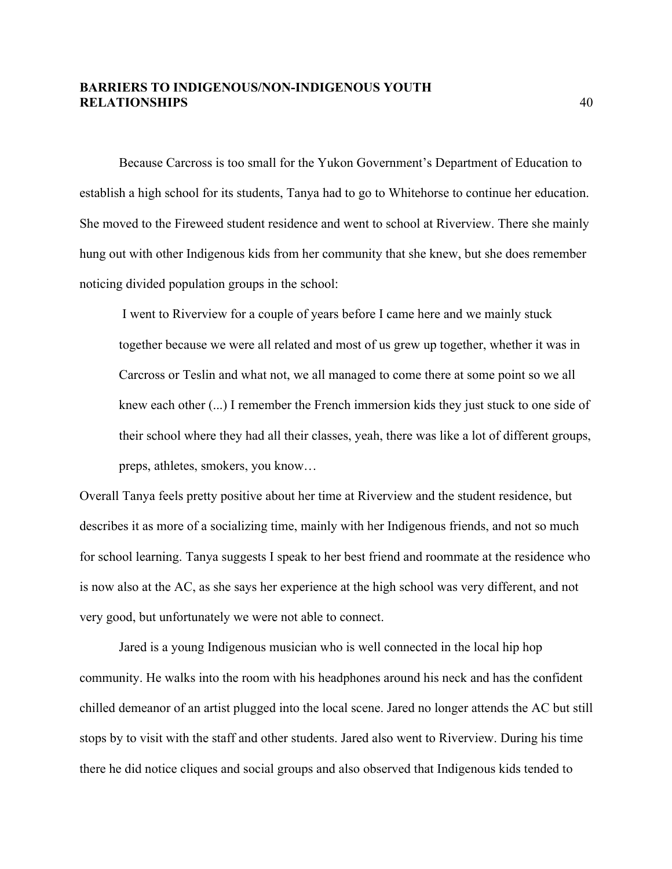Because Carcross is too small for the Yukon Government's Department of Education to establish a high school for its students, Tanya had to go to Whitehorse to continue her education. She moved to the Fireweed student residence and went to school at Riverview. There she mainly hung out with other Indigenous kids from her community that she knew, but she does remember noticing divided population groups in the school:

I went to Riverview for a couple of years before I came here and we mainly stuck together because we were all related and most of us grew up together, whether it was in Carcross or Teslin and what not, we all managed to come there at some point so we all knew each other (...) I remember the French immersion kids they just stuck to one side of their school where they had all their classes, yeah, there was like a lot of different groups, preps, athletes, smokers, you know…

Overall Tanya feels pretty positive about her time at Riverview and the student residence, but describes it as more of a socializing time, mainly with her Indigenous friends, and not so much for school learning. Tanya suggests I speak to her best friend and roommate at the residence who is now also at the AC, as she says her experience at the high school was very different, and not very good, but unfortunately we were not able to connect.

Jared is a young Indigenous musician who is well connected in the local hip hop community. He walks into the room with his headphones around his neck and has the confident chilled demeanor of an artist plugged into the local scene. Jared no longer attends the AC but still stops by to visit with the staff and other students. Jared also went to Riverview. During his time there he did notice cliques and social groups and also observed that Indigenous kids tended to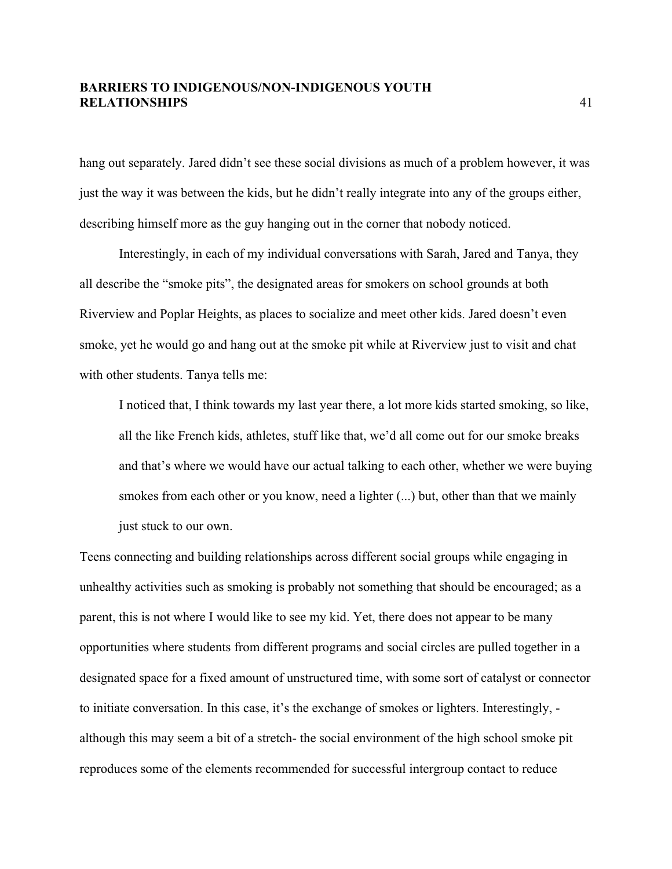hang out separately. Jared didn't see these social divisions as much of a problem however, it was just the way it was between the kids, but he didn't really integrate into any of the groups either, describing himself more as the guy hanging out in the corner that nobody noticed.

Interestingly, in each of my individual conversations with Sarah, Jared and Tanya, they all describe the "smoke pits", the designated areas for smokers on school grounds at both Riverview and Poplar Heights, as places to socialize and meet other kids. Jared doesn't even smoke, yet he would go and hang out at the smoke pit while at Riverview just to visit and chat with other students. Tanya tells me:

I noticed that, I think towards my last year there, a lot more kids started smoking, so like, all the like French kids, athletes, stuff like that, we'd all come out for our smoke breaks and that's where we would have our actual talking to each other, whether we were buying smokes from each other or you know, need a lighter (...) but, other than that we mainly just stuck to our own.

Teens connecting and building relationships across different social groups while engaging in unhealthy activities such as smoking is probably not something that should be encouraged; as a parent, this is not where I would like to see my kid. Yet, there does not appear to be many opportunities where students from different programs and social circles are pulled together in a designated space for a fixed amount of unstructured time, with some sort of catalyst or connector to initiate conversation. In this case, it's the exchange of smokes or lighters. Interestingly, although this may seem a bit of a stretch- the social environment of the high school smoke pit reproduces some of the elements recommended for successful intergroup contact to reduce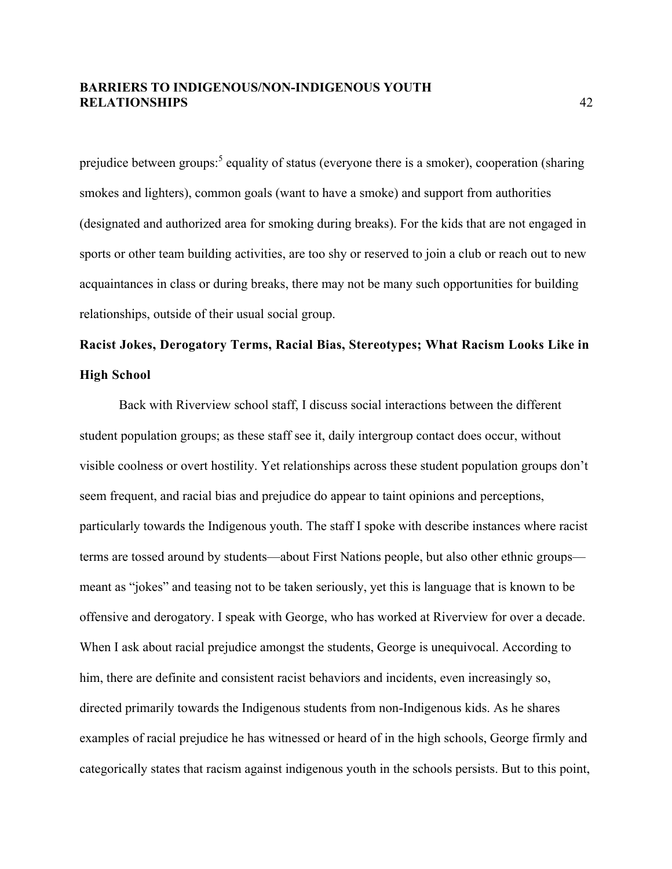prejudice between groups:<sup>5</sup> equality of status (everyone there is a smoker), cooperation (sharing smokes and lighters), common goals (want to have a smoke) and support from authorities (designated and authorized area for smoking during breaks). For the kids that are not engaged in sports or other team building activities, are too shy or reserved to join a club or reach out to new acquaintances in class or during breaks, there may not be many such opportunities for building relationships, outside of their usual social group.

# **Racist Jokes, Derogatory Terms, Racial Bias, Stereotypes; What Racism Looks Like in High School**

Back with Riverview school staff, I discuss social interactions between the different student population groups; as these staff see it, daily intergroup contact does occur, without visible coolness or overt hostility. Yet relationships across these student population groups don't seem frequent, and racial bias and prejudice do appear to taint opinions and perceptions, particularly towards the Indigenous youth. The staff I spoke with describe instances where racist terms are tossed around by students—about First Nations people, but also other ethnic groups meant as "jokes" and teasing not to be taken seriously, yet this is language that is known to be offensive and derogatory. I speak with George, who has worked at Riverview for over a decade. When I ask about racial prejudice amongst the students, George is unequivocal. According to him, there are definite and consistent racist behaviors and incidents, even increasingly so, directed primarily towards the Indigenous students from non-Indigenous kids. As he shares examples of racial prejudice he has witnessed or heard of in the high schools, George firmly and categorically states that racism against indigenous youth in the schools persists. But to this point,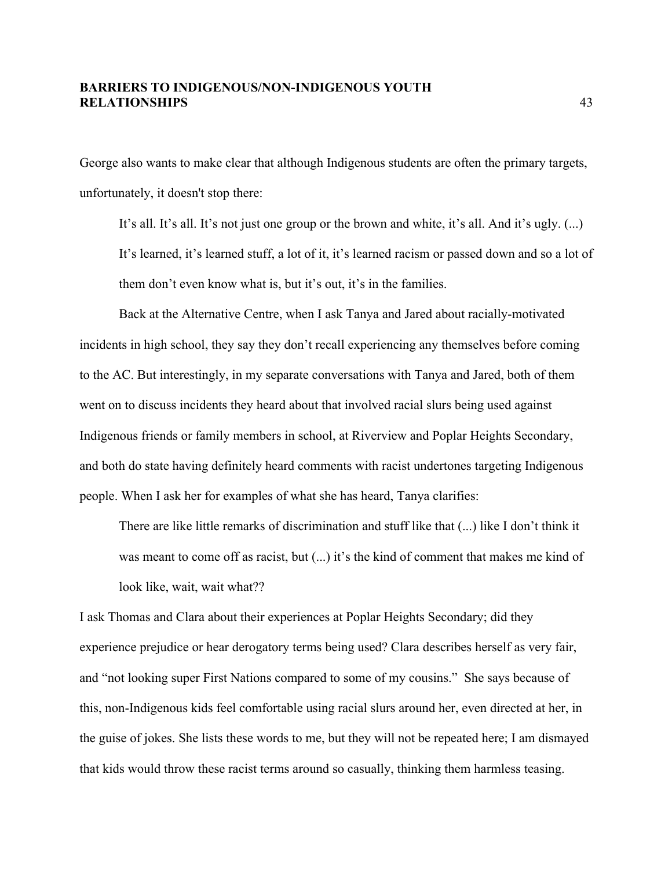George also wants to make clear that although Indigenous students are often the primary targets, unfortunately, it doesn't stop there:

It's all. It's all. It's not just one group or the brown and white, it's all. And it's ugly. (...) It's learned, it's learned stuff, a lot of it, it's learned racism or passed down and so a lot of them don't even know what is, but it's out, it's in the families.

Back at the Alternative Centre, when I ask Tanya and Jared about racially-motivated incidents in high school, they say they don't recall experiencing any themselves before coming to the AC. But interestingly, in my separate conversations with Tanya and Jared, both of them went on to discuss incidents they heard about that involved racial slurs being used against Indigenous friends or family members in school, at Riverview and Poplar Heights Secondary, and both do state having definitely heard comments with racist undertones targeting Indigenous people. When I ask her for examples of what she has heard, Tanya clarifies:

There are like little remarks of discrimination and stuff like that (...) like I don't think it was meant to come off as racist, but (...) it's the kind of comment that makes me kind of look like, wait, wait what??

I ask Thomas and Clara about their experiences at Poplar Heights Secondary; did they experience prejudice or hear derogatory terms being used? Clara describes herself as very fair, and "not looking super First Nations compared to some of my cousins." She says because of this, non-Indigenous kids feel comfortable using racial slurs around her, even directed at her, in the guise of jokes. She lists these words to me, but they will not be repeated here; I am dismayed that kids would throw these racist terms around so casually, thinking them harmless teasing.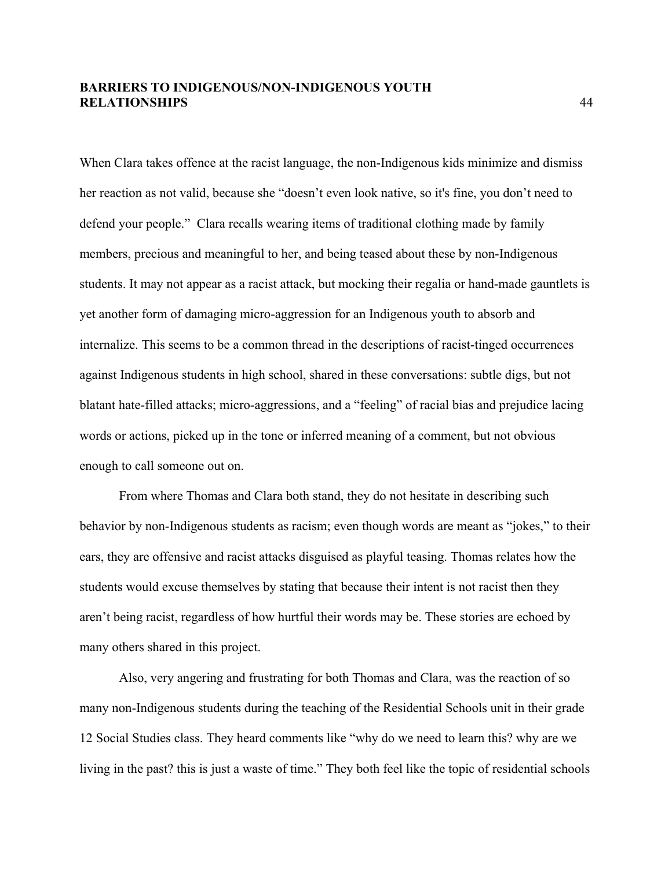When Clara takes offence at the racist language, the non-Indigenous kids minimize and dismiss her reaction as not valid, because she "doesn't even look native, so it's fine, you don't need to defend your people." Clara recalls wearing items of traditional clothing made by family members, precious and meaningful to her, and being teased about these by non-Indigenous students. It may not appear as a racist attack, but mocking their regalia or hand-made gauntlets is yet another form of damaging micro-aggression for an Indigenous youth to absorb and internalize. This seems to be a common thread in the descriptions of racist-tinged occurrences against Indigenous students in high school, shared in these conversations: subtle digs, but not blatant hate-filled attacks; micro-aggressions, and a "feeling" of racial bias and prejudice lacing words or actions, picked up in the tone or inferred meaning of a comment, but not obvious enough to call someone out on.

From where Thomas and Clara both stand, they do not hesitate in describing such behavior by non-Indigenous students as racism; even though words are meant as "jokes," to their ears, they are offensive and racist attacks disguised as playful teasing. Thomas relates how the students would excuse themselves by stating that because their intent is not racist then they aren't being racist, regardless of how hurtful their words may be. These stories are echoed by many others shared in this project.

Also, very angering and frustrating for both Thomas and Clara, was the reaction of so many non-Indigenous students during the teaching of the Residential Schools unit in their grade 12 Social Studies class. They heard comments like "why do we need to learn this? why are we living in the past? this is just a waste of time." They both feel like the topic of residential schools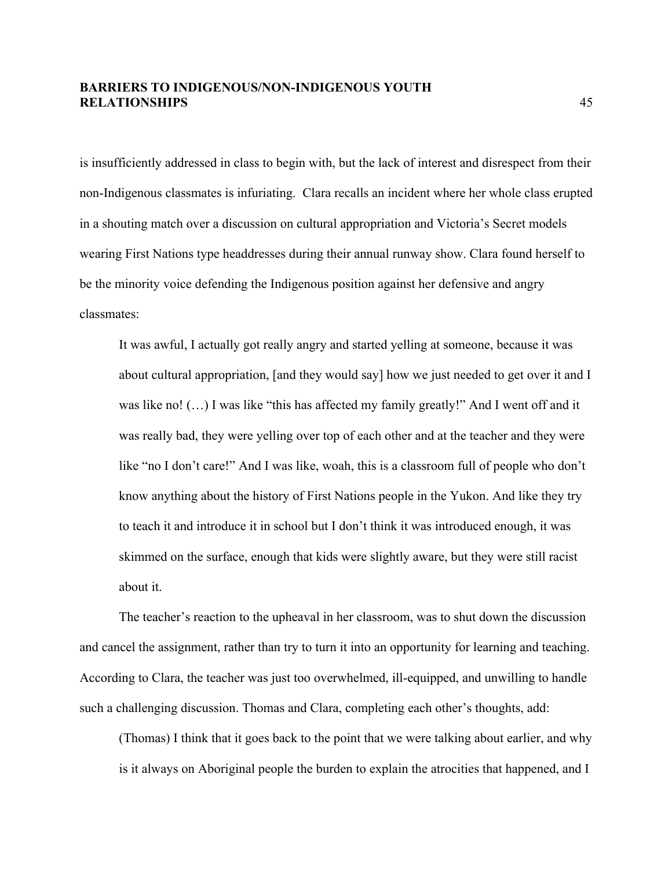is insufficiently addressed in class to begin with, but the lack of interest and disrespect from their non-Indigenous classmates is infuriating. Clara recalls an incident where her whole class erupted in a shouting match over a discussion on cultural appropriation and Victoria's Secret models wearing First Nations type headdresses during their annual runway show. Clara found herself to be the minority voice defending the Indigenous position against her defensive and angry classmates:

It was awful, I actually got really angry and started yelling at someone, because it was about cultural appropriation, [and they would say] how we just needed to get over it and I was like no! (…) I was like "this has affected my family greatly!" And I went off and it was really bad, they were yelling over top of each other and at the teacher and they were like "no I don't care!" And I was like, woah, this is a classroom full of people who don't know anything about the history of First Nations people in the Yukon. And like they try to teach it and introduce it in school but I don't think it was introduced enough, it was skimmed on the surface, enough that kids were slightly aware, but they were still racist about it.

The teacher's reaction to the upheaval in her classroom, was to shut down the discussion and cancel the assignment, rather than try to turn it into an opportunity for learning and teaching. According to Clara, the teacher was just too overwhelmed, ill-equipped, and unwilling to handle such a challenging discussion. Thomas and Clara, completing each other's thoughts, add:

(Thomas) I think that it goes back to the point that we were talking about earlier, and why is it always on Aboriginal people the burden to explain the atrocities that happened, and I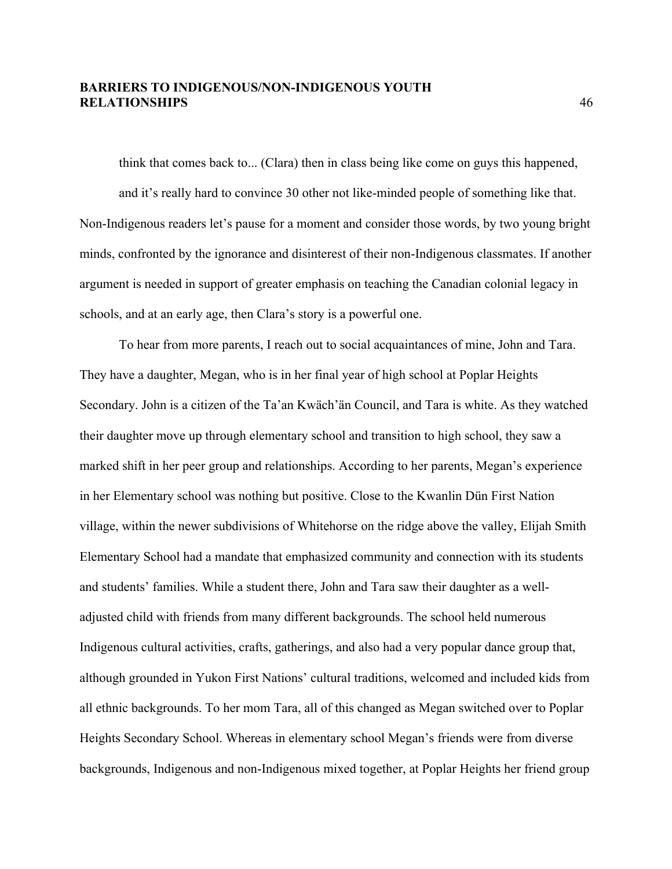think that comes back to... (Clara) then in class being like come on guys this happened, and it's really hard to convince 30 other not like-minded people of something like that. Non-Indigenous readers let's pause for a moment and consider those words, by two young bright minds, confronted by the ignorance and disinterest of their non-Indigenous classmates. If another argument is needed in support of greater emphasis on teaching the Canadian colonial legacy in schools, and at an early age, then Clara's story is a powerful one.

To hear from more parents, I reach out to social acquaintances of mine, John and Tara. They have a daughter, Megan, who is in her final year of high school at Poplar Heights Secondary. John is a citizen of the Ta'an Kwäch'än Council, and Tara is white. As they watched their daughter move up through elementary school and transition to high school, they saw a marked shift in her peer group and relationships. According to her parents, Megan's experience in her Elementary school was nothing but positive. Close to the Kwanlin Dün First Nation village, within the newer subdivisions of Whitehorse on the ridge above the valley, Elijah Smith Elementary School had a mandate that emphasized community and connection with its students and students' families. While a student there, John and Tara saw their daughter as a welladjusted child with friends from many different backgrounds. The school held numerous Indigenous cultural activities, crafts, gatherings, and also had a very popular dance group that, although grounded in Yukon First Nations' cultural traditions, welcomed and included kids from all ethnic backgrounds. To her mom Tara, all of this changed as Megan switched over to Poplar Heights Secondary School. Whereas in elementary school Megan's friends were from diverse backgrounds, Indigenous and non-Indigenous mixed together, at Poplar Heights her friend group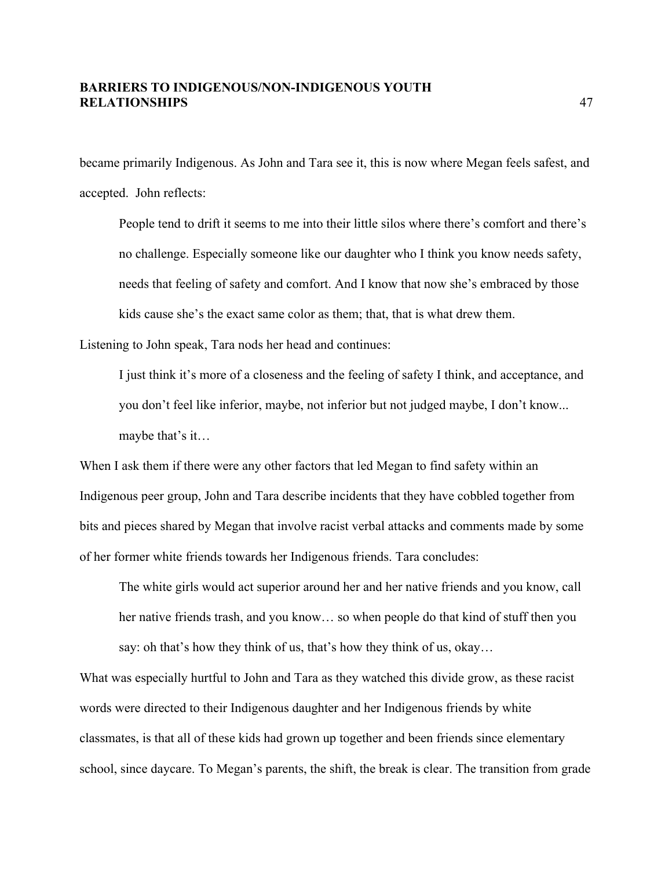became primarily Indigenous. As John and Tara see it, this is now where Megan feels safest, and accepted. John reflects:

People tend to drift it seems to me into their little silos where there's comfort and there's no challenge. Especially someone like our daughter who I think you know needs safety, needs that feeling of safety and comfort. And I know that now she's embraced by those kids cause she's the exact same color as them; that, that is what drew them.

Listening to John speak, Tara nods her head and continues:

I just think it's more of a closeness and the feeling of safety I think, and acceptance, and you don't feel like inferior, maybe, not inferior but not judged maybe, I don't know... maybe that's it…

When I ask them if there were any other factors that led Megan to find safety within an Indigenous peer group, John and Tara describe incidents that they have cobbled together from bits and pieces shared by Megan that involve racist verbal attacks and comments made by some of her former white friends towards her Indigenous friends. Tara concludes:

The white girls would act superior around her and her native friends and you know, call her native friends trash, and you know... so when people do that kind of stuff then you say: oh that's how they think of us, that's how they think of us, okay…

What was especially hurtful to John and Tara as they watched this divide grow, as these racist words were directed to their Indigenous daughter and her Indigenous friends by white classmates, is that all of these kids had grown up together and been friends since elementary school, since daycare. To Megan's parents, the shift, the break is clear. The transition from grade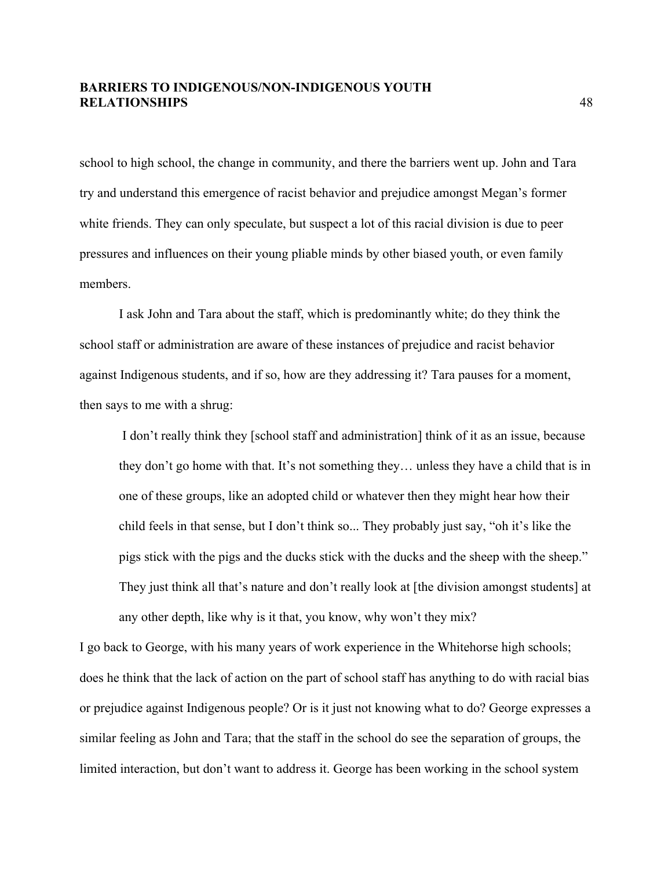school to high school, the change in community, and there the barriers went up. John and Tara try and understand this emergence of racist behavior and prejudice amongst Megan's former white friends. They can only speculate, but suspect a lot of this racial division is due to peer pressures and influences on their young pliable minds by other biased youth, or even family members.

I ask John and Tara about the staff, which is predominantly white; do they think the school staff or administration are aware of these instances of prejudice and racist behavior against Indigenous students, and if so, how are they addressing it? Tara pauses for a moment, then says to me with a shrug:

I don't really think they [school staff and administration] think of it as an issue, because they don't go home with that. It's not something they… unless they have a child that is in one of these groups, like an adopted child or whatever then they might hear how their child feels in that sense, but I don't think so... They probably just say, "oh it's like the pigs stick with the pigs and the ducks stick with the ducks and the sheep with the sheep." They just think all that's nature and don't really look at [the division amongst students] at any other depth, like why is it that, you know, why won't they mix?

I go back to George, with his many years of work experience in the Whitehorse high schools; does he think that the lack of action on the part of school staff has anything to do with racial bias or prejudice against Indigenous people? Or is it just not knowing what to do? George expresses a similar feeling as John and Tara; that the staff in the school do see the separation of groups, the limited interaction, but don't want to address it. George has been working in the school system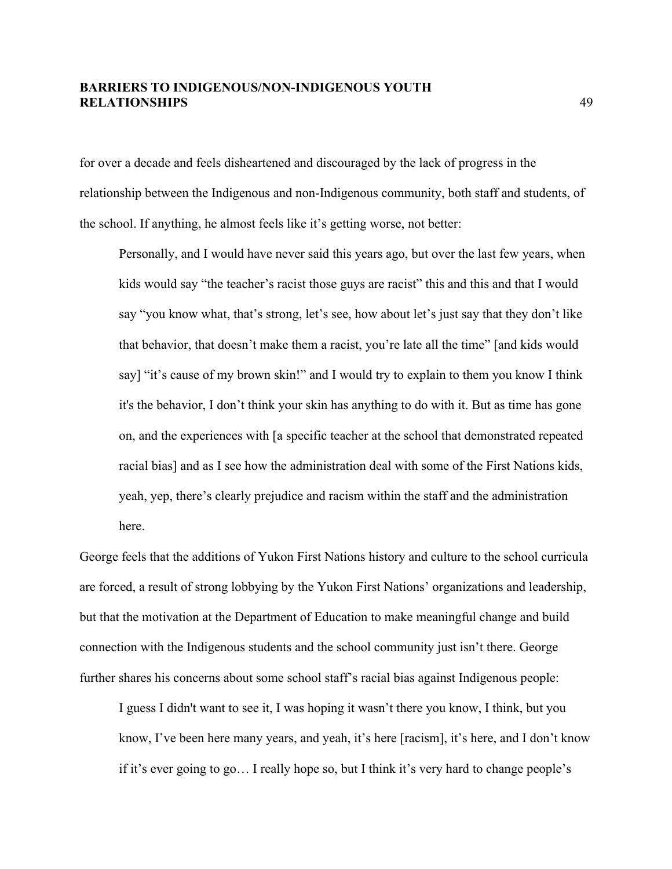for over a decade and feels disheartened and discouraged by the lack of progress in the relationship between the Indigenous and non-Indigenous community, both staff and students, of the school. If anything, he almost feels like it's getting worse, not better:

Personally, and I would have never said this years ago, but over the last few years, when kids would say "the teacher's racist those guys are racist" this and this and that I would say "you know what, that's strong, let's see, how about let's just say that they don't like that behavior, that doesn't make them a racist, you're late all the time" [and kids would say] "it's cause of my brown skin!" and I would try to explain to them you know I think it's the behavior, I don't think your skin has anything to do with it. But as time has gone on, and the experiences with [a specific teacher at the school that demonstrated repeated racial bias] and as I see how the administration deal with some of the First Nations kids, yeah, yep, there's clearly prejudice and racism within the staff and the administration here.

George feels that the additions of Yukon First Nations history and culture to the school curricula are forced, a result of strong lobbying by the Yukon First Nations' organizations and leadership, but that the motivation at the Department of Education to make meaningful change and build connection with the Indigenous students and the school community just isn't there. George further shares his concerns about some school staff's racial bias against Indigenous people:

I guess I didn't want to see it, I was hoping it wasn't there you know, I think, but you know, I've been here many years, and yeah, it's here [racism], it's here, and I don't know if it's ever going to go… I really hope so, but I think it's very hard to change people's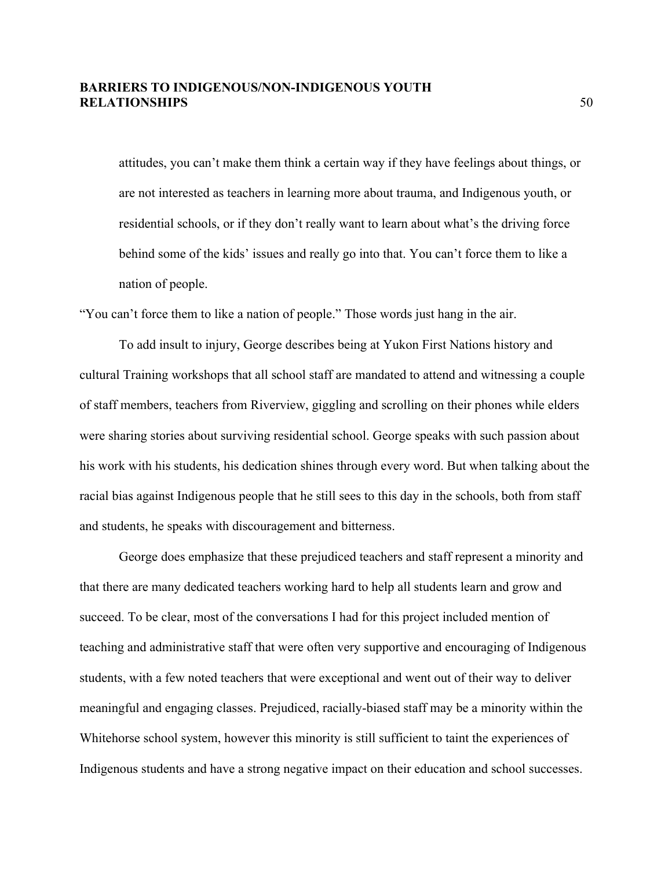attitudes, you can't make them think a certain way if they have feelings about things, or are not interested as teachers in learning more about trauma, and Indigenous youth, or residential schools, or if they don't really want to learn about what's the driving force behind some of the kids' issues and really go into that. You can't force them to like a nation of people.

"You can't force them to like a nation of people." Those words just hang in the air.

To add insult to injury, George describes being at Yukon First Nations history and cultural Training workshops that all school staff are mandated to attend and witnessing a couple of staff members, teachers from Riverview, giggling and scrolling on their phones while elders were sharing stories about surviving residential school. George speaks with such passion about his work with his students, his dedication shines through every word. But when talking about the racial bias against Indigenous people that he still sees to this day in the schools, both from staff and students, he speaks with discouragement and bitterness.

George does emphasize that these prejudiced teachers and staff represent a minority and that there are many dedicated teachers working hard to help all students learn and grow and succeed. To be clear, most of the conversations I had for this project included mention of teaching and administrative staff that were often very supportive and encouraging of Indigenous students, with a few noted teachers that were exceptional and went out of their way to deliver meaningful and engaging classes. Prejudiced, racially-biased staff may be a minority within the Whitehorse school system, however this minority is still sufficient to taint the experiences of Indigenous students and have a strong negative impact on their education and school successes.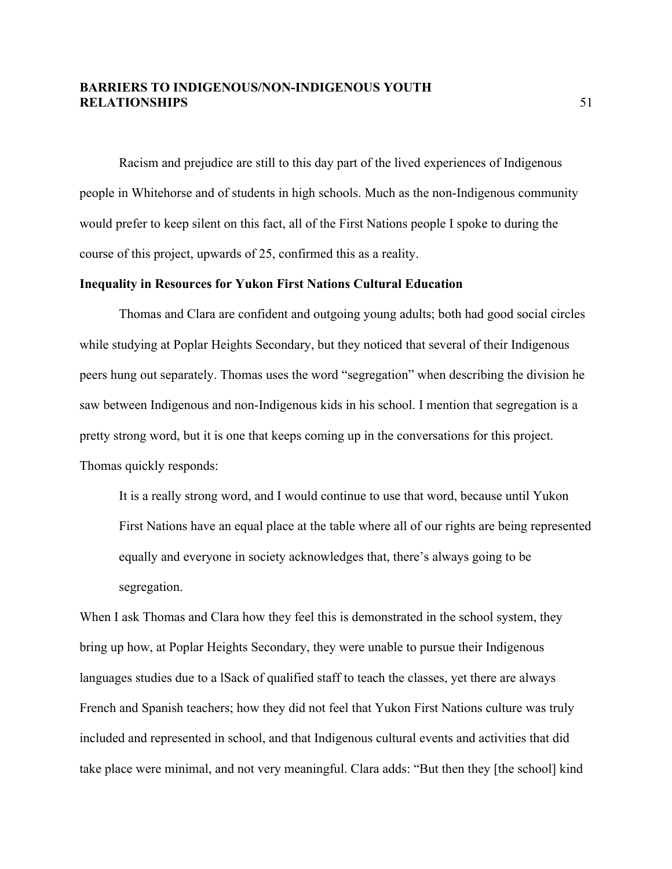Racism and prejudice are still to this day part of the lived experiences of Indigenous people in Whitehorse and of students in high schools. Much as the non-Indigenous community would prefer to keep silent on this fact, all of the First Nations people I spoke to during the course of this project, upwards of 25, confirmed this as a reality.

#### **Inequality in Resources for Yukon First Nations Cultural Education**

Thomas and Clara are confident and outgoing young adults; both had good social circles while studying at Poplar Heights Secondary, but they noticed that several of their Indigenous peers hung out separately. Thomas uses the word "segregation" when describing the division he saw between Indigenous and non-Indigenous kids in his school. I mention that segregation is a pretty strong word, but it is one that keeps coming up in the conversations for this project. Thomas quickly responds:

It is a really strong word, and I would continue to use that word, because until Yukon First Nations have an equal place at the table where all of our rights are being represented equally and everyone in society acknowledges that, there's always going to be segregation.

When I ask Thomas and Clara how they feel this is demonstrated in the school system, they bring up how, at Poplar Heights Secondary, they were unable to pursue their Indigenous languages studies due to a lSack of qualified staff to teach the classes, yet there are always French and Spanish teachers; how they did not feel that Yukon First Nations culture was truly included and represented in school, and that Indigenous cultural events and activities that did take place were minimal, and not very meaningful. Clara adds: "But then they [the school] kind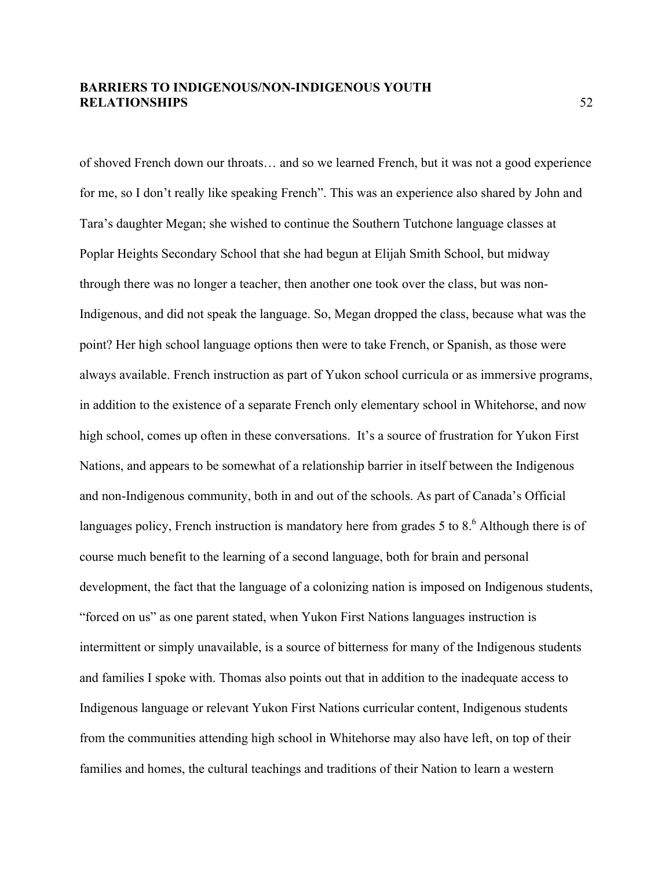of shoved French down our throats… and so we learned French, but it was not a good experience for me, so I don't really like speaking French". This was an experience also shared by John and Tara's daughter Megan; she wished to continue the Southern Tutchone language classes at Poplar Heights Secondary School that she had begun at Elijah Smith School, but midway through there was no longer a teacher, then another one took over the class, but was non-Indigenous, and did not speak the language. So, Megan dropped the class, because what was the point? Her high school language options then were to take French, or Spanish, as those were always available. French instruction as part of Yukon school curricula or as immersive programs, in addition to the existence of a separate French only elementary school in Whitehorse, and now high school, comes up often in these conversations. It's a source of frustration for Yukon First Nations, and appears to be somewhat of a relationship barrier in itself between the Indigenous and non-Indigenous community, both in and out of the schools. As part of Canada's Official languages policy. French instruction is mandatory here from grades 5 to  $8<sup>6</sup>$  Although there is of course much benefit to the learning of a second language, both for brain and personal development, the fact that the language of a colonizing nation is imposed on Indigenous students, "forced on us" as one parent stated, when Yukon First Nations languages instruction is intermittent or simply unavailable, is a source of bitterness for many of the Indigenous students and families I spoke with. Thomas also points out that in addition to the inadequate access to Indigenous language or relevant Yukon First Nations curricular content, Indigenous students from the communities attending high school in Whitehorse may also have left, on top of their families and homes, the cultural teachings and traditions of their Nation to learn a western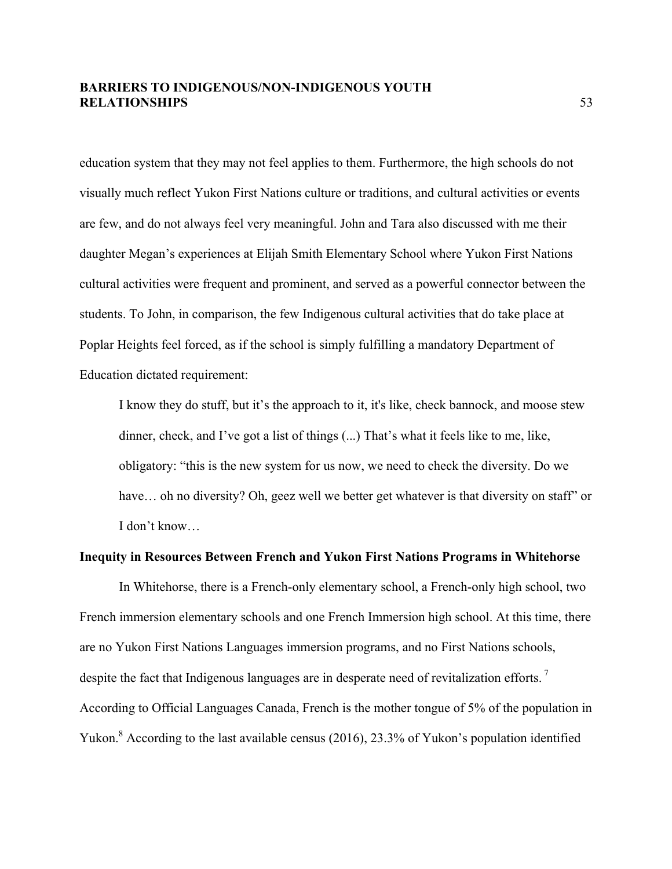education system that they may not feel applies to them. Furthermore, the high schools do not visually much reflect Yukon First Nations culture or traditions, and cultural activities or events are few, and do not always feel very meaningful. John and Tara also discussed with me their daughter Megan's experiences at Elijah Smith Elementary School where Yukon First Nations cultural activities were frequent and prominent, and served as a powerful connector between the students. To John, in comparison, the few Indigenous cultural activities that do take place at Poplar Heights feel forced, as if the school is simply fulfilling a mandatory Department of Education dictated requirement:

I know they do stuff, but it's the approach to it, it's like, check bannock, and moose stew dinner, check, and I've got a list of things (...) That's what it feels like to me, like, obligatory: "this is the new system for us now, we need to check the diversity. Do we have... oh no diversity? Oh, geez well we better get whatever is that diversity on staff" or I don't know…

#### **Inequity in Resources Between French and Yukon First Nations Programs in Whitehorse**

In Whitehorse, there is a French-only elementary school, a French-only high school, two French immersion elementary schools and one French Immersion high school. At this time, there are no Yukon First Nations Languages immersion programs, and no First Nations schools, despite the fact that Indigenous languages are in desperate need of revitalization efforts.<sup>7</sup> According to Official Languages Canada, French is the mother tongue of 5% of the population in Yukon.<sup>8</sup> According to the last available census (2016), 23.3% of Yukon's population identified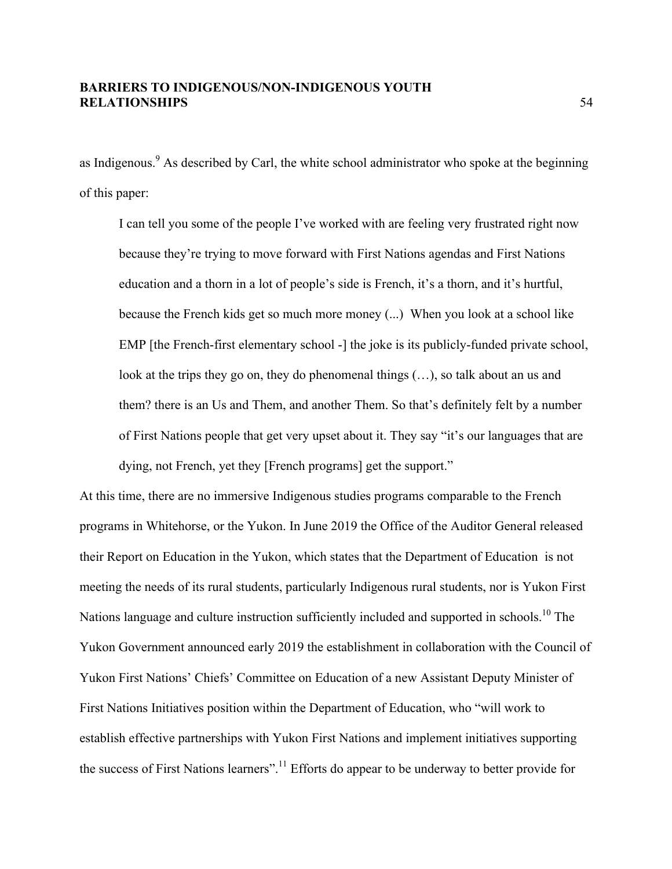as Indigenous.<sup>9</sup> As described by Carl, the white school administrator who spoke at the beginning of this paper:

I can tell you some of the people I've worked with are feeling very frustrated right now because they're trying to move forward with First Nations agendas and First Nations education and a thorn in a lot of people's side is French, it's a thorn, and it's hurtful, because the French kids get so much more money (...) When you look at a school like EMP [the French-first elementary school -] the joke is its publicly-funded private school, look at the trips they go on, they do phenomenal things (…), so talk about an us and them? there is an Us and Them, and another Them. So that's definitely felt by a number of First Nations people that get very upset about it. They say "it's our languages that are dying, not French, yet they [French programs] get the support."

At this time, there are no immersive Indigenous studies programs comparable to the French programs in Whitehorse, or the Yukon. In June 2019 the Office of the Auditor General released their Report on Education in the Yukon, which states that the Department of Education is not meeting the needs of its rural students, particularly Indigenous rural students, nor is Yukon First Nations language and culture instruction sufficiently included and supported in schools.<sup>10</sup> The Yukon Government announced early 2019 the establishment in collaboration with the Council of Yukon First Nations' Chiefs' Committee on Education of a new Assistant Deputy Minister of First Nations Initiatives position within the Department of Education, who "will work to establish effective partnerships with Yukon First Nations and implement initiatives supporting the success of First Nations learners".<sup>11</sup> Efforts do appear to be underway to better provide for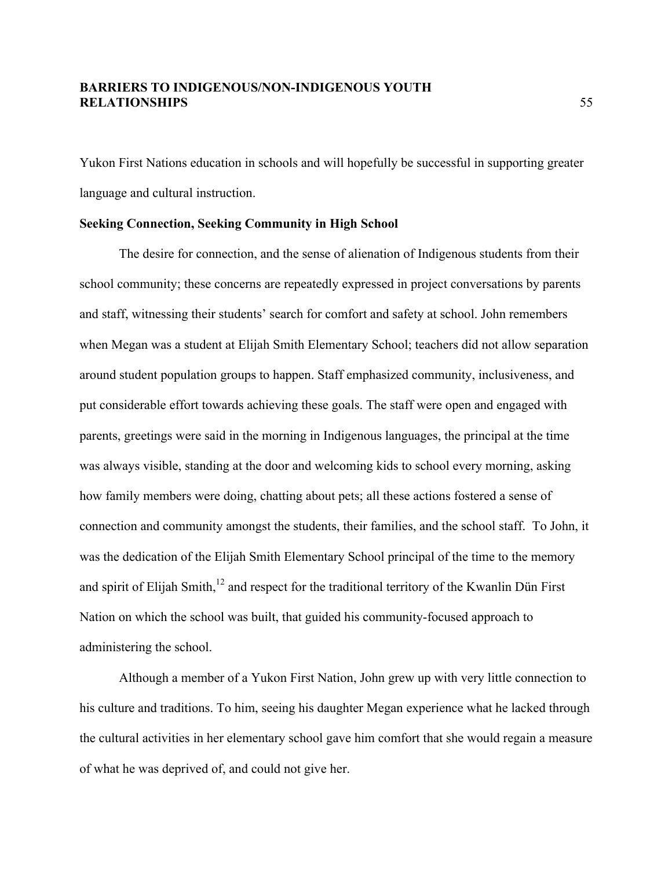Yukon First Nations education in schools and will hopefully be successful in supporting greater language and cultural instruction.

#### **Seeking Connection, Seeking Community in High School**

The desire for connection, and the sense of alienation of Indigenous students from their school community; these concerns are repeatedly expressed in project conversations by parents and staff, witnessing their students' search for comfort and safety at school. John remembers when Megan was a student at Elijah Smith Elementary School; teachers did not allow separation around student population groups to happen. Staff emphasized community, inclusiveness, and put considerable effort towards achieving these goals. The staff were open and engaged with parents, greetings were said in the morning in Indigenous languages, the principal at the time was always visible, standing at the door and welcoming kids to school every morning, asking how family members were doing, chatting about pets; all these actions fostered a sense of connection and community amongst the students, their families, and the school staff. To John, it was the dedication of the Elijah Smith Elementary School principal of the time to the memory and spirit of Elijah Smith, $12$  and respect for the traditional territory of the Kwanlin Dün First Nation on which the school was built, that guided his community-focused approach to administering the school.

Although a member of a Yukon First Nation, John grew up with very little connection to his culture and traditions. To him, seeing his daughter Megan experience what he lacked through the cultural activities in her elementary school gave him comfort that she would regain a measure of what he was deprived of, and could not give her.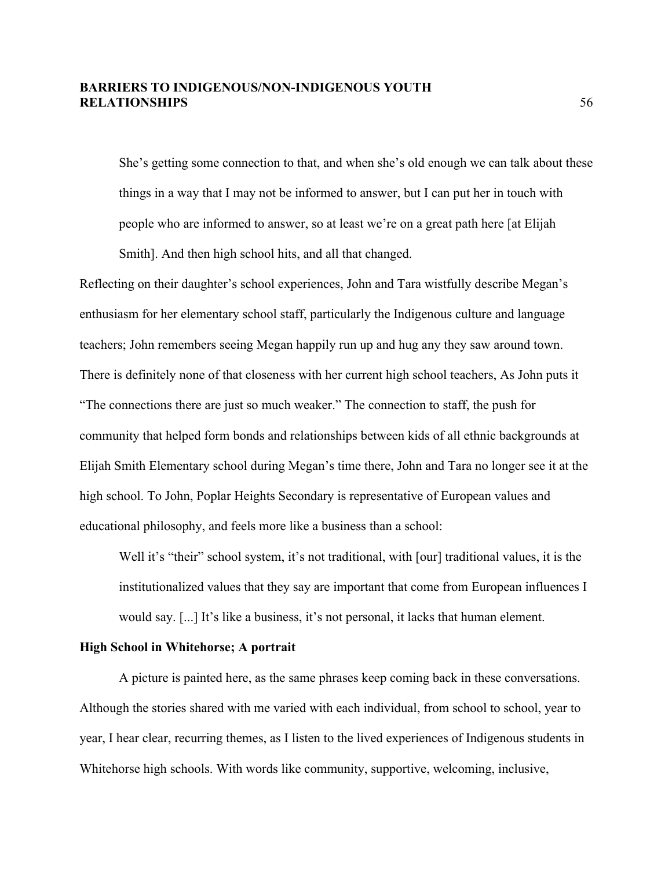She's getting some connection to that, and when she's old enough we can talk about these things in a way that I may not be informed to answer, but I can put her in touch with people who are informed to answer, so at least we're on a great path here [at Elijah Smith]. And then high school hits, and all that changed.

Reflecting on their daughter's school experiences, John and Tara wistfully describe Megan's enthusiasm for her elementary school staff, particularly the Indigenous culture and language teachers; John remembers seeing Megan happily run up and hug any they saw around town. There is definitely none of that closeness with her current high school teachers, As John puts it "The connections there are just so much weaker." The connection to staff, the push for community that helped form bonds and relationships between kids of all ethnic backgrounds at Elijah Smith Elementary school during Megan's time there, John and Tara no longer see it at the high school. To John, Poplar Heights Secondary is representative of European values and educational philosophy, and feels more like a business than a school:

Well it's "their" school system, it's not traditional, with [our] traditional values, it is the institutionalized values that they say are important that come from European influences I would say. [...] It's like a business, it's not personal, it lacks that human element.

#### **High School in Whitehorse; A portrait**

A picture is painted here, as the same phrases keep coming back in these conversations. Although the stories shared with me varied with each individual, from school to school, year to year, I hear clear, recurring themes, as I listen to the lived experiences of Indigenous students in Whitehorse high schools. With words like community, supportive, welcoming, inclusive,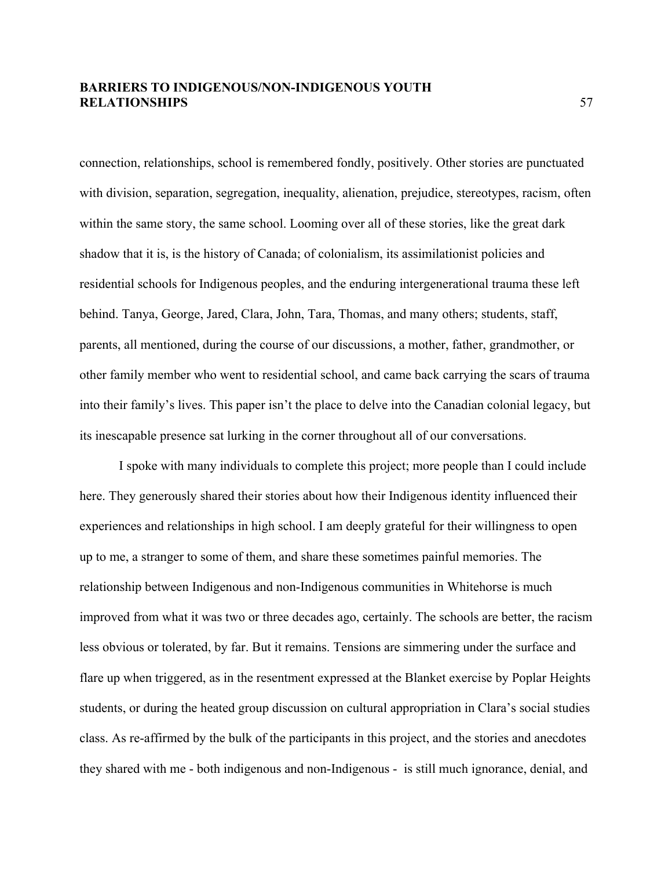connection, relationships, school is remembered fondly, positively. Other stories are punctuated with division, separation, segregation, inequality, alienation, prejudice, stereotypes, racism, often within the same story, the same school. Looming over all of these stories, like the great dark shadow that it is, is the history of Canada; of colonialism, its assimilationist policies and residential schools for Indigenous peoples, and the enduring intergenerational trauma these left behind. Tanya, George, Jared, Clara, John, Tara, Thomas, and many others; students, staff, parents, all mentioned, during the course of our discussions, a mother, father, grandmother, or other family member who went to residential school, and came back carrying the scars of trauma into their family's lives. This paper isn't the place to delve into the Canadian colonial legacy, but its inescapable presence sat lurking in the corner throughout all of our conversations.

I spoke with many individuals to complete this project; more people than I could include here. They generously shared their stories about how their Indigenous identity influenced their experiences and relationships in high school. I am deeply grateful for their willingness to open up to me, a stranger to some of them, and share these sometimes painful memories. The relationship between Indigenous and non-Indigenous communities in Whitehorse is much improved from what it was two or three decades ago, certainly. The schools are better, the racism less obvious or tolerated, by far. But it remains. Tensions are simmering under the surface and flare up when triggered, as in the resentment expressed at the Blanket exercise by Poplar Heights students, or during the heated group discussion on cultural appropriation in Clara's social studies class. As re-affirmed by the bulk of the participants in this project, and the stories and anecdotes they shared with me - both indigenous and non-Indigenous - is still much ignorance, denial, and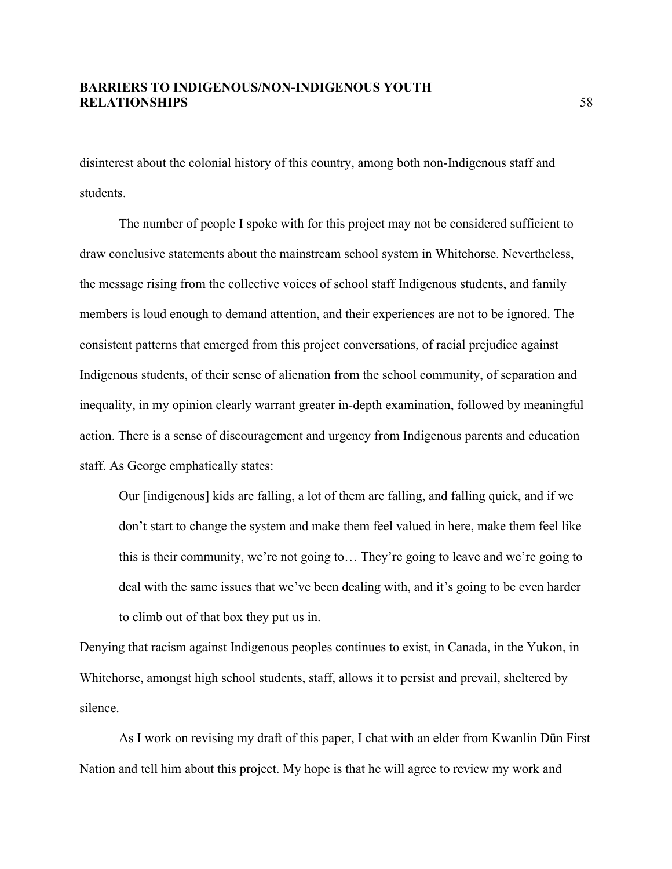disinterest about the colonial history of this country, among both non-Indigenous staff and students.

The number of people I spoke with for this project may not be considered sufficient to draw conclusive statements about the mainstream school system in Whitehorse. Nevertheless, the message rising from the collective voices of school staff Indigenous students, and family members is loud enough to demand attention, and their experiences are not to be ignored. The consistent patterns that emerged from this project conversations, of racial prejudice against Indigenous students, of their sense of alienation from the school community, of separation and inequality, in my opinion clearly warrant greater in-depth examination, followed by meaningful action. There is a sense of discouragement and urgency from Indigenous parents and education staff. As George emphatically states:

Our [indigenous] kids are falling, a lot of them are falling, and falling quick, and if we don't start to change the system and make them feel valued in here, make them feel like this is their community, we're not going to… They're going to leave and we're going to deal with the same issues that we've been dealing with, and it's going to be even harder to climb out of that box they put us in.

Denying that racism against Indigenous peoples continues to exist, in Canada, in the Yukon, in Whitehorse, amongst high school students, staff, allows it to persist and prevail, sheltered by silence.

As I work on revising my draft of this paper, I chat with an elder from Kwanlin Dün First Nation and tell him about this project. My hope is that he will agree to review my work and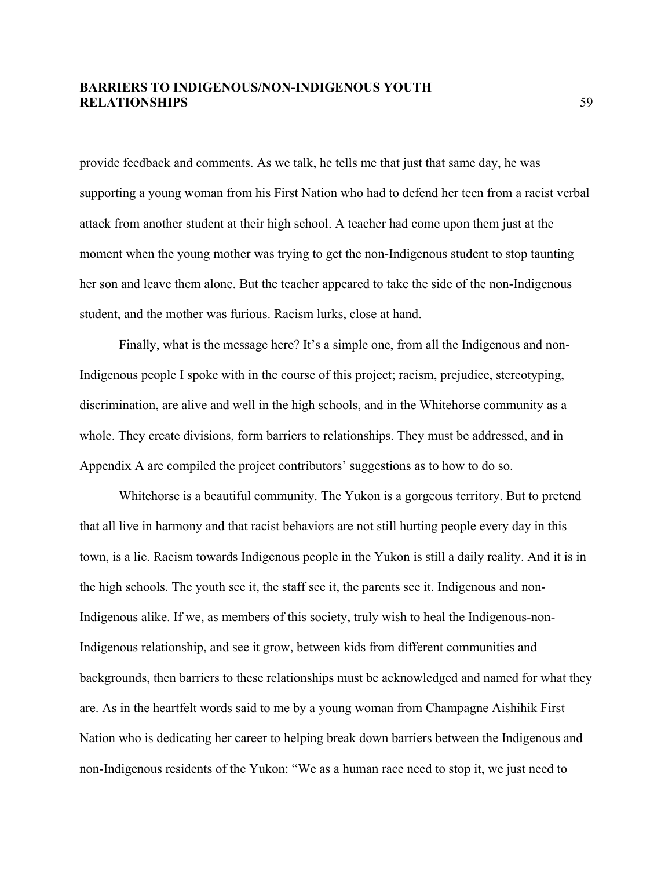provide feedback and comments. As we talk, he tells me that just that same day, he was supporting a young woman from his First Nation who had to defend her teen from a racist verbal attack from another student at their high school. A teacher had come upon them just at the moment when the young mother was trying to get the non-Indigenous student to stop taunting her son and leave them alone. But the teacher appeared to take the side of the non-Indigenous student, and the mother was furious. Racism lurks, close at hand.

Finally, what is the message here? It's a simple one, from all the Indigenous and non-Indigenous people I spoke with in the course of this project; racism, prejudice, stereotyping, discrimination, are alive and well in the high schools, and in the Whitehorse community as a whole. They create divisions, form barriers to relationships. They must be addressed, and in Appendix A are compiled the project contributors' suggestions as to how to do so.

Whitehorse is a beautiful community. The Yukon is a gorgeous territory. But to pretend that all live in harmony and that racist behaviors are not still hurting people every day in this town, is a lie. Racism towards Indigenous people in the Yukon is still a daily reality. And it is in the high schools. The youth see it, the staff see it, the parents see it. Indigenous and non-Indigenous alike. If we, as members of this society, truly wish to heal the Indigenous-non-Indigenous relationship, and see it grow, between kids from different communities and backgrounds, then barriers to these relationships must be acknowledged and named for what they are. As in the heartfelt words said to me by a young woman from Champagne Aishihik First Nation who is dedicating her career to helping break down barriers between the Indigenous and non-Indigenous residents of the Yukon: "We as a human race need to stop it, we just need to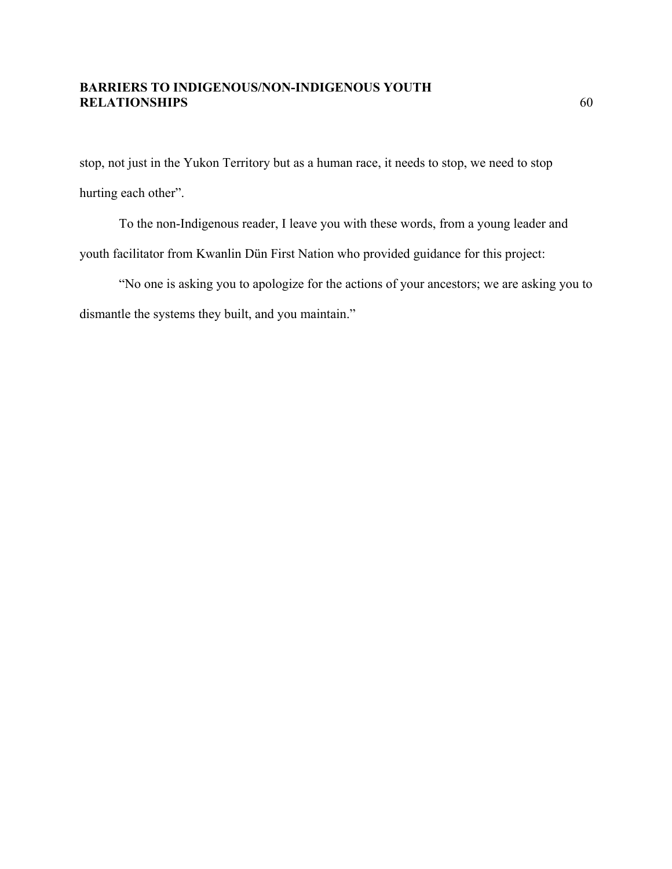stop, not just in the Yukon Territory but as a human race, it needs to stop, we need to stop hurting each other".

To the non-Indigenous reader, I leave you with these words, from a young leader and youth facilitator from Kwanlin Dün First Nation who provided guidance for this project:

"No one is asking you to apologize for the actions of your ancestors; we are asking you to dismantle the systems they built, and you maintain."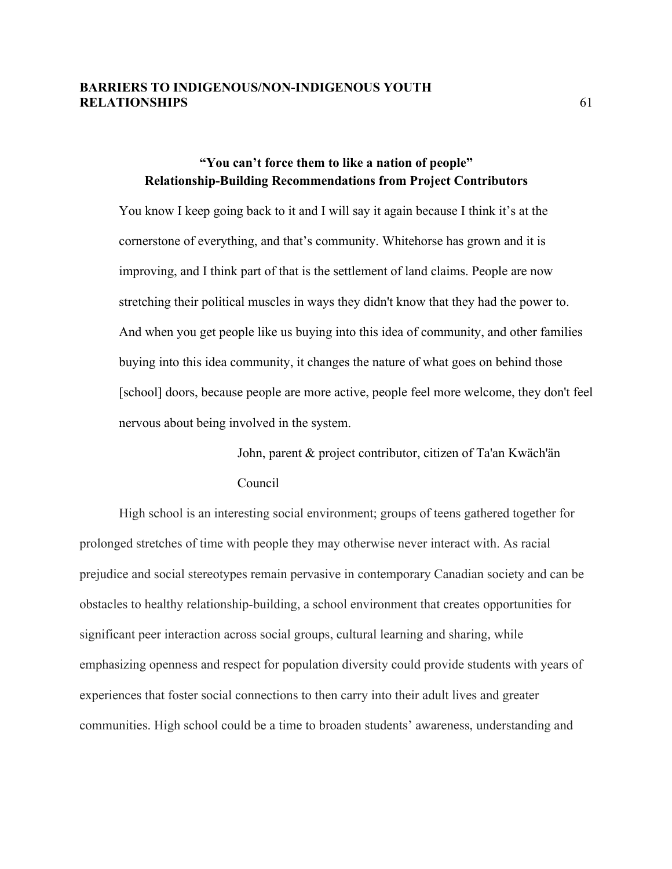# **"You can't force them to like a nation of people" Relationship-Building Recommendations from Project Contributors**

You know I keep going back to it and I will say it again because I think it's at the cornerstone of everything, and that's community. Whitehorse has grown and it is improving, and I think part of that is the settlement of land claims. People are now stretching their political muscles in ways they didn't know that they had the power to. And when you get people like us buying into this idea of community, and other families buying into this idea community, it changes the nature of what goes on behind those [school] doors, because people are more active, people feel more welcome, they don't feel nervous about being involved in the system.

> John, parent & project contributor, citizen of Ta'an Kwäch'än Council

High school is an interesting social environment; groups of teens gathered together for prolonged stretches of time with people they may otherwise never interact with. As racial prejudice and social stereotypes remain pervasive in contemporary Canadian society and can be obstacles to healthy relationship-building, a school environment that creates opportunities for significant peer interaction across social groups, cultural learning and sharing, while emphasizing openness and respect for population diversity could provide students with years of experiences that foster social connections to then carry into their adult lives and greater communities. High school could be a time to broaden students' awareness, understanding and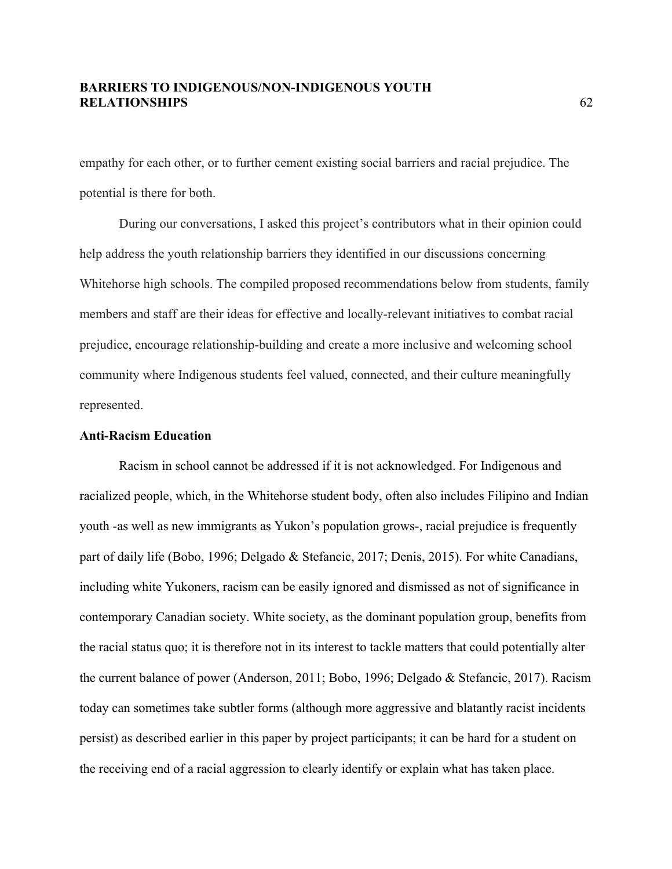empathy for each other, or to further cement existing social barriers and racial prejudice. The potential is there for both.

During our conversations, I asked this project's contributors what in their opinion could help address the youth relationship barriers they identified in our discussions concerning Whitehorse high schools. The compiled proposed recommendations below from students, family members and staff are their ideas for effective and locally-relevant initiatives to combat racial prejudice, encourage relationship-building and create a more inclusive and welcoming school community where Indigenous students feel valued, connected, and their culture meaningfully represented.

#### **Anti-Racism Education**

Racism in school cannot be addressed if it is not acknowledged. For Indigenous and racialized people, which, in the Whitehorse student body, often also includes Filipino and Indian youth -as well as new immigrants as Yukon's population grows-, racial prejudice is frequently part of daily life (Bobo, 1996; Delgado & Stefancic, 2017; Denis, 2015). For white Canadians, including white Yukoners, racism can be easily ignored and dismissed as not of significance in contemporary Canadian society. White society, as the dominant population group, benefits from the racial status quo; it is therefore not in its interest to tackle matters that could potentially alter the current balance of power (Anderson, 2011; Bobo, 1996; Delgado & Stefancic, 2017). Racism today can sometimes take subtler forms (although more aggressive and blatantly racist incidents persist) as described earlier in this paper by project participants; it can be hard for a student on the receiving end of a racial aggression to clearly identify or explain what has taken place.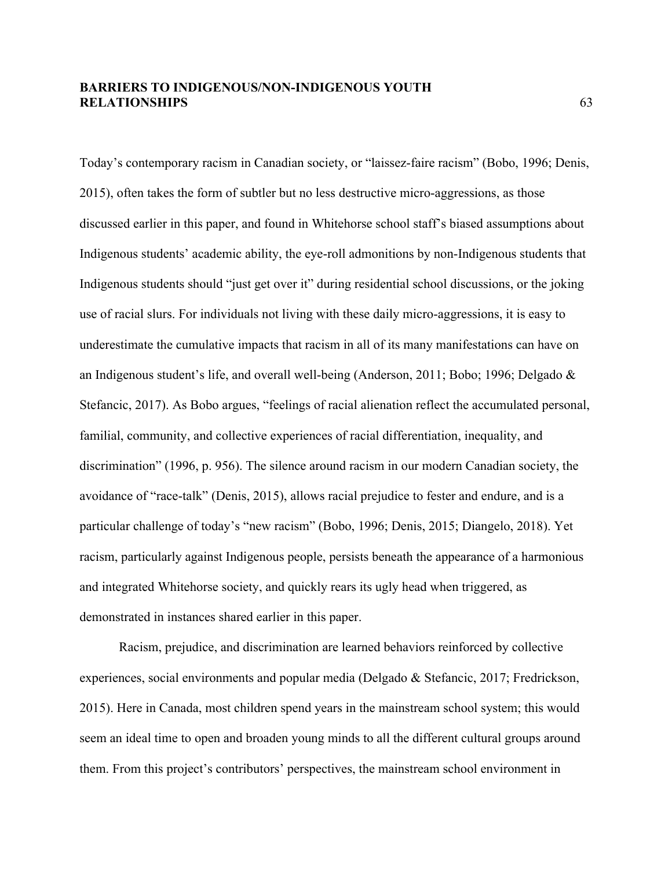Today's contemporary racism in Canadian society, or "laissez-faire racism" (Bobo, 1996; Denis, 2015), often takes the form of subtler but no less destructive micro-aggressions, as those discussed earlier in this paper, and found in Whitehorse school staff's biased assumptions about Indigenous students' academic ability, the eye-roll admonitions by non-Indigenous students that Indigenous students should "just get over it" during residential school discussions, or the joking use of racial slurs. For individuals not living with these daily micro-aggressions, it is easy to underestimate the cumulative impacts that racism in all of its many manifestations can have on an Indigenous student's life, and overall well-being (Anderson, 2011; Bobo; 1996; Delgado & Stefancic, 2017). As Bobo argues, "feelings of racial alienation reflect the accumulated personal, familial, community, and collective experiences of racial differentiation, inequality, and discrimination" (1996, p. 956). The silence around racism in our modern Canadian society, the avoidance of "race-talk" (Denis, 2015), allows racial prejudice to fester and endure, and is a particular challenge of today's "new racism" (Bobo, 1996; Denis, 2015; Diangelo, 2018). Yet racism, particularly against Indigenous people, persists beneath the appearance of a harmonious and integrated Whitehorse society, and quickly rears its ugly head when triggered, as demonstrated in instances shared earlier in this paper.

Racism, prejudice, and discrimination are learned behaviors reinforced by collective experiences, social environments and popular media (Delgado & Stefancic, 2017; Fredrickson, 2015). Here in Canada, most children spend years in the mainstream school system; this would seem an ideal time to open and broaden young minds to all the different cultural groups around them. From this project's contributors' perspectives, the mainstream school environment in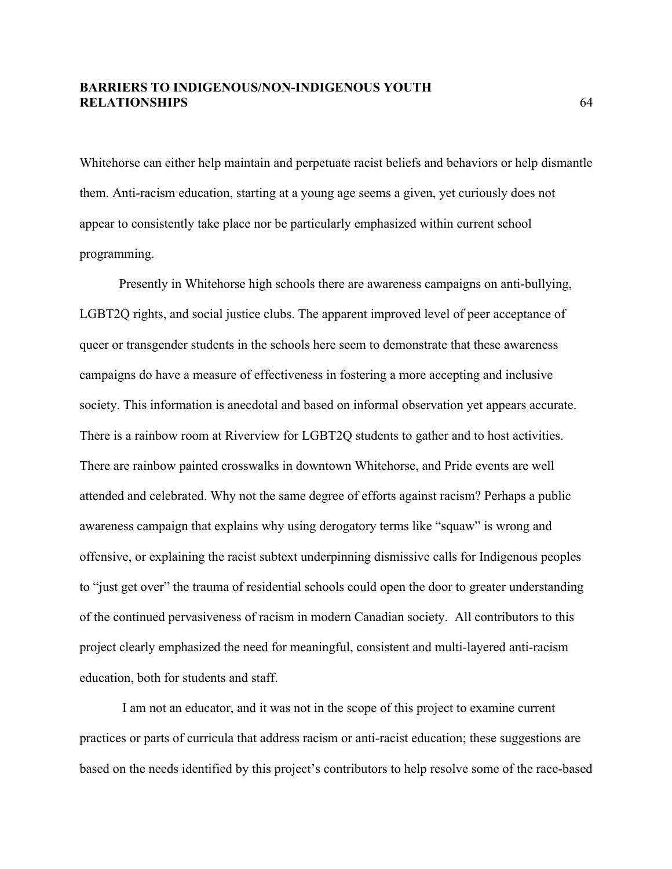Whitehorse can either help maintain and perpetuate racist beliefs and behaviors or help dismantle them. Anti-racism education, starting at a young age seems a given, yet curiously does not appear to consistently take place nor be particularly emphasized within current school programming.

Presently in Whitehorse high schools there are awareness campaigns on anti-bullying, LGBT2Q rights, and social justice clubs. The apparent improved level of peer acceptance of queer or transgender students in the schools here seem to demonstrate that these awareness campaigns do have a measure of effectiveness in fostering a more accepting and inclusive society. This information is anecdotal and based on informal observation yet appears accurate. There is a rainbow room at Riverview for LGBT2Q students to gather and to host activities. There are rainbow painted crosswalks in downtown Whitehorse, and Pride events are well attended and celebrated. Why not the same degree of efforts against racism? Perhaps a public awareness campaign that explains why using derogatory terms like "squaw" is wrong and offensive, or explaining the racist subtext underpinning dismissive calls for Indigenous peoples to "just get over" the trauma of residential schools could open the door to greater understanding of the continued pervasiveness of racism in modern Canadian society. All contributors to this project clearly emphasized the need for meaningful, consistent and multi-layered anti-racism education, both for students and staff.

I am not an educator, and it was not in the scope of this project to examine current practices or parts of curricula that address racism or anti-racist education; these suggestions are based on the needs identified by this project's contributors to help resolve some of the race-based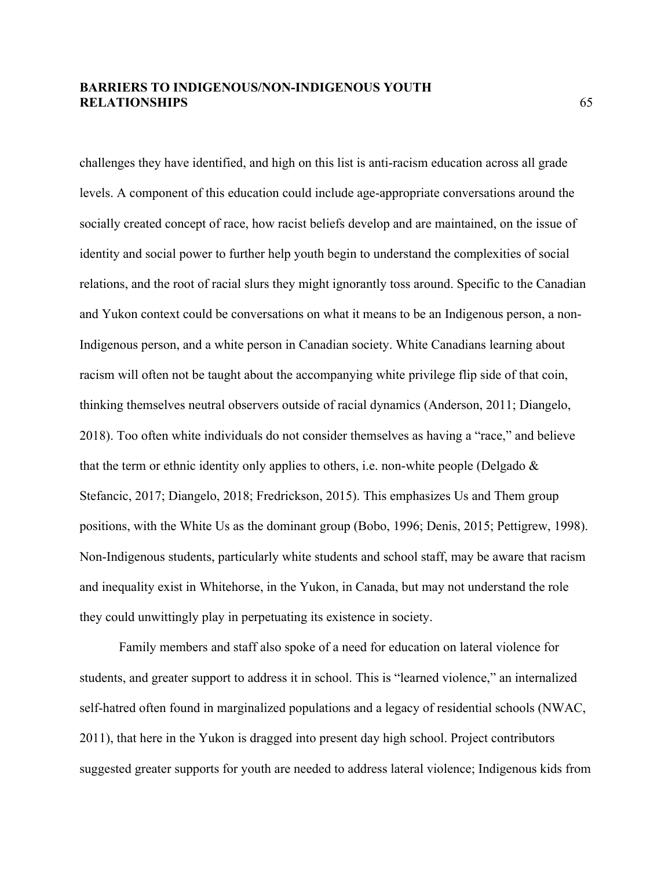challenges they have identified, and high on this list is anti-racism education across all grade levels. A component of this education could include age-appropriate conversations around the socially created concept of race, how racist beliefs develop and are maintained, on the issue of identity and social power to further help youth begin to understand the complexities of social relations, and the root of racial slurs they might ignorantly toss around. Specific to the Canadian and Yukon context could be conversations on what it means to be an Indigenous person, a non-Indigenous person, and a white person in Canadian society. White Canadians learning about racism will often not be taught about the accompanying white privilege flip side of that coin, thinking themselves neutral observers outside of racial dynamics (Anderson, 2011; Diangelo, 2018). Too often white individuals do not consider themselves as having a "race," and believe that the term or ethnic identity only applies to others, i.e. non-white people (Delgado  $\&$ Stefancic, 2017; Diangelo, 2018; Fredrickson, 2015). This emphasizes Us and Them group positions, with the White Us as the dominant group (Bobo, 1996; Denis, 2015; Pettigrew, 1998). Non-Indigenous students, particularly white students and school staff, may be aware that racism and inequality exist in Whitehorse, in the Yukon, in Canada, but may not understand the role they could unwittingly play in perpetuating its existence in society.

Family members and staff also spoke of a need for education on lateral violence for students, and greater support to address it in school. This is "learned violence," an internalized self-hatred often found in marginalized populations and a legacy of residential schools (NWAC, 2011), that here in the Yukon is dragged into present day high school. Project contributors suggested greater supports for youth are needed to address lateral violence; Indigenous kids from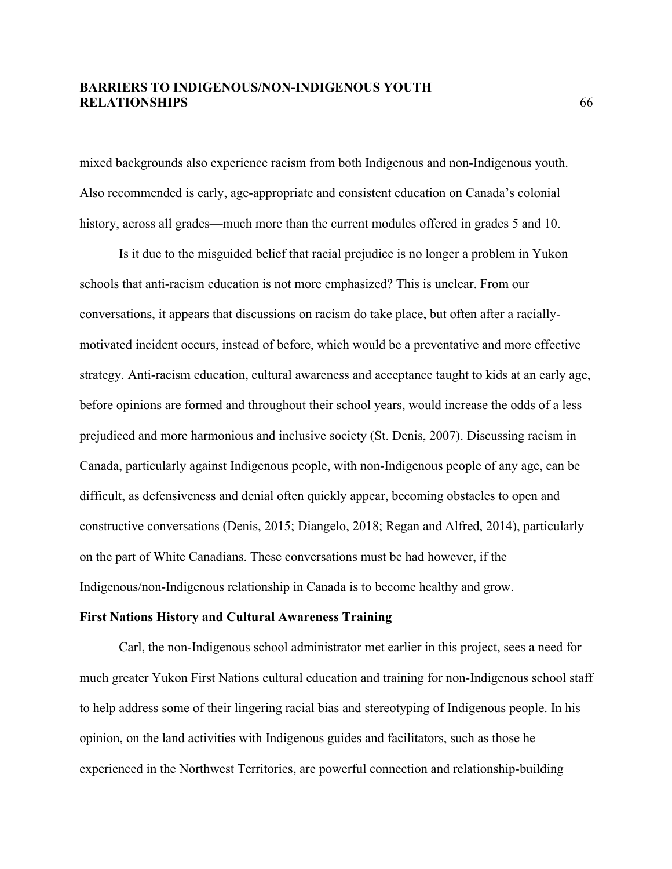mixed backgrounds also experience racism from both Indigenous and non-Indigenous youth. Also recommended is early, age-appropriate and consistent education on Canada's colonial history, across all grades—much more than the current modules offered in grades 5 and 10.

Is it due to the misguided belief that racial prejudice is no longer a problem in Yukon schools that anti-racism education is not more emphasized? This is unclear. From our conversations, it appears that discussions on racism do take place, but often after a raciallymotivated incident occurs, instead of before, which would be a preventative and more effective strategy. Anti-racism education, cultural awareness and acceptance taught to kids at an early age, before opinions are formed and throughout their school years, would increase the odds of a less prejudiced and more harmonious and inclusive society (St. Denis, 2007). Discussing racism in Canada, particularly against Indigenous people, with non-Indigenous people of any age, can be difficult, as defensiveness and denial often quickly appear, becoming obstacles to open and constructive conversations (Denis, 2015; Diangelo, 2018; Regan and Alfred, 2014), particularly on the part of White Canadians. These conversations must be had however, if the Indigenous/non-Indigenous relationship in Canada is to become healthy and grow.

#### **First Nations History and Cultural Awareness Training**

Carl, the non-Indigenous school administrator met earlier in this project, sees a need for much greater Yukon First Nations cultural education and training for non-Indigenous school staff to help address some of their lingering racial bias and stereotyping of Indigenous people. In his opinion, on the land activities with Indigenous guides and facilitators, such as those he experienced in the Northwest Territories, are powerful connection and relationship-building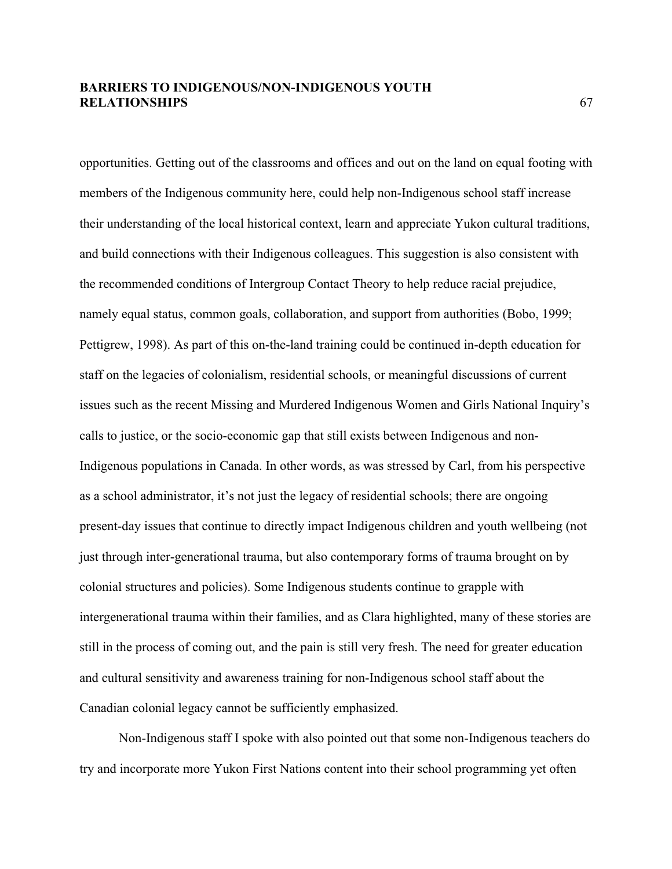opportunities. Getting out of the classrooms and offices and out on the land on equal footing with members of the Indigenous community here, could help non-Indigenous school staff increase their understanding of the local historical context, learn and appreciate Yukon cultural traditions, and build connections with their Indigenous colleagues. This suggestion is also consistent with the recommended conditions of Intergroup Contact Theory to help reduce racial prejudice, namely equal status, common goals, collaboration, and support from authorities (Bobo, 1999; Pettigrew, 1998). As part of this on-the-land training could be continued in-depth education for staff on the legacies of colonialism, residential schools, or meaningful discussions of current issues such as the recent Missing and Murdered Indigenous Women and Girls National Inquiry's calls to justice, or the socio-economic gap that still exists between Indigenous and non-Indigenous populations in Canada. In other words, as was stressed by Carl, from his perspective as a school administrator, it's not just the legacy of residential schools; there are ongoing present-day issues that continue to directly impact Indigenous children and youth wellbeing (not just through inter-generational trauma, but also contemporary forms of trauma brought on by colonial structures and policies). Some Indigenous students continue to grapple with intergenerational trauma within their families, and as Clara highlighted, many of these stories are still in the process of coming out, and the pain is still very fresh. The need for greater education and cultural sensitivity and awareness training for non-Indigenous school staff about the Canadian colonial legacy cannot be sufficiently emphasized.

Non-Indigenous staff I spoke with also pointed out that some non-Indigenous teachers do try and incorporate more Yukon First Nations content into their school programming yet often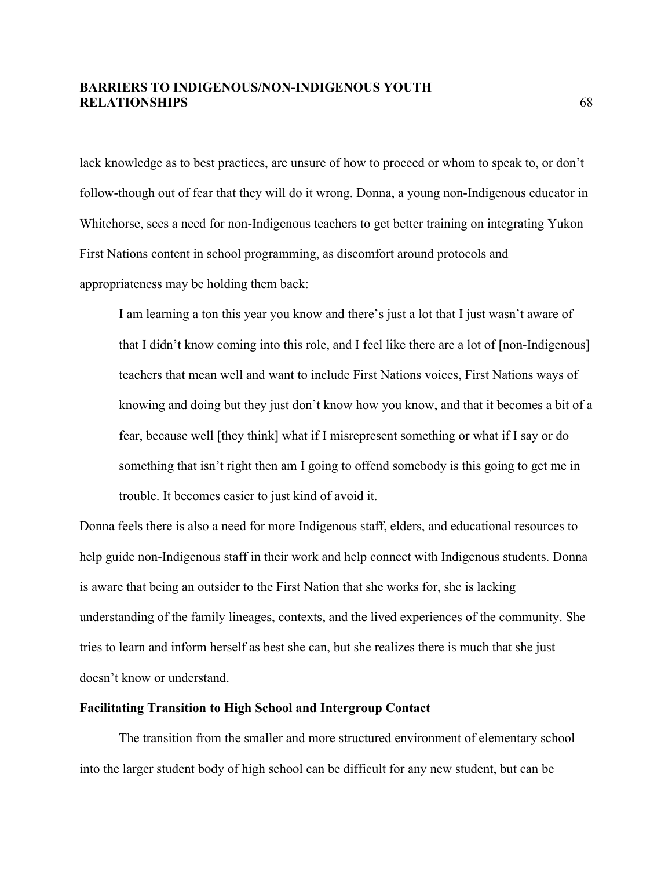lack knowledge as to best practices, are unsure of how to proceed or whom to speak to, or don't follow-though out of fear that they will do it wrong. Donna, a young non-Indigenous educator in Whitehorse, sees a need for non-Indigenous teachers to get better training on integrating Yukon First Nations content in school programming, as discomfort around protocols and appropriateness may be holding them back:

I am learning a ton this year you know and there's just a lot that I just wasn't aware of that I didn't know coming into this role, and I feel like there are a lot of [non-Indigenous] teachers that mean well and want to include First Nations voices, First Nations ways of knowing and doing but they just don't know how you know, and that it becomes a bit of a fear, because well [they think] what if I misrepresent something or what if I say or do something that isn't right then am I going to offend somebody is this going to get me in trouble. It becomes easier to just kind of avoid it.

Donna feels there is also a need for more Indigenous staff, elders, and educational resources to help guide non-Indigenous staff in their work and help connect with Indigenous students. Donna is aware that being an outsider to the First Nation that she works for, she is lacking understanding of the family lineages, contexts, and the lived experiences of the community. She tries to learn and inform herself as best she can, but she realizes there is much that she just doesn't know or understand.

#### **Facilitating Transition to High School and Intergroup Contact**

The transition from the smaller and more structured environment of elementary school into the larger student body of high school can be difficult for any new student, but can be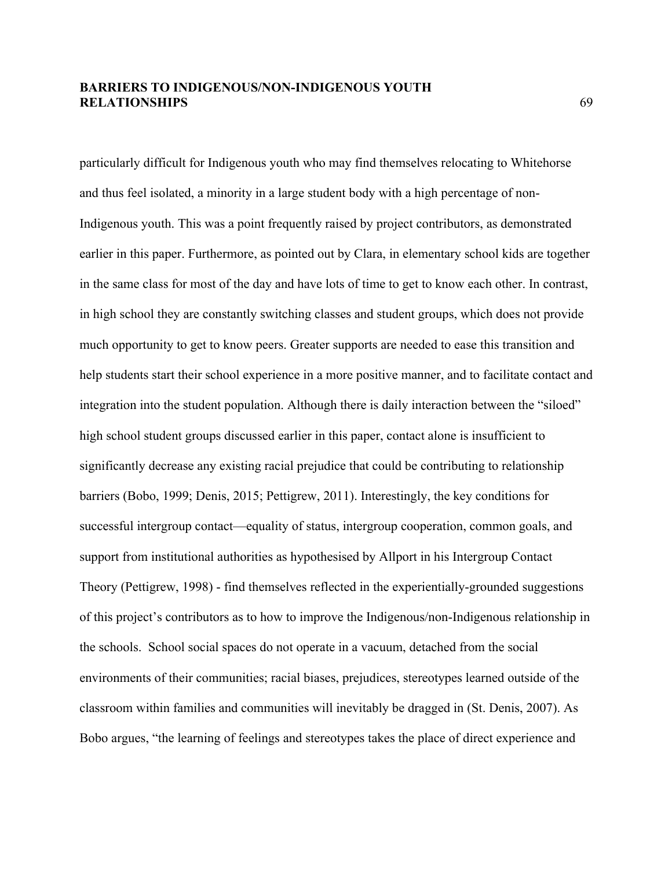particularly difficult for Indigenous youth who may find themselves relocating to Whitehorse and thus feel isolated, a minority in a large student body with a high percentage of non-Indigenous youth. This was a point frequently raised by project contributors, as demonstrated earlier in this paper. Furthermore, as pointed out by Clara, in elementary school kids are together in the same class for most of the day and have lots of time to get to know each other. In contrast, in high school they are constantly switching classes and student groups, which does not provide much opportunity to get to know peers. Greater supports are needed to ease this transition and help students start their school experience in a more positive manner, and to facilitate contact and integration into the student population. Although there is daily interaction between the "siloed" high school student groups discussed earlier in this paper, contact alone is insufficient to significantly decrease any existing racial prejudice that could be contributing to relationship barriers (Bobo, 1999; Denis, 2015; Pettigrew, 2011). Interestingly, the key conditions for successful intergroup contact—equality of status, intergroup cooperation, common goals, and support from institutional authorities as hypothesised by Allport in his Intergroup Contact Theory (Pettigrew, 1998) - find themselves reflected in the experientially-grounded suggestions of this project's contributors as to how to improve the Indigenous/non-Indigenous relationship in the schools. School social spaces do not operate in a vacuum, detached from the social environments of their communities; racial biases, prejudices, stereotypes learned outside of the classroom within families and communities will inevitably be dragged in (St. Denis, 2007). As Bobo argues, "the learning of feelings and stereotypes takes the place of direct experience and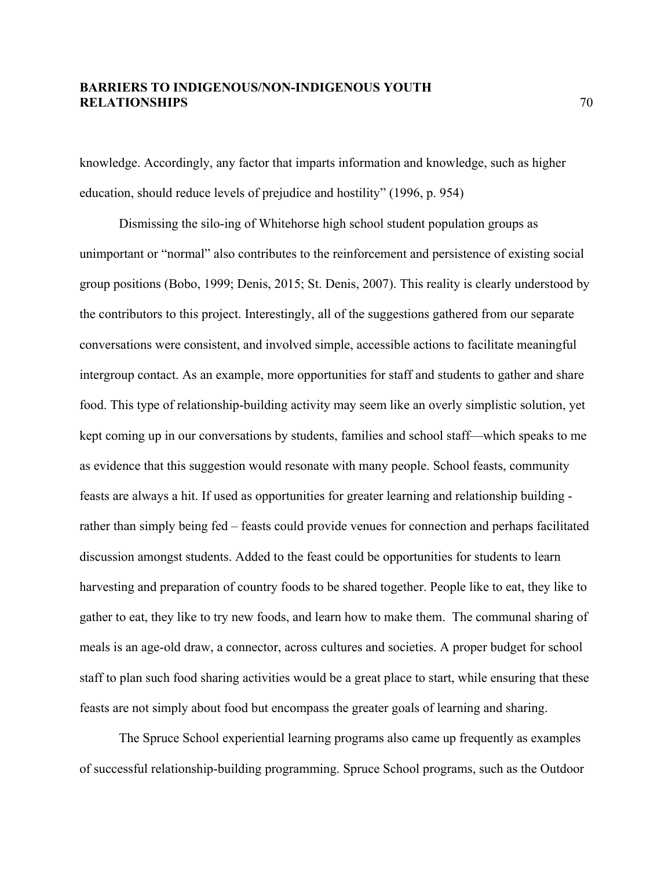knowledge. Accordingly, any factor that imparts information and knowledge, such as higher education, should reduce levels of prejudice and hostility" (1996, p. 954)

Dismissing the silo-ing of Whitehorse high school student population groups as unimportant or "normal" also contributes to the reinforcement and persistence of existing social group positions (Bobo, 1999; Denis, 2015; St. Denis, 2007). This reality is clearly understood by the contributors to this project. Interestingly, all of the suggestions gathered from our separate conversations were consistent, and involved simple, accessible actions to facilitate meaningful intergroup contact. As an example, more opportunities for staff and students to gather and share food. This type of relationship-building activity may seem like an overly simplistic solution, yet kept coming up in our conversations by students, families and school staff—which speaks to me as evidence that this suggestion would resonate with many people. School feasts, community feasts are always a hit. If used as opportunities for greater learning and relationship building rather than simply being fed – feasts could provide venues for connection and perhaps facilitated discussion amongst students. Added to the feast could be opportunities for students to learn harvesting and preparation of country foods to be shared together. People like to eat, they like to gather to eat, they like to try new foods, and learn how to make them. The communal sharing of meals is an age-old draw, a connector, across cultures and societies. A proper budget for school staff to plan such food sharing activities would be a great place to start, while ensuring that these feasts are not simply about food but encompass the greater goals of learning and sharing.

The Spruce School experiential learning programs also came up frequently as examples of successful relationship-building programming. Spruce School programs, such as the Outdoor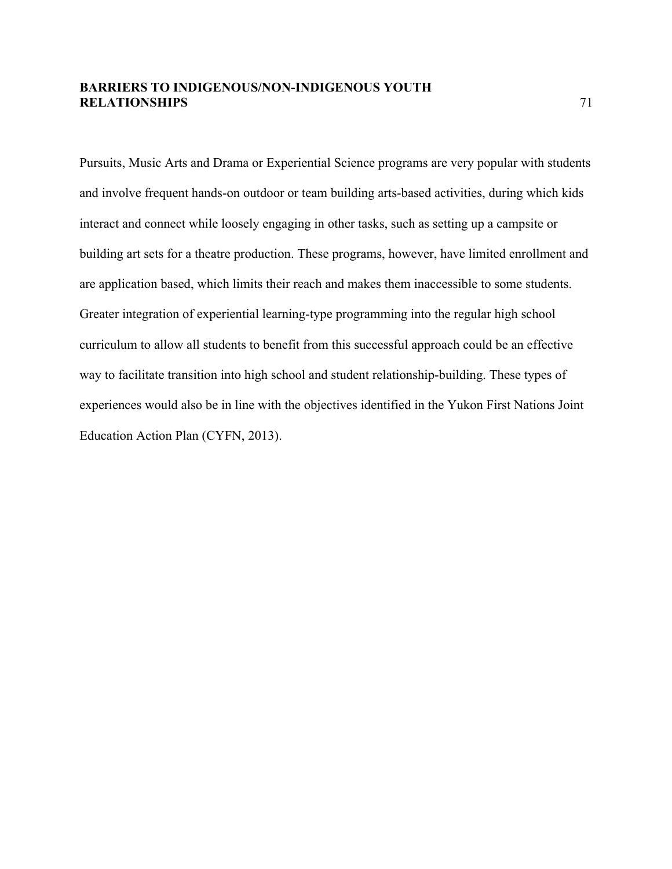Pursuits, Music Arts and Drama or Experiential Science programs are very popular with students and involve frequent hands-on outdoor or team building arts-based activities, during which kids interact and connect while loosely engaging in other tasks, such as setting up a campsite or building art sets for a theatre production. These programs, however, have limited enrollment and are application based, which limits their reach and makes them inaccessible to some students. Greater integration of experiential learning-type programming into the regular high school curriculum to allow all students to benefit from this successful approach could be an effective way to facilitate transition into high school and student relationship-building. These types of experiences would also be in line with the objectives identified in the Yukon First Nations Joint Education Action Plan (CYFN, 2013).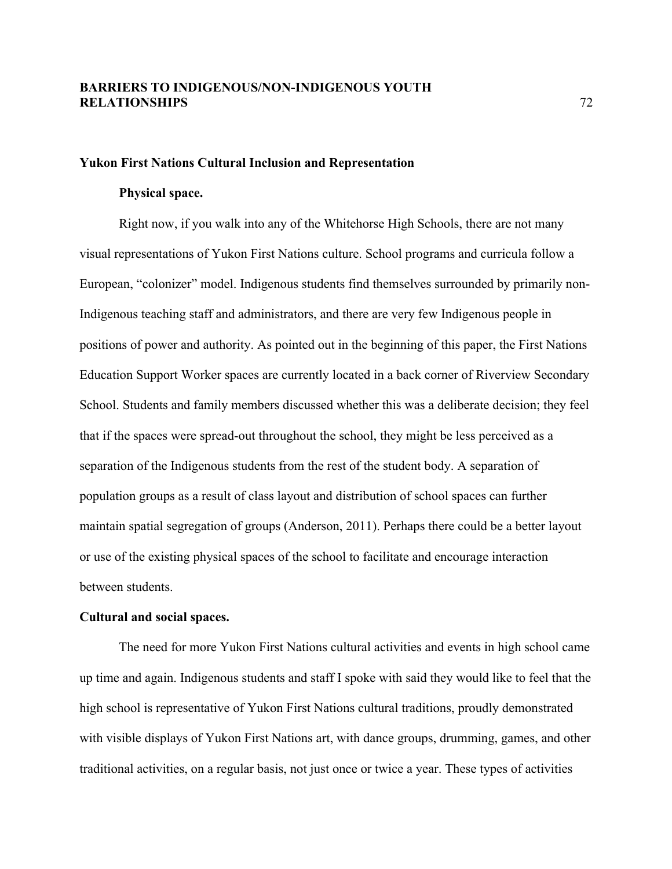#### **Yukon First Nations Cultural Inclusion and Representation**

#### **Physical space.**

Right now, if you walk into any of the Whitehorse High Schools, there are not many visual representations of Yukon First Nations culture. School programs and curricula follow a European, "colonizer" model. Indigenous students find themselves surrounded by primarily non-Indigenous teaching staff and administrators, and there are very few Indigenous people in positions of power and authority. As pointed out in the beginning of this paper, the First Nations Education Support Worker spaces are currently located in a back corner of Riverview Secondary School. Students and family members discussed whether this was a deliberate decision; they feel that if the spaces were spread-out throughout the school, they might be less perceived as a separation of the Indigenous students from the rest of the student body. A separation of population groups as a result of class layout and distribution of school spaces can further maintain spatial segregation of groups (Anderson, 2011). Perhaps there could be a better layout or use of the existing physical spaces of the school to facilitate and encourage interaction between students.

#### **Cultural and social spaces.**

The need for more Yukon First Nations cultural activities and events in high school came up time and again. Indigenous students and staff I spoke with said they would like to feel that the high school is representative of Yukon First Nations cultural traditions, proudly demonstrated with visible displays of Yukon First Nations art, with dance groups, drumming, games, and other traditional activities, on a regular basis, not just once or twice a year. These types of activities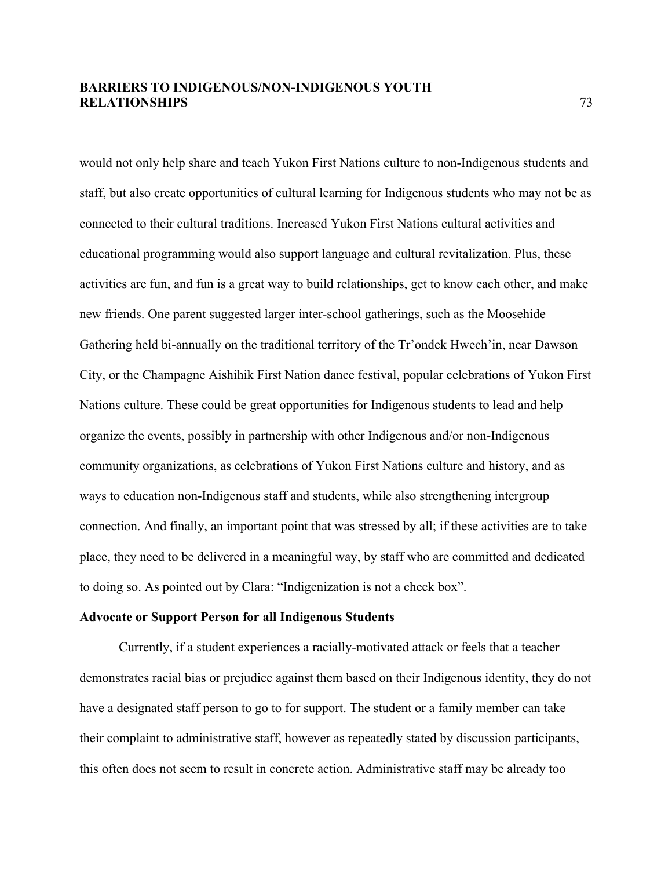would not only help share and teach Yukon First Nations culture to non-Indigenous students and staff, but also create opportunities of cultural learning for Indigenous students who may not be as connected to their cultural traditions. Increased Yukon First Nations cultural activities and educational programming would also support language and cultural revitalization. Plus, these activities are fun, and fun is a great way to build relationships, get to know each other, and make new friends. One parent suggested larger inter-school gatherings, such as the Moosehide Gathering held bi-annually on the traditional territory of the Tr'ondek Hwech'in, near Dawson City, or the Champagne Aishihik First Nation dance festival, popular celebrations of Yukon First Nations culture. These could be great opportunities for Indigenous students to lead and help organize the events, possibly in partnership with other Indigenous and/or non-Indigenous community organizations, as celebrations of Yukon First Nations culture and history, and as ways to education non-Indigenous staff and students, while also strengthening intergroup connection. And finally, an important point that was stressed by all; if these activities are to take place, they need to be delivered in a meaningful way, by staff who are committed and dedicated to doing so. As pointed out by Clara: "Indigenization is not a check box".

#### **Advocate or Support Person for all Indigenous Students**

Currently, if a student experiences a racially-motivated attack or feels that a teacher demonstrates racial bias or prejudice against them based on their Indigenous identity, they do not have a designated staff person to go to for support. The student or a family member can take their complaint to administrative staff, however as repeatedly stated by discussion participants, this often does not seem to result in concrete action. Administrative staff may be already too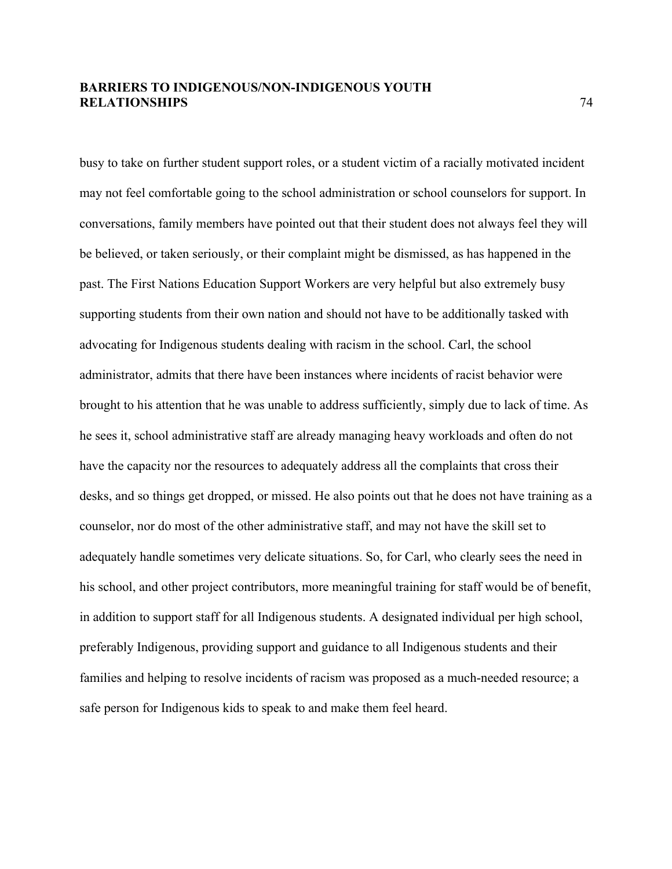busy to take on further student support roles, or a student victim of a racially motivated incident may not feel comfortable going to the school administration or school counselors for support. In conversations, family members have pointed out that their student does not always feel they will be believed, or taken seriously, or their complaint might be dismissed, as has happened in the past. The First Nations Education Support Workers are very helpful but also extremely busy supporting students from their own nation and should not have to be additionally tasked with advocating for Indigenous students dealing with racism in the school. Carl, the school administrator, admits that there have been instances where incidents of racist behavior were brought to his attention that he was unable to address sufficiently, simply due to lack of time. As he sees it, school administrative staff are already managing heavy workloads and often do not have the capacity nor the resources to adequately address all the complaints that cross their desks, and so things get dropped, or missed. He also points out that he does not have training as a counselor, nor do most of the other administrative staff, and may not have the skill set to adequately handle sometimes very delicate situations. So, for Carl, who clearly sees the need in his school, and other project contributors, more meaningful training for staff would be of benefit, in addition to support staff for all Indigenous students. A designated individual per high school, preferably Indigenous, providing support and guidance to all Indigenous students and their families and helping to resolve incidents of racism was proposed as a much-needed resource; a safe person for Indigenous kids to speak to and make them feel heard.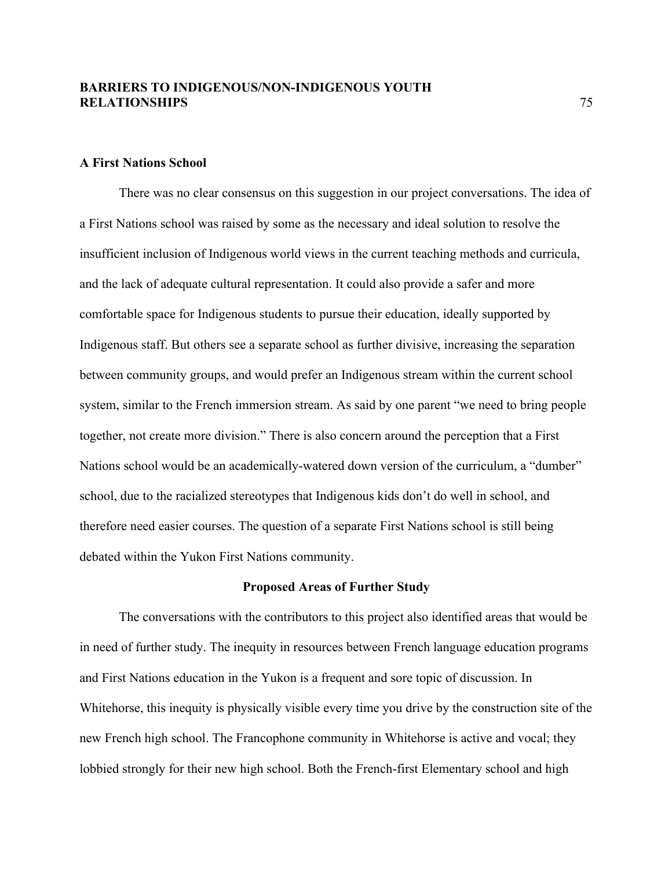### **A First Nations School**

There was no clear consensus on this suggestion in our project conversations. The idea of a First Nations school was raised by some as the necessary and ideal solution to resolve the insufficient inclusion of Indigenous world views in the current teaching methods and curricula, and the lack of adequate cultural representation. It could also provide a safer and more comfortable space for Indigenous students to pursue their education, ideally supported by Indigenous staff. But others see a separate school as further divisive, increasing the separation between community groups, and would prefer an Indigenous stream within the current school system, similar to the French immersion stream. As said by one parent "we need to bring people together, not create more division." There is also concern around the perception that a First Nations school would be an academically-watered down version of the curriculum, a "dumber" school, due to the racialized stereotypes that Indigenous kids don't do well in school, and therefore need easier courses. The question of a separate First Nations school is still being debated within the Yukon First Nations community.

#### **Proposed Areas of Further Study**

The conversations with the contributors to this project also identified areas that would be in need of further study. The inequity in resources between French language education programs and First Nations education in the Yukon is a frequent and sore topic of discussion. In Whitehorse, this inequity is physically visible every time you drive by the construction site of the new French high school. The Francophone community in Whitehorse is active and vocal; they lobbied strongly for their new high school. Both the French-first Elementary school and high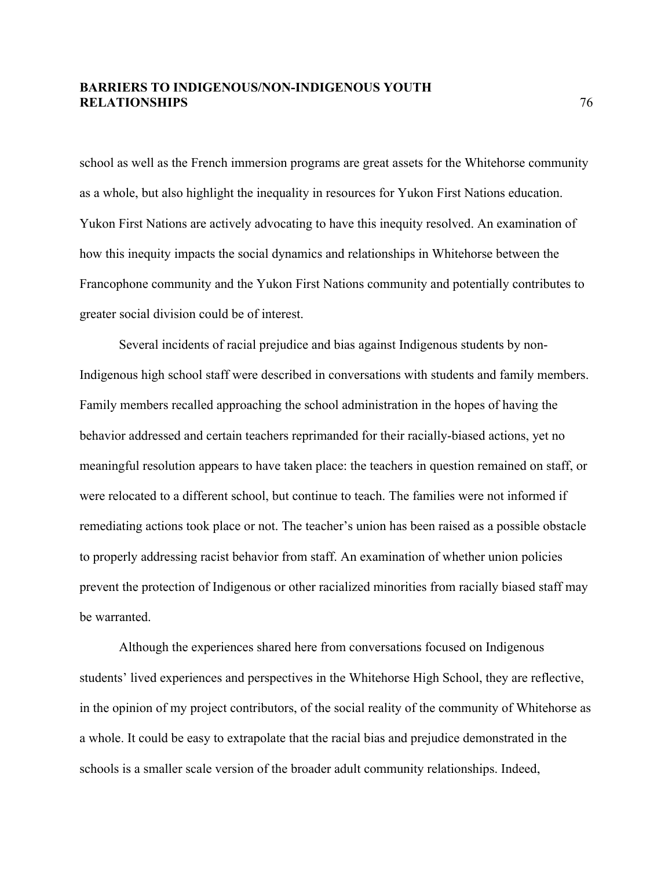school as well as the French immersion programs are great assets for the Whitehorse community as a whole, but also highlight the inequality in resources for Yukon First Nations education. Yukon First Nations are actively advocating to have this inequity resolved. An examination of how this inequity impacts the social dynamics and relationships in Whitehorse between the Francophone community and the Yukon First Nations community and potentially contributes to greater social division could be of interest.

Several incidents of racial prejudice and bias against Indigenous students by non-Indigenous high school staff were described in conversations with students and family members. Family members recalled approaching the school administration in the hopes of having the behavior addressed and certain teachers reprimanded for their racially-biased actions, yet no meaningful resolution appears to have taken place: the teachers in question remained on staff, or were relocated to a different school, but continue to teach. The families were not informed if remediating actions took place or not. The teacher's union has been raised as a possible obstacle to properly addressing racist behavior from staff. An examination of whether union policies prevent the protection of Indigenous or other racialized minorities from racially biased staff may be warranted.

Although the experiences shared here from conversations focused on Indigenous students' lived experiences and perspectives in the Whitehorse High School, they are reflective, in the opinion of my project contributors, of the social reality of the community of Whitehorse as a whole. It could be easy to extrapolate that the racial bias and prejudice demonstrated in the schools is a smaller scale version of the broader adult community relationships. Indeed,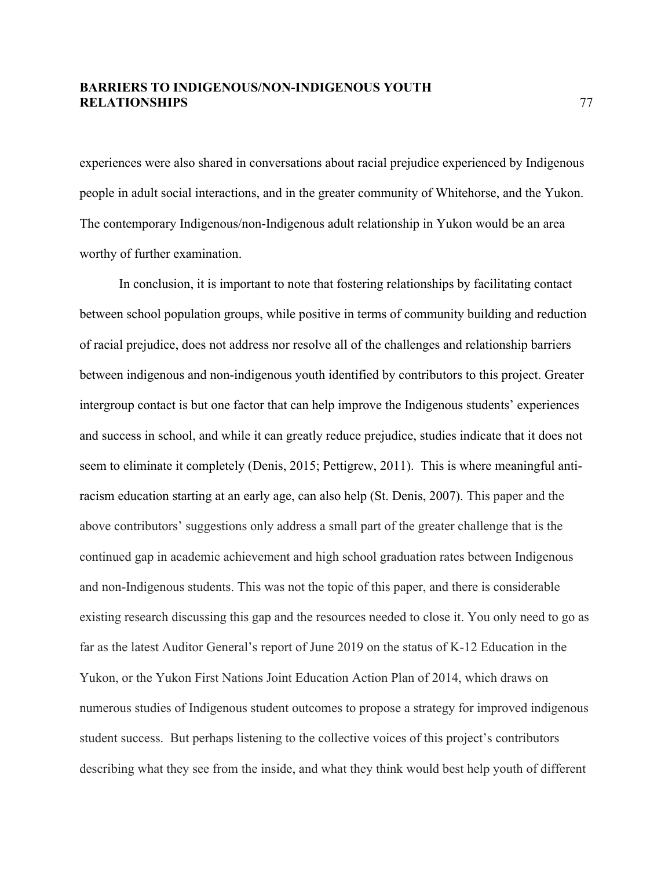experiences were also shared in conversations about racial prejudice experienced by Indigenous people in adult social interactions, and in the greater community of Whitehorse, and the Yukon. The contemporary Indigenous/non-Indigenous adult relationship in Yukon would be an area worthy of further examination.

In conclusion, it is important to note that fostering relationships by facilitating contact between school population groups, while positive in terms of community building and reduction of racial prejudice, does not address nor resolve all of the challenges and relationship barriers between indigenous and non-indigenous youth identified by contributors to this project. Greater intergroup contact is but one factor that can help improve the Indigenous students' experiences and success in school, and while it can greatly reduce prejudice, studies indicate that it does not seem to eliminate it completely (Denis, 2015; Pettigrew, 2011). This is where meaningful antiracism education starting at an early age, can also help (St. Denis, 2007). This paper and the above contributors' suggestions only address a small part of the greater challenge that is the continued gap in academic achievement and high school graduation rates between Indigenous and non-Indigenous students. This was not the topic of this paper, and there is considerable existing research discussing this gap and the resources needed to close it. You only need to go as far as the latest Auditor General's report of June 2019 on the status of K-12 Education in the Yukon, or the Yukon First Nations Joint Education Action Plan of 2014, which draws on numerous studies of Indigenous student outcomes to propose a strategy for improved indigenous student success. But perhaps listening to the collective voices of this project's contributors describing what they see from the inside, and what they think would best help youth of different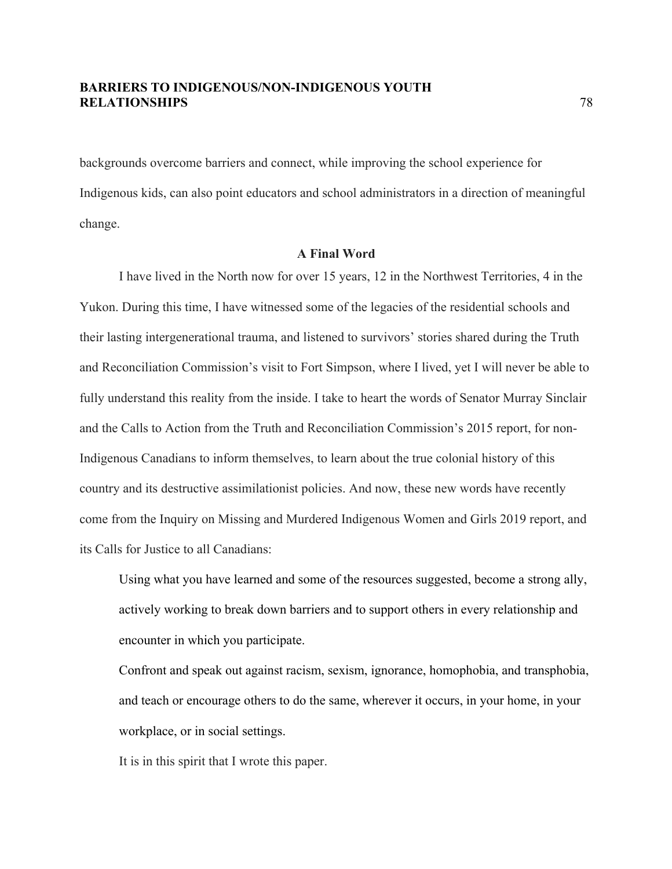backgrounds overcome barriers and connect, while improving the school experience for Indigenous kids, can also point educators and school administrators in a direction of meaningful change.

### **A Final Word**

I have lived in the North now for over 15 years, 12 in the Northwest Territories, 4 in the Yukon. During this time, I have witnessed some of the legacies of the residential schools and their lasting intergenerational trauma, and listened to survivors' stories shared during the Truth and Reconciliation Commission's visit to Fort Simpson, where I lived, yet I will never be able to fully understand this reality from the inside. I take to heart the words of Senator Murray Sinclair and the Calls to Action from the Truth and Reconciliation Commission's 2015 report, for non-Indigenous Canadians to inform themselves, to learn about the true colonial history of this country and its destructive assimilationist policies. And now, these new words have recently come from the Inquiry on Missing and Murdered Indigenous Women and Girls 2019 report, and its Calls for Justice to all Canadians:

Using what you have learned and some of the resources suggested, become a strong ally, actively working to break down barriers and to support others in every relationship and encounter in which you participate.

Confront and speak out against racism, sexism, ignorance, homophobia, and transphobia, and teach or encourage others to do the same, wherever it occurs, in your home, in your workplace, or in social settings.

It is in this spirit that I wrote this paper.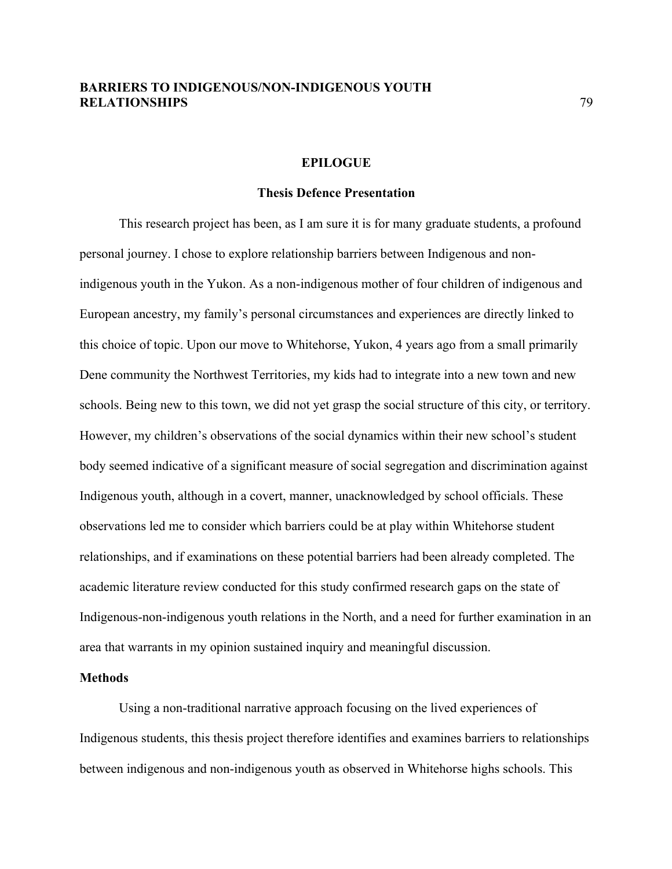#### **EPILOGUE**

### **Thesis Defence Presentation**

This research project has been, as I am sure it is for many graduate students, a profound personal journey. I chose to explore relationship barriers between Indigenous and nonindigenous youth in the Yukon. As a non-indigenous mother of four children of indigenous and European ancestry, my family's personal circumstances and experiences are directly linked to this choice of topic. Upon our move to Whitehorse, Yukon, 4 years ago from a small primarily Dene community the Northwest Territories, my kids had to integrate into a new town and new schools. Being new to this town, we did not yet grasp the social structure of this city, or territory. However, my children's observations of the social dynamics within their new school's student body seemed indicative of a significant measure of social segregation and discrimination against Indigenous youth, although in a covert, manner, unacknowledged by school officials. These observations led me to consider which barriers could be at play within Whitehorse student relationships, and if examinations on these potential barriers had been already completed. The academic literature review conducted for this study confirmed research gaps on the state of Indigenous-non-indigenous youth relations in the North, and a need for further examination in an area that warrants in my opinion sustained inquiry and meaningful discussion.

#### **Methods**

Using a non-traditional narrative approach focusing on the lived experiences of Indigenous students, this thesis project therefore identifies and examines barriers to relationships between indigenous and non-indigenous youth as observed in Whitehorse highs schools. This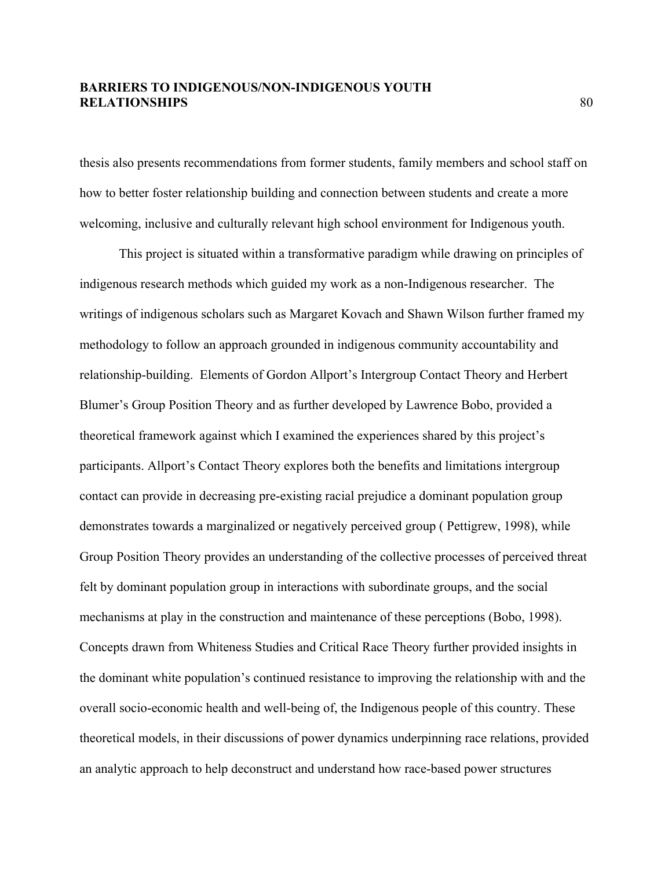thesis also presents recommendations from former students, family members and school staff on how to better foster relationship building and connection between students and create a more welcoming, inclusive and culturally relevant high school environment for Indigenous youth.

This project is situated within a transformative paradigm while drawing on principles of indigenous research methods which guided my work as a non-Indigenous researcher. The writings of indigenous scholars such as Margaret Kovach and Shawn Wilson further framed my methodology to follow an approach grounded in indigenous community accountability and relationship-building. Elements of Gordon Allport's Intergroup Contact Theory and Herbert Blumer's Group Position Theory and as further developed by Lawrence Bobo, provided a theoretical framework against which I examined the experiences shared by this project's participants. Allport's Contact Theory explores both the benefits and limitations intergroup contact can provide in decreasing pre-existing racial prejudice a dominant population group demonstrates towards a marginalized or negatively perceived group ( Pettigrew, 1998), while Group Position Theory provides an understanding of the collective processes of perceived threat felt by dominant population group in interactions with subordinate groups, and the social mechanisms at play in the construction and maintenance of these perceptions (Bobo, 1998). Concepts drawn from Whiteness Studies and Critical Race Theory further provided insights in the dominant white population's continued resistance to improving the relationship with and the overall socio-economic health and well-being of, the Indigenous people of this country. These theoretical models, in their discussions of power dynamics underpinning race relations, provided an analytic approach to help deconstruct and understand how race-based power structures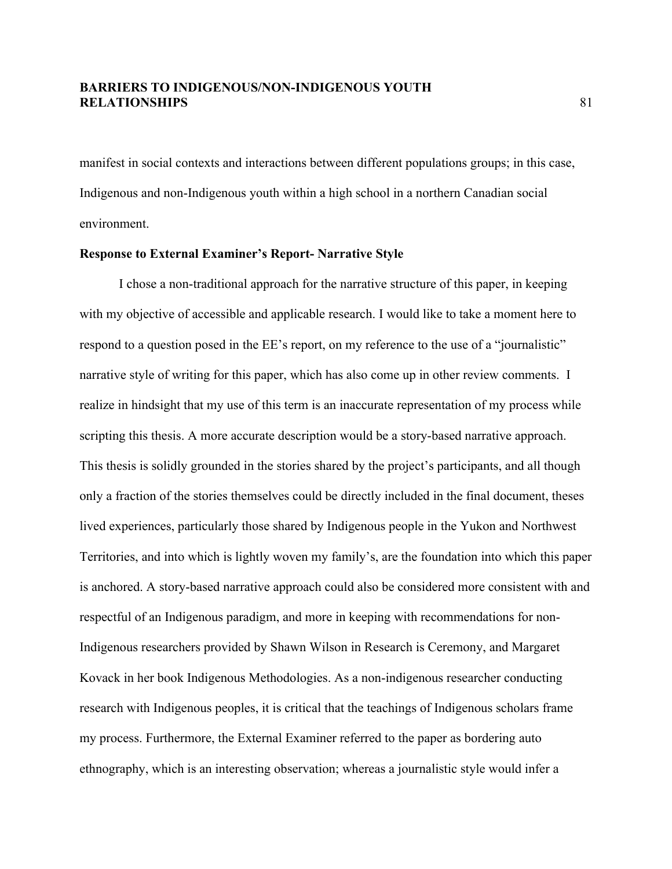manifest in social contexts and interactions between different populations groups; in this case, Indigenous and non-Indigenous youth within a high school in a northern Canadian social environment.

### **Response to External Examiner's Report- Narrative Style**

I chose a non-traditional approach for the narrative structure of this paper, in keeping with my objective of accessible and applicable research. I would like to take a moment here to respond to a question posed in the EE's report, on my reference to the use of a "journalistic" narrative style of writing for this paper, which has also come up in other review comments. I realize in hindsight that my use of this term is an inaccurate representation of my process while scripting this thesis. A more accurate description would be a story-based narrative approach. This thesis is solidly grounded in the stories shared by the project's participants, and all though only a fraction of the stories themselves could be directly included in the final document, theses lived experiences, particularly those shared by Indigenous people in the Yukon and Northwest Territories, and into which is lightly woven my family's, are the foundation into which this paper is anchored. A story-based narrative approach could also be considered more consistent with and respectful of an Indigenous paradigm, and more in keeping with recommendations for non-Indigenous researchers provided by Shawn Wilson in Research is Ceremony, and Margaret Kovack in her book Indigenous Methodologies. As a non-indigenous researcher conducting research with Indigenous peoples, it is critical that the teachings of Indigenous scholars frame my process. Furthermore, the External Examiner referred to the paper as bordering auto ethnography, which is an interesting observation; whereas a journalistic style would infer a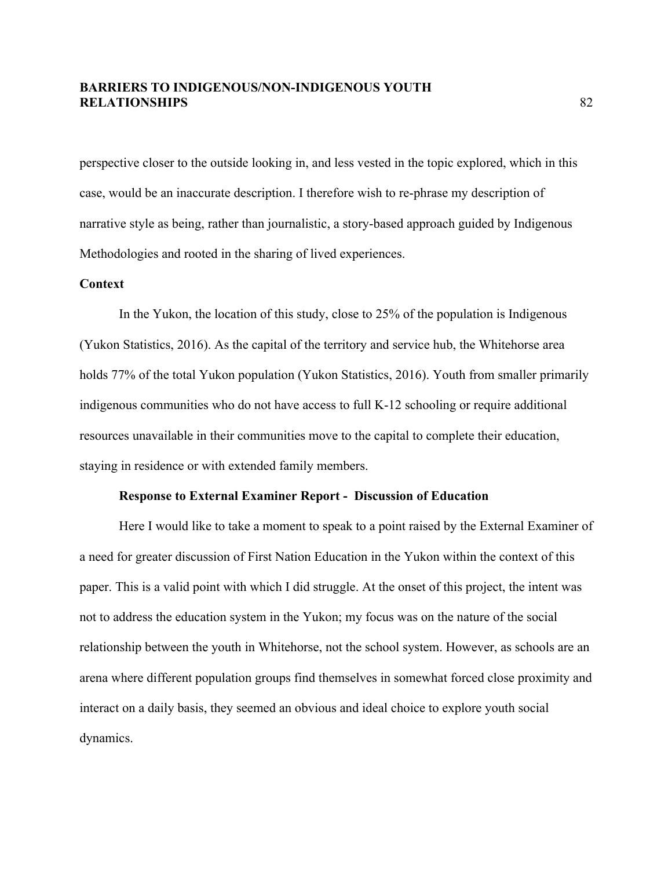perspective closer to the outside looking in, and less vested in the topic explored, which in this case, would be an inaccurate description. I therefore wish to re-phrase my description of narrative style as being, rather than journalistic, a story-based approach guided by Indigenous Methodologies and rooted in the sharing of lived experiences.

#### **Context**

In the Yukon, the location of this study, close to 25% of the population is Indigenous (Yukon Statistics, 2016). As the capital of the territory and service hub, the Whitehorse area holds 77% of the total Yukon population (Yukon Statistics, 2016). Youth from smaller primarily indigenous communities who do not have access to full K-12 schooling or require additional resources unavailable in their communities move to the capital to complete their education, staying in residence or with extended family members.

### **Response to External Examiner Report - Discussion of Education**

Here I would like to take a moment to speak to a point raised by the External Examiner of a need for greater discussion of First Nation Education in the Yukon within the context of this paper. This is a valid point with which I did struggle. At the onset of this project, the intent was not to address the education system in the Yukon; my focus was on the nature of the social relationship between the youth in Whitehorse, not the school system. However, as schools are an arena where different population groups find themselves in somewhat forced close proximity and interact on a daily basis, they seemed an obvious and ideal choice to explore youth social dynamics.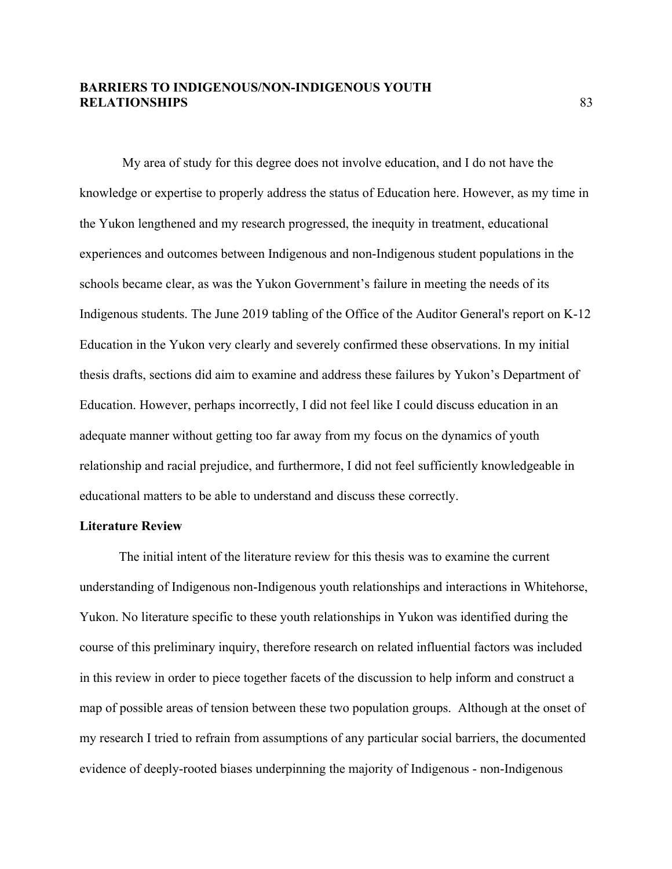My area of study for this degree does not involve education, and I do not have the knowledge or expertise to properly address the status of Education here. However, as my time in the Yukon lengthened and my research progressed, the inequity in treatment, educational experiences and outcomes between Indigenous and non-Indigenous student populations in the schools became clear, as was the Yukon Government's failure in meeting the needs of its Indigenous students. The June 2019 tabling of the Office of the Auditor General's report on K-12 Education in the Yukon very clearly and severely confirmed these observations. In my initial thesis drafts, sections did aim to examine and address these failures by Yukon's Department of Education. However, perhaps incorrectly, I did not feel like I could discuss education in an adequate manner without getting too far away from my focus on the dynamics of youth relationship and racial prejudice, and furthermore, I did not feel sufficiently knowledgeable in educational matters to be able to understand and discuss these correctly.

### **Literature Review**

The initial intent of the literature review for this thesis was to examine the current understanding of Indigenous non-Indigenous youth relationships and interactions in Whitehorse, Yukon. No literature specific to these youth relationships in Yukon was identified during the course of this preliminary inquiry, therefore research on related influential factors was included in this review in order to piece together facets of the discussion to help inform and construct a map of possible areas of tension between these two population groups. Although at the onset of my research I tried to refrain from assumptions of any particular social barriers, the documented evidence of deeply-rooted biases underpinning the majority of Indigenous - non-Indigenous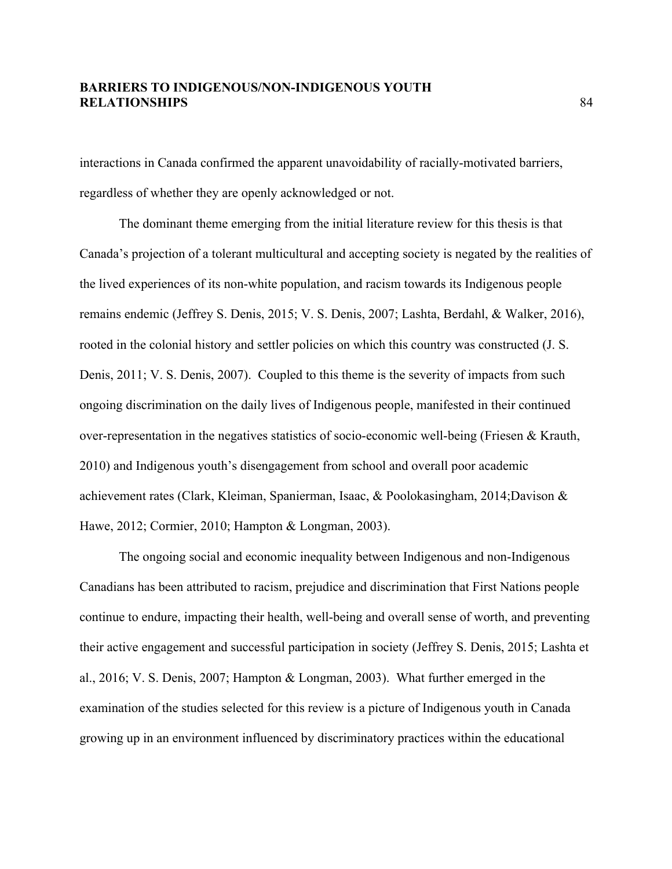interactions in Canada confirmed the apparent unavoidability of racially-motivated barriers, regardless of whether they are openly acknowledged or not.

The dominant theme emerging from the initial literature review for this thesis is that Canada's projection of a tolerant multicultural and accepting society is negated by the realities of the lived experiences of its non-white population, and racism towards its Indigenous people remains endemic (Jeffrey S. Denis, 2015; V. S. Denis, 2007; Lashta, Berdahl, & Walker, 2016), rooted in the colonial history and settler policies on which this country was constructed (J. S. Denis, 2011; V. S. Denis, 2007). Coupled to this theme is the severity of impacts from such ongoing discrimination on the daily lives of Indigenous people, manifested in their continued over-representation in the negatives statistics of socio-economic well-being (Friesen & Krauth, 2010) and Indigenous youth's disengagement from school and overall poor academic achievement rates (Clark, Kleiman, Spanierman, Isaac, & Poolokasingham, 2014;Davison & Hawe, 2012; Cormier, 2010; Hampton & Longman, 2003).

The ongoing social and economic inequality between Indigenous and non-Indigenous Canadians has been attributed to racism, prejudice and discrimination that First Nations people continue to endure, impacting their health, well-being and overall sense of worth, and preventing their active engagement and successful participation in society (Jeffrey S. Denis, 2015; Lashta et al., 2016; V. S. Denis, 2007; Hampton & Longman, 2003). What further emerged in the examination of the studies selected for this review is a picture of Indigenous youth in Canada growing up in an environment influenced by discriminatory practices within the educational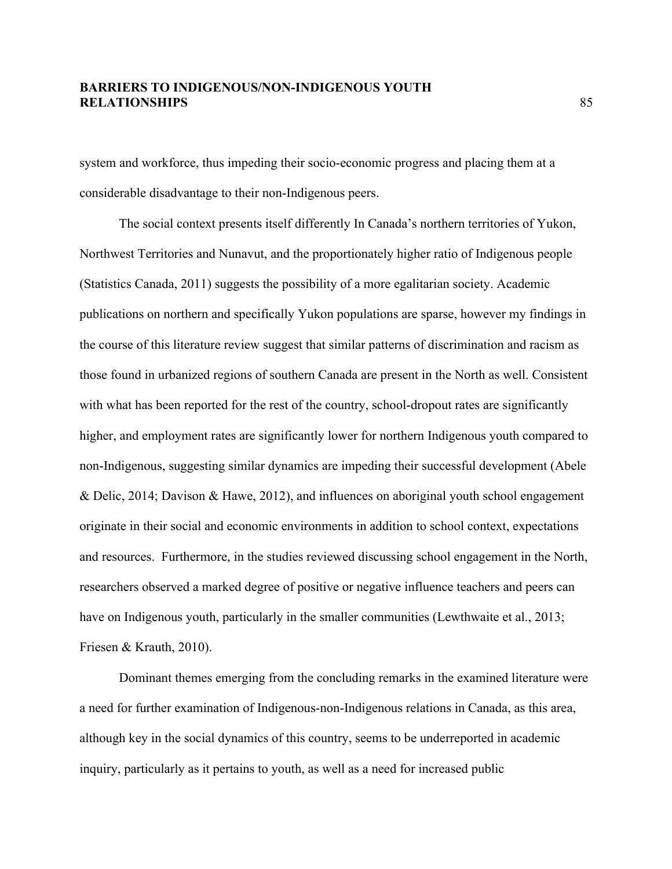system and workforce, thus impeding their socio-economic progress and placing them at a considerable disadvantage to their non-Indigenous peers.

The social context presents itself differently In Canada's northern territories of Yukon, Northwest Territories and Nunavut, and the proportionately higher ratio of Indigenous people (Statistics Canada, 2011) suggests the possibility of a more egalitarian society. Academic publications on northern and specifically Yukon populations are sparse, however my findings in the course of this literature review suggest that similar patterns of discrimination and racism as those found in urbanized regions of southern Canada are present in the North as well. Consistent with what has been reported for the rest of the country, school-dropout rates are significantly higher, and employment rates are significantly lower for northern Indigenous youth compared to non-Indigenous, suggesting similar dynamics are impeding their successful development (Abele & Delic, 2014; Davison & Hawe, 2012), and influences on aboriginal youth school engagement originate in their social and economic environments in addition to school context, expectations and resources. Furthermore, in the studies reviewed discussing school engagement in the North, researchers observed a marked degree of positive or negative influence teachers and peers can have on Indigenous youth, particularly in the smaller communities (Lewthwaite et al., 2013; Friesen & Krauth, 2010).

Dominant themes emerging from the concluding remarks in the examined literature were a need for further examination of Indigenous-non-Indigenous relations in Canada, as this area, although key in the social dynamics of this country, seems to be underreported in academic inquiry, particularly as it pertains to youth, as well as a need for increased public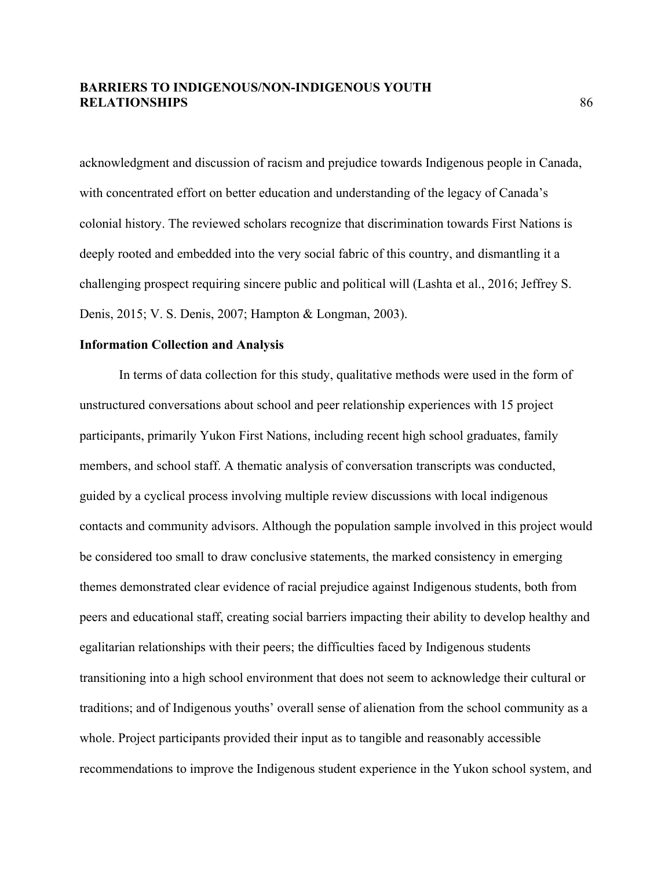acknowledgment and discussion of racism and prejudice towards Indigenous people in Canada, with concentrated effort on better education and understanding of the legacy of Canada's colonial history. The reviewed scholars recognize that discrimination towards First Nations is deeply rooted and embedded into the very social fabric of this country, and dismantling it a challenging prospect requiring sincere public and political will (Lashta et al., 2016; Jeffrey S. Denis, 2015; V. S. Denis, 2007; Hampton & Longman, 2003).

### **Information Collection and Analysis**

In terms of data collection for this study, qualitative methods were used in the form of unstructured conversations about school and peer relationship experiences with 15 project participants, primarily Yukon First Nations, including recent high school graduates, family members, and school staff. A thematic analysis of conversation transcripts was conducted, guided by a cyclical process involving multiple review discussions with local indigenous contacts and community advisors. Although the population sample involved in this project would be considered too small to draw conclusive statements, the marked consistency in emerging themes demonstrated clear evidence of racial prejudice against Indigenous students, both from peers and educational staff, creating social barriers impacting their ability to develop healthy and egalitarian relationships with their peers; the difficulties faced by Indigenous students transitioning into a high school environment that does not seem to acknowledge their cultural or traditions; and of Indigenous youths' overall sense of alienation from the school community as a whole. Project participants provided their input as to tangible and reasonably accessible recommendations to improve the Indigenous student experience in the Yukon school system, and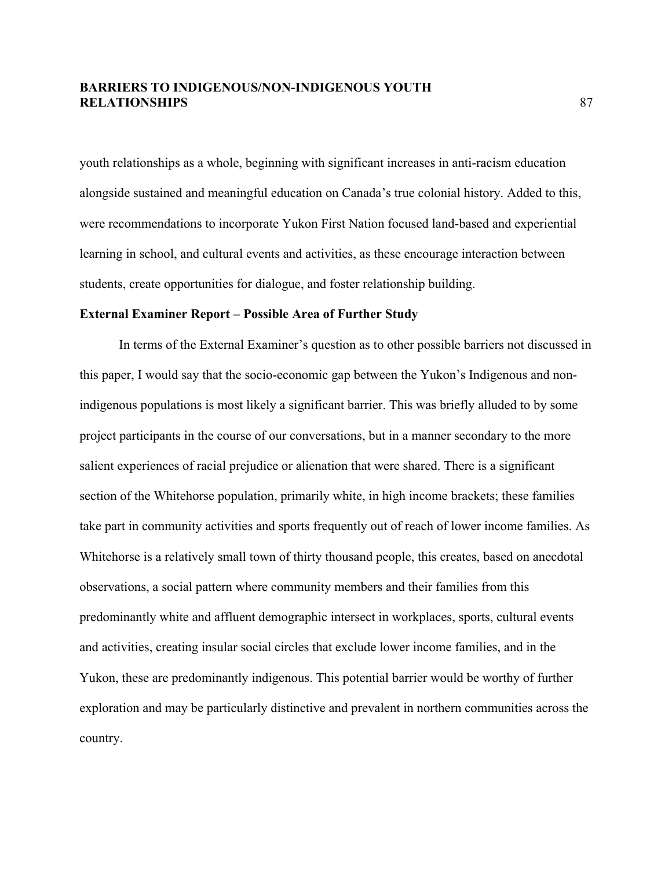youth relationships as a whole, beginning with significant increases in anti-racism education alongside sustained and meaningful education on Canada's true colonial history. Added to this, were recommendations to incorporate Yukon First Nation focused land-based and experiential learning in school, and cultural events and activities, as these encourage interaction between students, create opportunities for dialogue, and foster relationship building.

### **External Examiner Report – Possible Area of Further Study**

In terms of the External Examiner's question as to other possible barriers not discussed in this paper, I would say that the socio-economic gap between the Yukon's Indigenous and nonindigenous populations is most likely a significant barrier. This was briefly alluded to by some project participants in the course of our conversations, but in a manner secondary to the more salient experiences of racial prejudice or alienation that were shared. There is a significant section of the Whitehorse population, primarily white, in high income brackets; these families take part in community activities and sports frequently out of reach of lower income families. As Whitehorse is a relatively small town of thirty thousand people, this creates, based on anecdotal observations, a social pattern where community members and their families from this predominantly white and affluent demographic intersect in workplaces, sports, cultural events and activities, creating insular social circles that exclude lower income families, and in the Yukon, these are predominantly indigenous. This potential barrier would be worthy of further exploration and may be particularly distinctive and prevalent in northern communities across the country.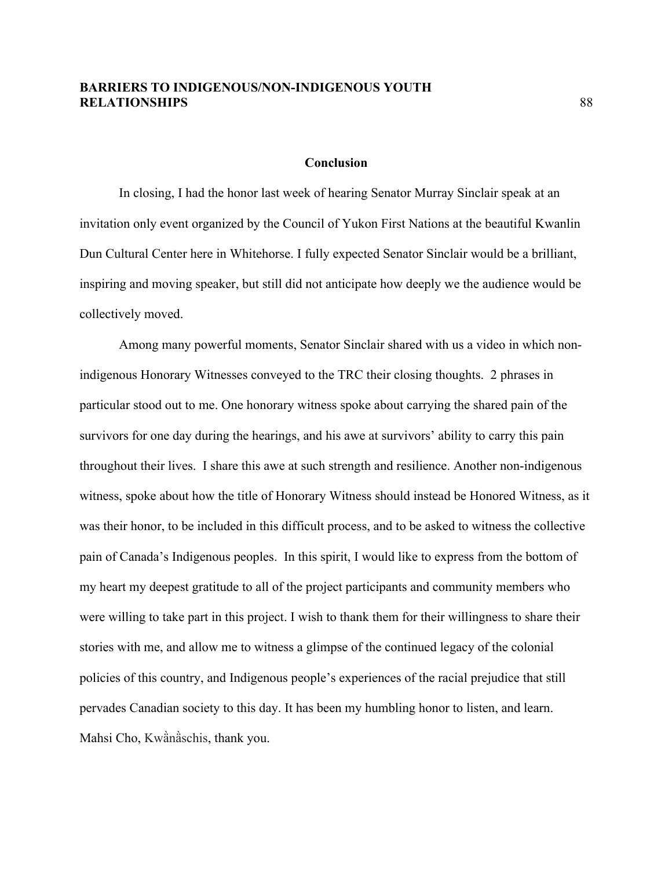### **Conclusion**

In closing, I had the honor last week of hearing Senator Murray Sinclair speak at an invitation only event organized by the Council of Yukon First Nations at the beautiful Kwanlin Dun Cultural Center here in Whitehorse. I fully expected Senator Sinclair would be a brilliant, inspiring and moving speaker, but still did not anticipate how deeply we the audience would be collectively moved.

Among many powerful moments, Senator Sinclair shared with us a video in which nonindigenous Honorary Witnesses conveyed to the TRC their closing thoughts. 2 phrases in particular stood out to me. One honorary witness spoke about carrying the shared pain of the survivors for one day during the hearings, and his awe at survivors' ability to carry this pain throughout their lives. I share this awe at such strength and resilience. Another non-indigenous witness, spoke about how the title of Honorary Witness should instead be Honored Witness, as it was their honor, to be included in this difficult process, and to be asked to witness the collective pain of Canada's Indigenous peoples. In this spirit, I would like to express from the bottom of my heart my deepest gratitude to all of the project participants and community members who were willing to take part in this project. I wish to thank them for their willingness to share their stories with me, and allow me to witness a glimpse of the continued legacy of the colonial policies of this country, and Indigenous people's experiences of the racial prejudice that still pervades Canadian society to this day. It has been my humbling honor to listen, and learn. Mahsi Cho, Kwä̀nä̀schis, thank you.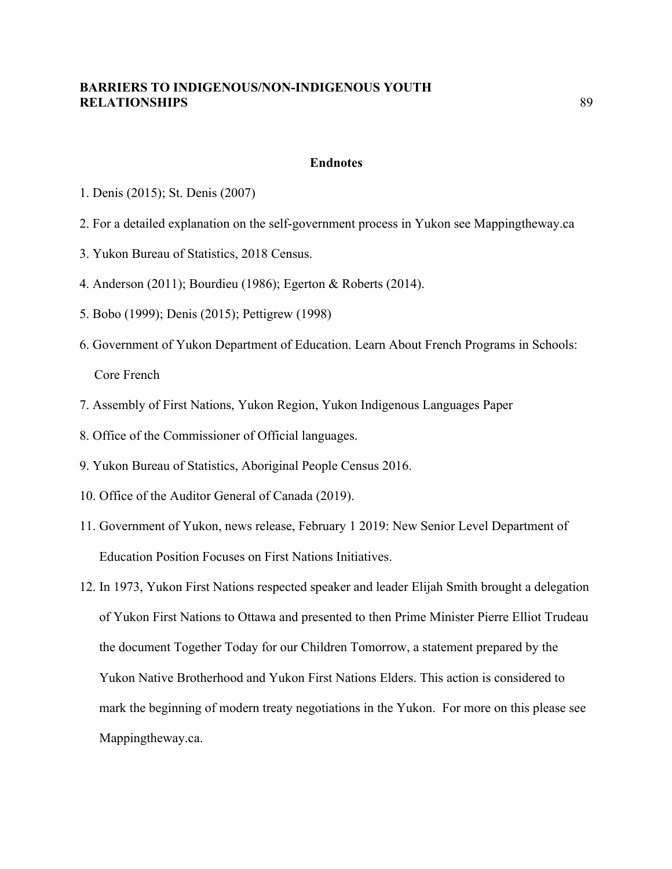### **Endnotes**

- 1. Denis (2015); St. Denis (2007)
- 2. For a detailed explanation on the self-government process in Yukon see Mappingtheway.ca
- 3. Yukon Bureau of Statistics, 2018 Census.
- 4. Anderson (2011); Bourdieu (1986); Egerton & Roberts (2014).
- 5. Bobo (1999); Denis (2015); Pettigrew (1998)
- 6. Government of Yukon Department of Education. Learn About French Programs in Schools: Core French
- 7. Assembly of First Nations, Yukon Region, Yukon Indigenous Languages Paper
- 8. Office of the Commissioner of Official languages.
- 9. Yukon Bureau of Statistics, Aboriginal People Census 2016.
- 10. Office of the Auditor General of Canada (2019).
- 11. Government of Yukon, news release, February 1 2019: New Senior Level Department of Education Position Focuses on First Nations Initiatives.
- 12. In 1973, Yukon First Nations respected speaker and leader Elijah Smith brought a delegation of Yukon First Nations to Ottawa and presented to then Prime Minister Pierre Elliot Trudeau the document Together Today for our Children Tomorrow, a statement prepared by the Yukon Native Brotherhood and Yukon First Nations Elders. This action is considered to mark the beginning of modern treaty negotiations in the Yukon. For more on this please see Mappingtheway.ca.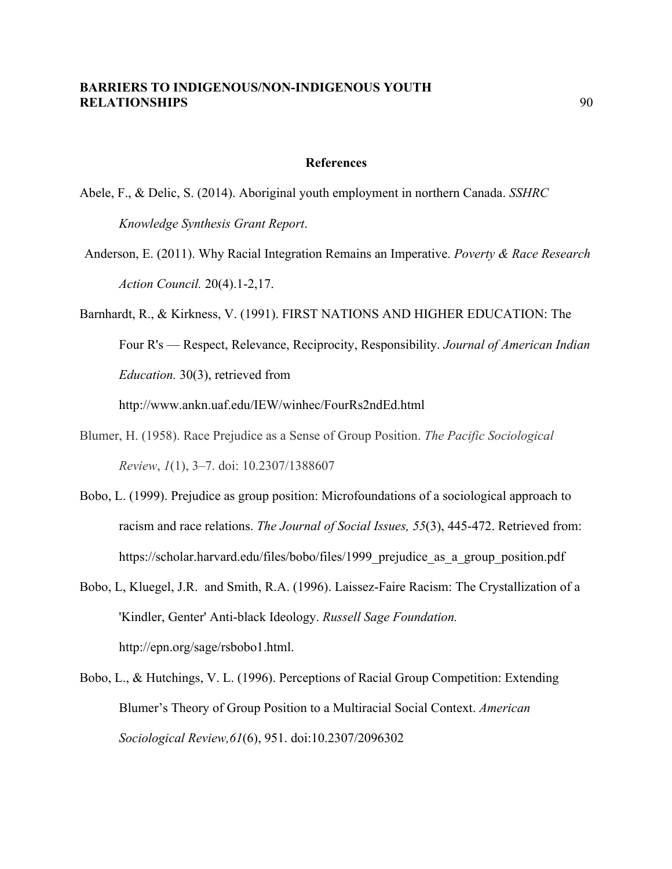#### **References**

- Abele, F., & Delic, S. (2014). Aboriginal youth employment in northern Canada. *SSHRC Knowledge Synthesis Grant Report*.
- Anderson, E. (2011). Why Racial Integration Remains an Imperative. *Poverty & Race Research Action Council.* 20(4).1-2,17.
- Barnhardt, R., & Kirkness, V. (1991). FIRST NATIONS AND HIGHER EDUCATION: The Four R's — Respect, Relevance, Reciprocity, Responsibility. *Journal of American Indian Education.* 30(3), retrieved from

http://www.ankn.uaf.edu/IEW/winhec/FourRs2ndEd.html

- Blumer, H. (1958). Race Prejudice as a Sense of Group Position. *The Pacific Sociological Review*, *1*(1), 3–7. doi: 10.2307/1388607
- Bobo, L. (1999). Prejudice as group position: Microfoundations of a sociological approach to racism and race relations. *The Journal of Social Issues, 55*(3), 445-472. Retrieved from: https://scholar.harvard.edu/files/bobo/files/1999 prejudice as a group position.pdf
- Bobo, L, Kluegel, J.R. and Smith, R.A. (1996). Laissez-Faire Racism: The Crystallization of a 'Kindler, Genter' Anti-black Ideology. *Russell Sage Foundation.* http://epn.org/sage/rsbobo1.html.
- Bobo, L., & Hutchings, V. L. (1996). Perceptions of Racial Group Competition: Extending Blumer's Theory of Group Position to a Multiracial Social Context. *American Sociological Review,61*(6), 951. doi:10.2307/2096302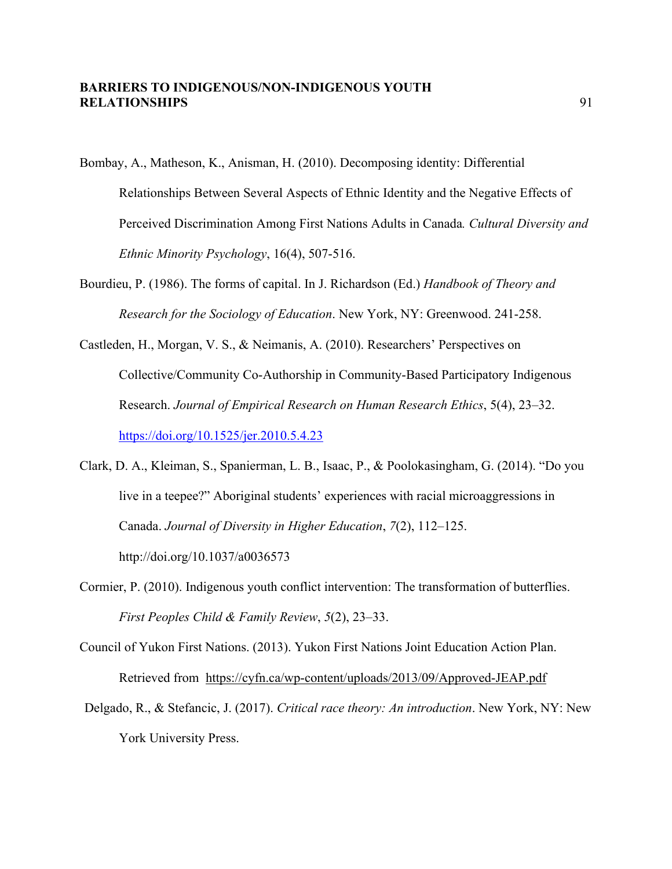- Bombay, A., Matheson, K., Anisman, H. (2010). Decomposing identity: Differential Relationships Between Several Aspects of Ethnic Identity and the Negative Effects of Perceived Discrimination Among First Nations Adults in Canada*. Cultural Diversity and Ethnic Minority Psychology*, 16(4), 507-516.
- Bourdieu, P. (1986). The forms of capital. In J. Richardson (Ed.) *Handbook of Theory and Research for the Sociology of Education*. New York, NY: Greenwood. 241-258.
- Castleden, H., Morgan, V. S., & Neimanis, A. (2010). Researchers' Perspectives on Collective/Community Co-Authorship in Community-Based Participatory Indigenous Research. *Journal of Empirical Research on Human Research Ethics*, 5(4), 23–32. https://doi.org/10.1525/jer.2010.5.4.23
- Clark, D. A., Kleiman, S., Spanierman, L. B., Isaac, P., & Poolokasingham, G. (2014). "Do you live in a teepee?" Aboriginal students' experiences with racial microaggressions in Canada. *Journal of Diversity in Higher Education*, *7*(2), 112–125. http://doi.org/10.1037/a0036573
- Cormier, P. (2010). Indigenous youth conflict intervention: The transformation of butterflies. *First Peoples Child & Family Review*, *5*(2), 23–33.
- Council of Yukon First Nations. (2013). Yukon First Nations Joint Education Action Plan. Retrieved from https://cyfn.ca/wp-content/uploads/2013/09/Approved-JEAP.pdf
- Delgado, R., & Stefancic, J. (2017). *Critical race theory: An introduction*. New York, NY: New York University Press.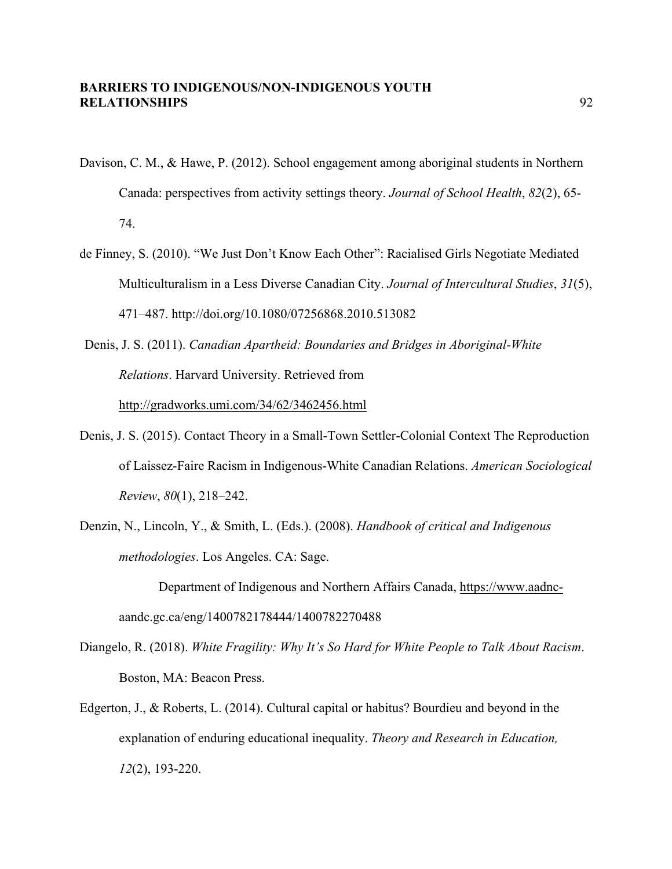- Davison, C. M., & Hawe, P. (2012). School engagement among aboriginal students in Northern Canada: perspectives from activity settings theory. *Journal of School Health*, *82*(2), 65- 74.
- de Finney, S. (2010). "We Just Don't Know Each Other": Racialised Girls Negotiate Mediated Multiculturalism in a Less Diverse Canadian City. *Journal of Intercultural Studies*, *31*(5), 471–487. http://doi.org/10.1080/07256868.2010.513082
- Denis, J. S. (2011). *Canadian Apartheid: Boundaries and Bridges in Aboriginal-White Relations*. Harvard University. Retrieved from http://gradworks.umi.com/34/62/3462456.html
- Denis, J. S. (2015). Contact Theory in a Small-Town Settler-Colonial Context The Reproduction of Laissez-Faire Racism in Indigenous-White Canadian Relations. *American Sociological Review*, *80*(1), 218–242.
- Denzin, N., Lincoln, Y., & Smith, L. (Eds.). (2008). *Handbook of critical and Indigenous methodologies*. Los Angeles. CA: Sage.

- Diangelo, R. (2018). *White Fragility: Why It's So Hard for White People to Talk About Racism*. Boston, MA: Beacon Press.
- Edgerton, J., & Roberts, L. (2014). Cultural capital or habitus? Bourdieu and beyond in the explanation of enduring educational inequality. *Theory and Research in Education, 12*(2), 193-220.

Department of Indigenous and Northern Affairs Canada, https://www.aadncaandc.gc.ca/eng/1400782178444/1400782270488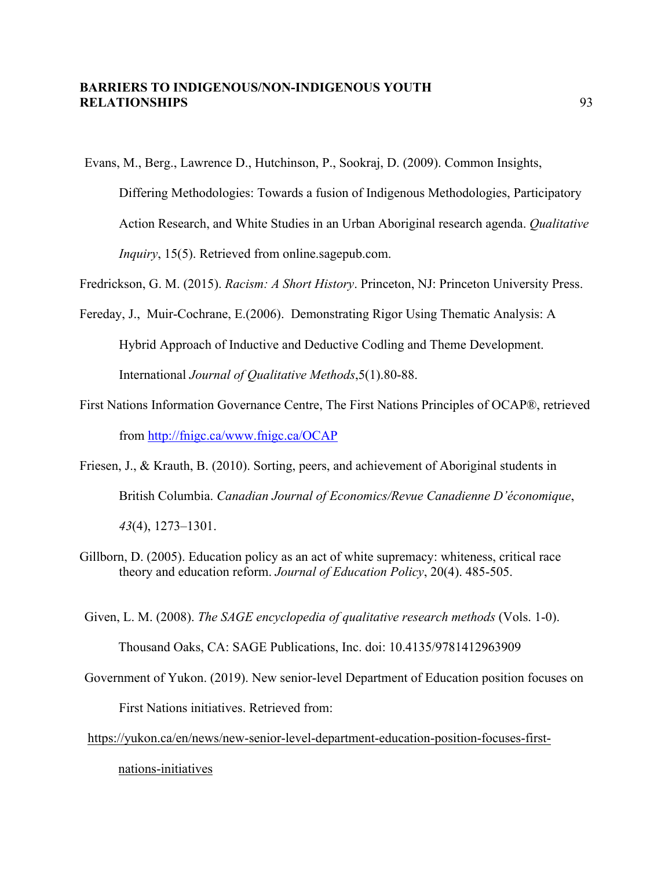Evans, M., Berg., Lawrence D., Hutchinson, P., Sookraj, D. (2009). Common Insights, Differing Methodologies: Towards a fusion of Indigenous Methodologies, Participatory Action Research, and White Studies in an Urban Aboriginal research agenda. *Qualitative Inquiry*, 15(5). Retrieved from online.sagepub.com.

Fredrickson, G. M. (2015). *Racism: A Short History*. Princeton, NJ: Princeton University Press.

Fereday, J., Muir-Cochrane, E.(2006). Demonstrating Rigor Using Thematic Analysis: A Hybrid Approach of Inductive and Deductive Codling and Theme Development. International *Journal of Qualitative Methods*,5(1).80-88.

- First Nations Information Governance Centre, The First Nations Principles of OCAP®, retrieved from http://fnigc.ca/www.fnigc.ca/OCAP
- Friesen, J., & Krauth, B. (2010). Sorting, peers, and achievement of Aboriginal students in British Columbia. *Canadian Journal of Economics/Revue Canadienne D'économique*, *43*(4), 1273–1301.
- Gillborn, D. (2005). Education policy as an act of white supremacy: whiteness, critical race theory and education reform. *Journal of Education Policy*, 20(4). 485-505.

Given, L. M. (2008). *The SAGE encyclopedia of qualitative research methods* (Vols. 1-0).

Thousand Oaks, CA: SAGE Publications, Inc. doi: 10.4135/9781412963909

Government of Yukon. (2019). New senior-level Department of Education position focuses on First Nations initiatives. Retrieved from:

https://yukon.ca/en/news/new-senior-level-department-education-position-focuses-first-

nations-initiatives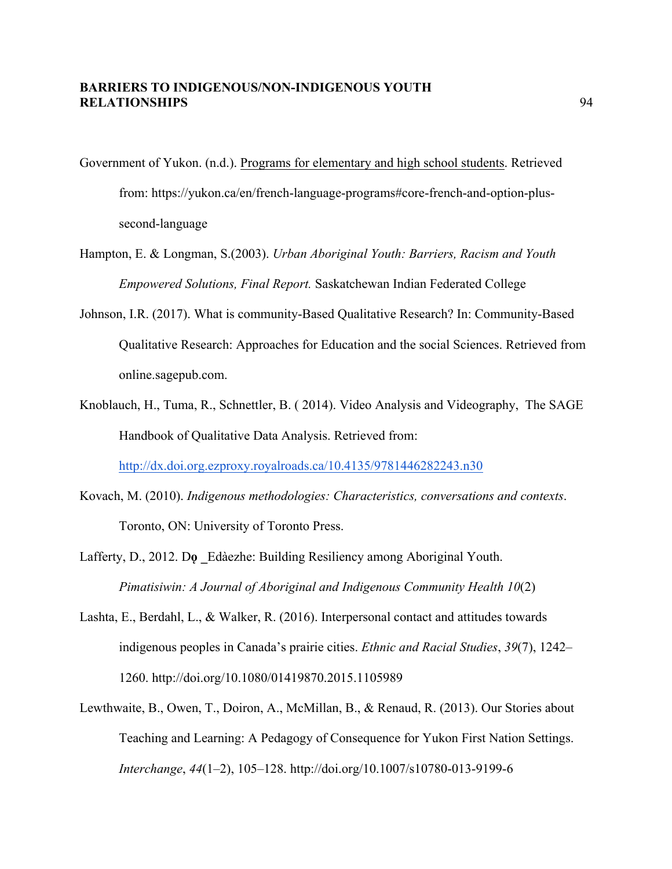- Government of Yukon. (n.d.). Programs for elementary and high school students. Retrieved from: https://yukon.ca/en/french-language-programs#core-french-and-option-plussecond-language
- Hampton, E. & Longman, S.(2003). *Urban Aboriginal Youth: Barriers, Racism and Youth Empowered Solutions, Final Report.* Saskatchewan Indian Federated College
- Johnson, I.R. (2017). What is community-Based Qualitative Research? In: Community-Based Qualitative Research: Approaches for Education and the social Sciences. Retrieved from online.sagepub.com.
- Knoblauch, H., Tuma, R., Schnettler, B. ( 2014). Video Analysis and Videography, The SAGE Handbook of Qualitative Data Analysis. Retrieved from:

http://dx.doi.org.ezproxy.royalroads.ca/10.4135/9781446282243.n30

- Kovach, M. (2010). *Indigenous methodologies: Characteristics, conversations and contexts*. Toronto, ON: University of Toronto Press.
- Lafferty, D., 2012. Do Edàezhe: Building Resiliency among Aboriginal Youth. *Pimatisiwin: A Journal of Aboriginal and Indigenous Community Health 10*(2)
- Lashta, E., Berdahl, L., & Walker, R. (2016). Interpersonal contact and attitudes towards indigenous peoples in Canada's prairie cities. *Ethnic and Racial Studies*, *39*(7), 1242– 1260. http://doi.org/10.1080/01419870.2015.1105989
- Lewthwaite, B., Owen, T., Doiron, A., McMillan, B., & Renaud, R. (2013). Our Stories about Teaching and Learning: A Pedagogy of Consequence for Yukon First Nation Settings. *Interchange*, *44*(1–2), 105–128. http://doi.org/10.1007/s10780-013-9199-6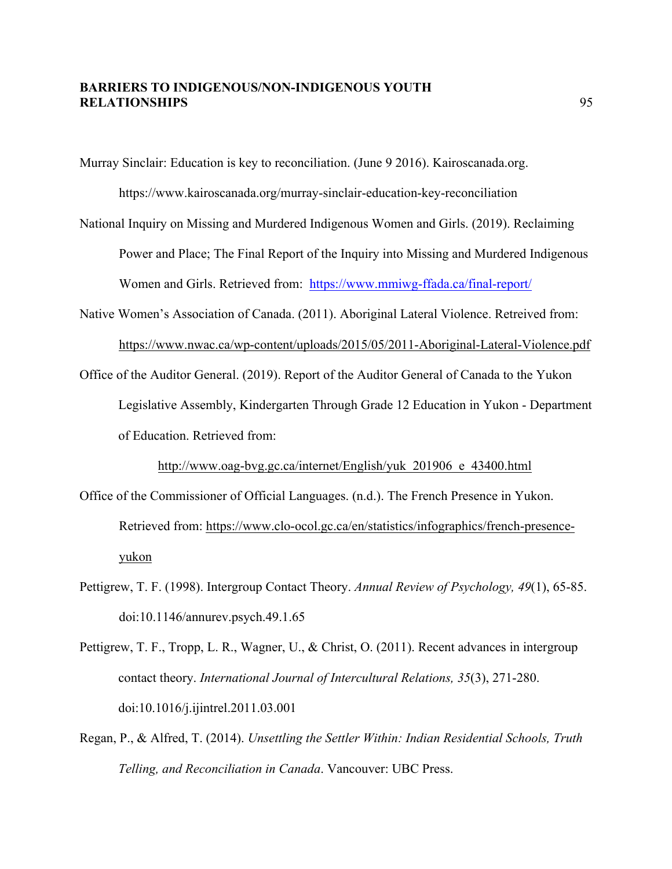Murray Sinclair: Education is key to reconciliation. (June 9 2016). Kairoscanada.org.

https://www.kairoscanada.org/murray-sinclair-education-key-reconciliation

- National Inquiry on Missing and Murdered Indigenous Women and Girls. (2019). Reclaiming Power and Place; The Final Report of the Inquiry into Missing and Murdered Indigenous Women and Girls. Retrieved from: https://www.mmiwg-ffada.ca/final-report/
- Native Women's Association of Canada. (2011). Aboriginal Lateral Violence. Retreived from: https://www.nwac.ca/wp-content/uploads/2015/05/2011-Aboriginal-Lateral-Violence.pdf
- Office of the Auditor General. (2019). Report of the Auditor General of Canada to the Yukon Legislative Assembly, Kindergarten Through Grade 12 Education in Yukon - Department of Education. Retrieved from:

http://www.oag-bvg.gc.ca/internet/English/yuk\_201906\_e\_43400.html

- Office of the Commissioner of Official Languages. (n.d.). The French Presence in Yukon. Retrieved from: https://www.clo-ocol.gc.ca/en/statistics/infographics/french-presenceyukon
- Pettigrew, T. F. (1998). Intergroup Contact Theory. *Annual Review of Psychology, 49*(1), 65-85. doi:10.1146/annurev.psych.49.1.65
- Pettigrew, T. F., Tropp, L. R., Wagner, U., & Christ, O. (2011). Recent advances in intergroup contact theory. *International Journal of Intercultural Relations, 35*(3), 271-280. doi:10.1016/j.ijintrel.2011.03.001
- Regan, P., & Alfred, T. (2014). *Unsettling the Settler Within: Indian Residential Schools, Truth Telling, and Reconciliation in Canada*. Vancouver: UBC Press.